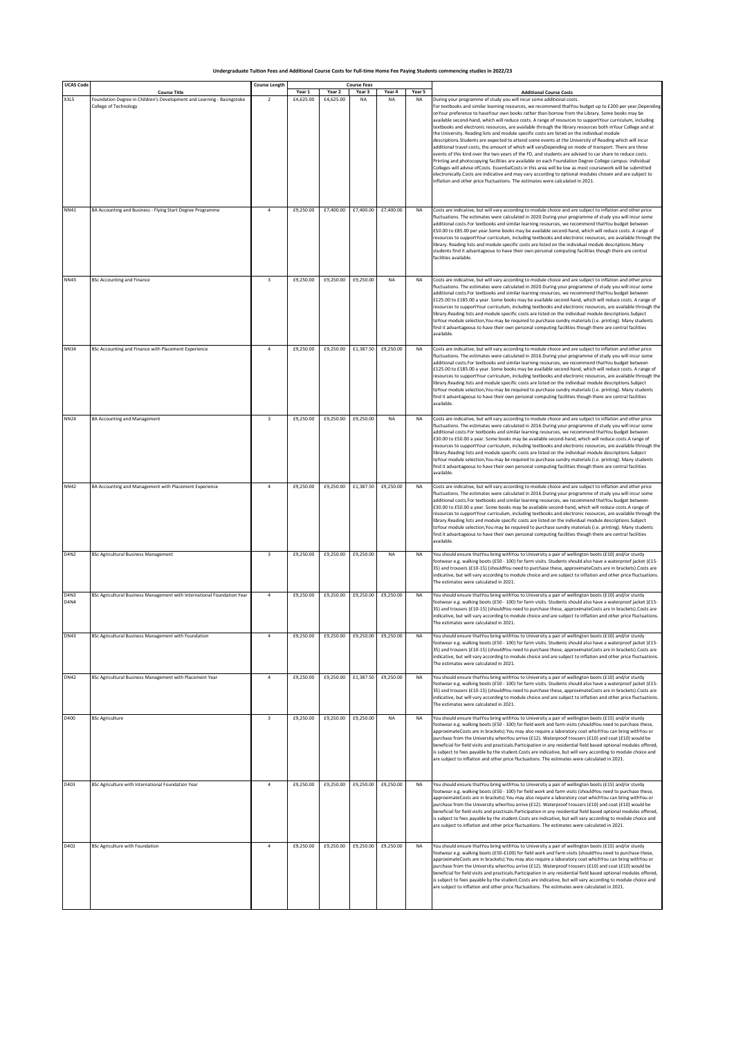| <b>UCAS Code</b>                | <b>Course Title</b>                                                                             | <b>Course Length</b>    | Year 1    | Year 2    | <b>Course Fees</b><br>Year 3 | Year 4    | Year 5    | <b>Additional Course Costs</b>                                                                                                                                                                                                                                                                                                                                                                                                                                                                                                                                                                                                                                                                                                                                                                                                                                                                                                                                                                                                                                                                                                                                                                                                                                                                                                                                     |
|---------------------------------|-------------------------------------------------------------------------------------------------|-------------------------|-----------|-----------|------------------------------|-----------|-----------|--------------------------------------------------------------------------------------------------------------------------------------------------------------------------------------------------------------------------------------------------------------------------------------------------------------------------------------------------------------------------------------------------------------------------------------------------------------------------------------------------------------------------------------------------------------------------------------------------------------------------------------------------------------------------------------------------------------------------------------------------------------------------------------------------------------------------------------------------------------------------------------------------------------------------------------------------------------------------------------------------------------------------------------------------------------------------------------------------------------------------------------------------------------------------------------------------------------------------------------------------------------------------------------------------------------------------------------------------------------------|
| <b>X3L5</b>                     | Foundation Degree in Children's Development and Learning - Basingstoke<br>College of Technology | $\overline{2}$          | £4,625.00 | £4,625.00 | <b>NA</b>                    | <b>NA</b> | <b>NA</b> | During your programme of study you will incur some additional costs.<br>For textbooks and similar learning resources, we recommend thatYou budget up to £200 per year, Depending<br>onYour preference to haveYour own books rather than borrow from the Library. Some books may be<br>available second-hand, which will reduce costs. A range of resources to supportYour curriculum, including<br>textbooks and electronic resources, are available through the library resources both inYour College and at<br>the University. Reading lists and module specific costs are listed on the individual module<br>descriptions.Students are expected to attend some events at the University of Reading which will incur<br>additional travel costs, the amount of which will varyDepending on mode of transport. There are three<br>events of this kind over the two years of the FD, and students are advised to car share to reduce costs.<br>Printing and photocopying facilities are available on each Foundation Degree College campus; individual<br>Colleges will advise ofCosts. EssentialCosts in this area will be low as most coursework will be submitted<br>electronically.Costs are indicative and may vary according to optional modules chosen and are subject to<br>inflation and other price fluctuations. The estimates were calculated in 2021. |
| NN41                            | BA Accounting and Business - Flying Start Degree Programme                                      | $\overline{4}$          | £9,250.00 | £7,400.00 | £7,400.00                    | £7,400.00 | <b>NA</b> | Costs are indicative, but will vary according to module choice and are subject to inflation and other price<br>fluctuations. The estimates were calculated in 2020.During your programme of study you will incur some<br>additional costs.For textbooks and similar learning resources, we recommend thatYou budget between<br>£50.00 to £85.00 per year.Some books may be available second-hand, which will reduce costs. A range of<br>resources to supportYour curriculum, including textbooks and electronic resources, are available through the<br>library. Reading lists and module specific costs are listed on the individual module descriptions.Many<br>students find it advantageous to have their own personal computing facilities though there are central<br>facilities available.                                                                                                                                                                                                                                                                                                                                                                                                                                                                                                                                                                 |
| <b>NN43</b>                     | <b>BSc Accounting and Finance</b>                                                               | 3                       | £9,250.00 | £9,250.00 | £9,250.00                    | NA        | NA        | Costs are indicative, but will vary according to module choice and are subject to inflation and other price<br>fluctuations. The estimates were calculated in 2020.During your programme of study you will incur some<br>additional costs.For textbooks and similar learning resources, we recommend thatYou budget between<br>£125.00 to £185.00 a year. Some books may be available second-hand, which will reduce costs. A range of<br>resources to supportYour curriculum, including textbooks and electronic resources, are available through the<br>library.Reading lists and module specific costs are listed on the individual module descriptions.Subject<br>toYour module selection,You may be required to purchase sundry materials (i.e. printing). Many students<br>find it advantageous to have their own personal computing facilities though there are central facilities<br>available.                                                                                                                                                                                                                                                                                                                                                                                                                                                            |
| <b>NN34</b>                     | BSc Accounting and Finance with Placement Experience                                            | $\overline{a}$          | £9,250.00 | £9,250.00 | £1,387.50                    | £9,250.00 | <b>NA</b> | Costs are indicative, but will vary according to module choice and are subject to inflation and other price<br>fluctuations. The estimates were calculated in 2016.During your programme of study you will incur some<br>additional costs.For textbooks and similar learning resources, we recommend thatYou budget between<br>£125.00 to £185.00 a year. Some books may be available second-hand, which will reduce costs. A range of<br>resources to supportYour curriculum, including textbooks and electronic resources, are available through the<br>ibrary.Reading lists and module specific costs are listed on the individual module descriptions.Subject<br>toYour module selection,You may be required to purchase sundry materials (i.e. printing). Many students<br>find it advantageous to have their own personal computing facilities though there are central facilities<br>available.                                                                                                                                                                                                                                                                                                                                                                                                                                                             |
| <b>NN24</b>                     | <b>BA Accounting and Management</b>                                                             | $\overline{\mathbf{3}}$ | £9,250.00 | £9,250.00 | £9,250.00                    | <b>NA</b> | <b>NA</b> | Costs are indicative, but will vary according to module choice and are subject to inflation and other price<br>fluctuations. The estimates were calculated in 2016.During your programme of study you will incur some<br>additional costs.For textbooks and similar learning resources, we recommend thatYou budget between<br>£30.00 to £50.00 a year. Some books may be available second-hand, which will reduce costs.A range of<br>resources to supportYour curriculum, including textbooks and electronic resources, are available through the<br>library.Reading lists and module specific costs are listed on the individual module descriptions.Subject<br>toYour module selection.You may be required to purchase sundry materials (i.e. printing). Many students<br>find it advantageous to have their own personal computing facilities though there are central facilities<br>available.                                                                                                                                                                                                                                                                                                                                                                                                                                                               |
| <b>NN42</b>                     | BA Accounting and Management with Placement Experience                                          | $\overline{4}$          | £9,250.00 | £9,250.00 | £1,387.50                    | £9,250.00 | <b>NA</b> | Costs are indicative, but will vary according to module choice and are subject to inflation and other price<br>fluctuations. The estimates were calculated in 2016.During your programme of study you will incur some<br>additional costs.For textbooks and similar learning resources, we recommend thatYou budget between<br>£30.00 to £50.00 a year. Some books may be available second-hand, which will reduce costs.A range of<br>resources to supportYour curriculum, including textbooks and electronic resources, are available through the<br>library.Reading lists and module specific costs are listed on the individual module descriptions.Subject<br>toYour module selection,You may be required to purchase sundry materials (i.e. printing). Many students<br>find it advantageous to have their own personal computing facilities though there are central facilities<br>available.                                                                                                                                                                                                                                                                                                                                                                                                                                                               |
| <b>D4N2</b>                     | <b>BSc Agricultural Business Management</b>                                                     | 3                       | £9,250.00 | £9,250.00 | £9,250.00                    | <b>NA</b> | <b>NA</b> | You should ensure thatYou bring withYou to University a pair of wellington boots (£10) and/or sturdy<br>footwear e.g. walking boots (£50 - 100) for farm visits. Students should also have a waterproof jacket (£15<br>35) and trousers (£10-15) (shouldYou need to purchase these, approximateCosts are in brackets).Costs are<br>ndicative, but will vary according to module choice and are subject to inflation and other price fluctuations<br>The estimates were calculated in 2021.                                                                                                                                                                                                                                                                                                                                                                                                                                                                                                                                                                                                                                                                                                                                                                                                                                                                         |
| D <sub>4N3</sub><br><b>D4N4</b> | BSc Agricultural Business Management with International Foundation Year                         | 4                       | £9,250.00 | £9,250.00 | £9,250.00                    | £9,250.00 | <b>NA</b> | You should ensure thatYou bring withYou to University a pair of wellington boots (£10) and/or sturdy<br>footwear e.g. walking boots (£50 - 100) for farm visits. Students should also have a waterproof jacket (£15-<br>35) and trousers (£10-15) (shouldYou need to purchase these, approximateCosts are in brackets).Costs are<br>indicative, but will vary according to module choice and are subject to inflation and other price fluctuations.<br>The estimates were calculated in 2021.                                                                                                                                                                                                                                                                                                                                                                                                                                                                                                                                                                                                                                                                                                                                                                                                                                                                      |
| <b>DN43</b>                     | BSc Agricultural Business Management with Foundation                                            |                         | £9,250.00 | £9,250.00 | £9,250.00                    | £9,250.00 |           | ou should ensure thatYou bring withYou to University a pair of wellington boots (£10) and/or sturdy'<br>footwear e.g. walking boots (£50 - 100) for farm visits. Students should also have a waterproof jacket (£15-<br>35) and trousers (£10-15) (shouldYou need to purchase these, approximateCosts are in brackets).Costs are<br>indicative, but will vary according to module choice and are subject to inflation and other price fluctuations.<br>The estimates were calculated in 2021.                                                                                                                                                                                                                                                                                                                                                                                                                                                                                                                                                                                                                                                                                                                                                                                                                                                                      |
| <b>DN42</b>                     | BSc Agricultural Business Management with Placement Year                                        | $\overline{4}$          | £9,250.00 | £9,250.00 | £1,387.50                    | £9,250.00 | <b>NA</b> | You should ensure thatYou bring withYou to University a pair of wellington boots (£10) and/or sturdy<br>footwear e.g. walking boots (£50 - 100) for farm visits. Students should also have a waterproof jacket (£15-<br>35) and trousers (£10-15) (shouldYou need to purchase these, approximateCosts are in brackets).Costs are<br>indicative, but will vary according to module choice and are subject to inflation and other price fluctuations.<br>The estimates were calculated in 2021.                                                                                                                                                                                                                                                                                                                                                                                                                                                                                                                                                                                                                                                                                                                                                                                                                                                                      |
| D400                            | <b>BSc Agriculture</b>                                                                          | $\overline{\mathbf{3}}$ | £9,250.00 | £9,250.00 | £9,250.00                    | NA        | NA        | You should ensure thatYou bring withYou to University a pair of wellington boots (£15) and/or sturdy<br>footwear e.g. walking boots (£50 - 100) for field work and farm visits (shouldYou need to purchase these,<br>approximateCosts are in brackets). You may also require a laboratory coat which You can bring with You or<br>purchase from the University whenYou arrive (£12). Waterproof trousers (£10) and coat (£10) would be<br>beneficial for field visits and practicals.Participation in any residential field based optional modules offered,<br>is subject to fees payable by the student.Costs are indicative, but will vary according to module choice and<br>are subject to inflation and other price fluctuations. The estimates were calculated in 2021.                                                                                                                                                                                                                                                                                                                                                                                                                                                                                                                                                                                       |
| D403                            | BSc Agriculture with International Foundation Year                                              | $\overline{4}$          | £9,250.00 | £9,250.00 | £9,250.00                    | £9,250.00 | <b>NA</b> | You should ensure thatYou bring withYou to University a pair of wellington boots (£15) and/or sturdy<br>footwear e.g. walking boots (£50 - 100) for field work and farm visits (shouldYou need to purchase these,<br>approximateCosts are in brackets). You may also require a laboratory coat which You can bring with You or<br>purchase from the University whenYou arrive (£12). Waterproof trousers (£10) and coat (£10) would be<br>beneficial for field visits and practicals.Participation in any residential field based optional modules offered,<br>is subject to fees payable by the student.Costs are indicative, but will vary according to module choice and<br>are subject to inflation and other price fluctuations. The estimates were calculated in 2021.                                                                                                                                                                                                                                                                                                                                                                                                                                                                                                                                                                                       |
| D402                            | <b>BSc Agriculture with Foundation</b>                                                          | $\overline{4}$          | £9,250.00 | £9,250.00 | £9,250.00                    | £9,250.00 | <b>NA</b> | You should ensure thatYou bring withYou to University a pair of wellington boots (£15) and/or sturdy<br>footwear e.g. walking boots (£50-£100) for field work and farm visits (shouldYou need to purchase these,<br>approximateCosts are in brackets). You may also require a laboratory coat which You can bring with You or<br>purchase from the University whenYou arrive (£12). Waterproof trousers (£10) and coat (£10) would be<br>beneficial for field visits and practicals. Participation in any residential field based optional modules offered,<br>is subject to fees payable by the student.Costs are indicative, but will vary according to module choice and<br>are subject to inflation and other price fluctuations. The estimates were calculated in 2021.                                                                                                                                                                                                                                                                                                                                                                                                                                                                                                                                                                                       |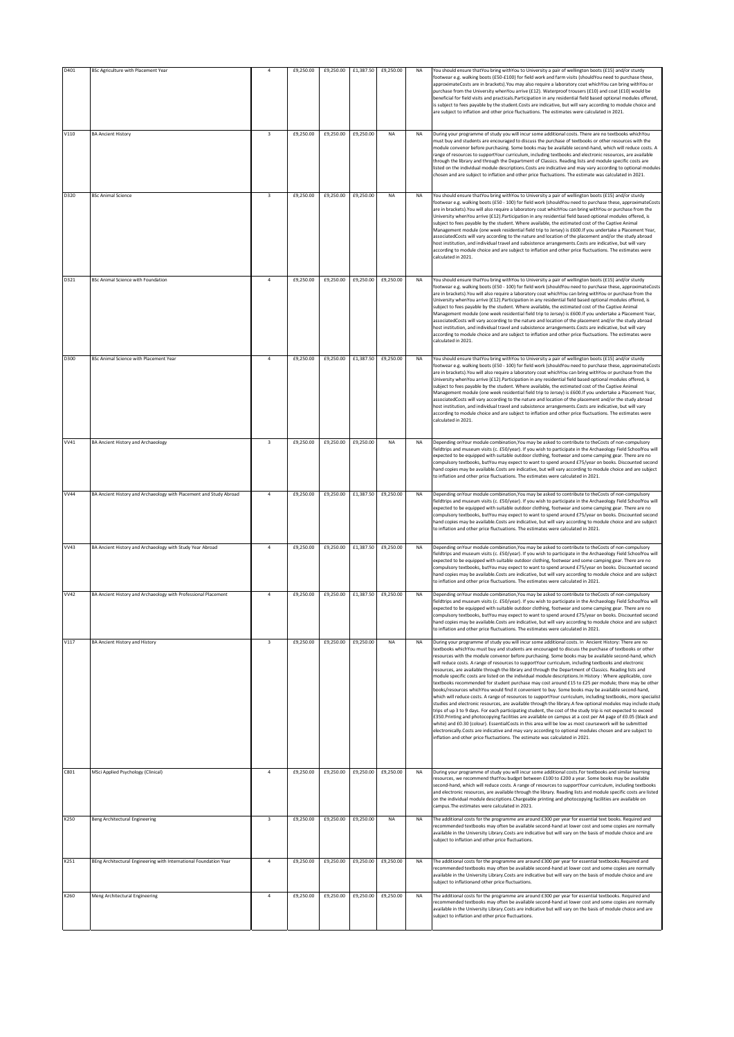| D401        | BSc Agriculture with Placement Year                                | $\overline{a}$          | £9,250.00 | £9,250.00 | £1,387.50 | £9,250.00 | NA        | You should ensure thatYou bring withYou to University a pair of wellington boots (£15) and/or sturdy<br>footwear e.g. walking boots (£50-£100) for field work and farm visits (shouldYou need to purchase these,<br>approximateCosts are in brackets). You may also require a laboratory coat whichYou can bring withYou or<br>purchase from the University whenYou arrive (£12). Waterproof trousers (£10) and coat (£10) would be<br>beneficial for field visits and practicals. Participation in any residential field based optional modules offered,<br>is subject to fees payable by the student.Costs are indicative, but will vary according to module choice and<br>are subject to inflation and other price fluctuations. The estimates were calculated in 2021.                                                                                                                                                                                                                                                                                                                                                                                                                                                                                                                                                                                                                                                                                                                                                                                                                                                                    |
|-------------|--------------------------------------------------------------------|-------------------------|-----------|-----------|-----------|-----------|-----------|-----------------------------------------------------------------------------------------------------------------------------------------------------------------------------------------------------------------------------------------------------------------------------------------------------------------------------------------------------------------------------------------------------------------------------------------------------------------------------------------------------------------------------------------------------------------------------------------------------------------------------------------------------------------------------------------------------------------------------------------------------------------------------------------------------------------------------------------------------------------------------------------------------------------------------------------------------------------------------------------------------------------------------------------------------------------------------------------------------------------------------------------------------------------------------------------------------------------------------------------------------------------------------------------------------------------------------------------------------------------------------------------------------------------------------------------------------------------------------------------------------------------------------------------------------------------------------------------------------------------------------------------------|
| V110        | <b>BA Ancient History</b>                                          | $\overline{\mathbf{3}}$ | £9,250.00 | £9,250.00 | £9,250.00 | NA        | NA        | During your programme of study you will incur some additional costs. There are no textbooks whichYou<br>must buy and students are encouraged to discuss the purchase of textbooks or other resources with the<br>module convenor before purchasing. Some books may be available second-hand, which will reduce costs. A<br>range of resources to supportYour curriculum, including textbooks and electronic resources, are available<br>through the library and through the Department of Classics. Reading lists and module specific costs are<br>listed on the individual module descriptions. Costs are indicative and may vary according to optional modules<br>chosen and are subject to inflation and other price fluctuations. The estimate was calculated in 2021.                                                                                                                                                                                                                                                                                                                                                                                                                                                                                                                                                                                                                                                                                                                                                                                                                                                                    |
| D320        | <b>BSc Animal Science</b>                                          | $\overline{\mathbf{3}}$ | £9,250.00 | £9,250.00 | £9,250.00 | NA        | <b>NA</b> | You should ensure thatYou bring withYou to University a pair of wellington boots (£15) and/or sturdy<br>footwear e.g. walking boots (£50 - 100) for field work (shouldYou need to purchase these, approximateCosts<br>are in brackets). You will also require a laboratory coat which You can bring with You or purchase from the<br>University whenYou arrive (£12). Participation in any residential field based optional modules offered, is<br>subject to fees payable by the student. Where available, the estimated cost of the Captive Animal<br>Management module (one week residential field trip to Jersey) is £600.If you undertake a Placement Year,<br>associatedCosts will vary according to the nature and location of the placement and/or the study abroad<br>host institution, and individual travel and subsistence arrangements. Costs are indicative, but will vary<br>according to module choice and are subject to inflation and other price fluctuations. The estimates were<br>calculated in 2021.                                                                                                                                                                                                                                                                                                                                                                                                                                                                                                                                                                                                                   |
| D321        | <b>BSc Animal Science with Foundation</b>                          | $\ddot{4}$              | £9,250.00 | £9,250.00 | £9,250.00 | £9,250.00 | <b>NA</b> | You should ensure thatYou bring withYou to University a pair of wellington boots (£15) and/or sturdy<br>footwear e.g. walking boots (£50 - 100) for field work (shouldYou need to purchase these, approximateCosts<br>are in brackets). You will also require a laboratory coat which You can bring with You or purchase from the<br>University whenYou arrive (£12). Participation in any residential field based optional modules offered, is<br>subject to fees payable by the student. Where available, the estimated cost of the Captive Animal<br>Management module (one week residential field trip to Jersey) is £600. If you undertake a Placement Year,<br>associatedCosts will vary according to the nature and location of the placement and/or the study abroad<br>host institution, and individual travel and subsistence arrangements. Costs are indicative, but will vary<br>according to module choice and are subject to inflation and other price fluctuations. The estimates were<br>calculated in 2021.                                                                                                                                                                                                                                                                                                                                                                                                                                                                                                                                                                                                                  |
| D300        | BSc Animal Science with Placement Year                             | $\overline{4}$          | £9,250.00 | £9,250.00 | £1,387.50 | £9,250.00 | NA        | You should ensure thatYou bring withYou to University a pair of wellington boots (£15) and/or sturdy<br>footwear e.g. walking boots (£50 - 100) for field work (shouldYou need to purchase these, approximateCosts<br>are in brackets). You will also require a laboratory coat which You can bring with You or purchase from the<br>University whenYou arrive (£12). Participation in any residential field based optional modules offered, is<br>subject to fees payable by the student. Where available, the estimated cost of the Captive Animal<br>Management module (one week residential field trip to Jersey) is £600.If you undertake a Placement Year,<br>associatedCosts will vary according to the nature and location of the placement and/or the study abroad<br>host institution, and individual travel and subsistence arrangements. Costs are indicative, but will vary<br>according to module choice and are subject to inflation and other price fluctuations. The estimates were<br>calculated in 2021.                                                                                                                                                                                                                                                                                                                                                                                                                                                                                                                                                                                                                   |
| VV41        | <b>BA Ancient History and Archaeology</b>                          | $\overline{\mathbf{3}}$ | £9,250.00 | £9,250.00 | £9,250.00 | <b>NA</b> | <b>NA</b> | Depending on Your module combination, You may be asked to contribute to the Costs of non-compulsory<br>fieldtrips and museum visits (c. £50/year). If you wish to participate in the Archaeology Field SchoolYou will<br>expected to be equipped with suitable outdoor clothing, footwear and some camping gear. There are no<br>compulsory textbooks, butYou may expect to want to spend around £75/year on books. Discounted second<br>hand copies may be available.Costs are indicative, but will vary according to module choice and are subject<br>to inflation and other price fluctuations. The estimates were calculated in 2021.                                                                                                                                                                                                                                                                                                                                                                                                                                                                                                                                                                                                                                                                                                                                                                                                                                                                                                                                                                                                     |
| <b>W44</b>  | BA Ancient History and Archaeology with Placement and Study Abroad | $\overline{a}$          | £9,250.00 | £9,250.00 | £1,387.50 | £9,250.00 | <b>NA</b> | Depending onYour module combination, You may be asked to contribute to theCosts of non-compulsory<br>fieldtrips and museum visits (c. £50/year). If you wish to participate in the Archaeology Field SchoolYou will<br>expected to be equipped with suitable outdoor clothing, footwear and some camping gear. There are no<br>compulsory textbooks, butYou may expect to want to spend around £75/year on books. Discounted second<br>hand copies may be available.Costs are indicative, but will vary according to module choice and are subject<br>to inflation and other price fluctuations. The estimates were calculated in 2021.                                                                                                                                                                                                                                                                                                                                                                                                                                                                                                                                                                                                                                                                                                                                                                                                                                                                                                                                                                                                       |
| VV43        | BA Ancient History and Archaeology with Study Year Abroad          | $\overline{a}$          | £9,250.00 | £9,250.00 | £1,387.50 | £9,250.00 | <b>NA</b> | Depending on Your module combination, You may be asked to contribute to the Costs of non-compulsory<br>fieldtrips and museum visits (c. £50/year). If you wish to participate in the Archaeology Field SchoolYou will<br>expected to be equipped with suitable outdoor clothing, footwear and some camping gear. There are no<br>compulsory textbooks, butYou may expect to want to spend around £75/year on books. Discounted second<br>hand copies may be available.Costs are indicative, but will vary according to module choice and are subject<br>to inflation and other price fluctuations. The estimates were calculated in 2021.                                                                                                                                                                                                                                                                                                                                                                                                                                                                                                                                                                                                                                                                                                                                                                                                                                                                                                                                                                                                     |
| <b>VV42</b> | BA Ancient History and Archaeology with Professional Placement     | $\overline{4}$          | £9,250.00 | £9,250.00 | £1,387.50 | £9,250.00 | <b>NA</b> | Depending on Your module combination. You may be asked to contribute to the Costs of non-compulsory<br>fieldtrips and museum visits (c. £50/year). If you wish to participate in the Archaeology Field SchoolYou will<br>expected to be equipped with suitable outdoor clothing, footwear and some camping gear. There are no<br>compulsory textbooks, butYou may expect to want to spend around £75/year on books. Discounted second<br>hand copies may be available.Costs are indicative, but will vary according to module choice and are subject<br>to inflation and other price fluctuations. The estimates were calculated in 2021.                                                                                                                                                                                                                                                                                                                                                                                                                                                                                                                                                                                                                                                                                                                                                                                                                                                                                                                                                                                                     |
| V117        | <b>BA Ancient History and History</b>                              | $\overline{\mathbf{3}}$ | £9.250.00 | £9,250.00 | £9,250.00 | <b>NA</b> | NA        | During your programme of study you will incur some additional costs. In Ancient History: There are no<br>textbooks whichYou must buy and students are encouraged to discuss the purchase of textbooks or other<br>resources with the module convenor before purchasing. Some books may be available second-hand, which<br>will reduce costs. A range of resources to supportYour curriculum, including textbooks and electronic<br>esources, are available through the library and through the Department of Classics. Reading lists and<br>module specific costs are listed on the individual module descriptions.In History : Where applicable, core<br>textbooks recommended for student purchase may cost around £15 to £25 per module; there may be other<br>books/resources whichYou would find it convenient to buy. Some books may be available second-hand,<br>which will reduce costs. A range of resources to supportYour curriculum, including textbooks, more specialist<br>studies and electronic resources, are available through the library.A few optional modules may include study<br>trips of up 3 to 9 days. For each participating student, the cost of the study trip is not expected to exceed<br>£350. Printing and photocopying facilities are available on campus at a cost per A4 page of £0.05 (black and<br>white) and £0.30 (colour). EssentialCosts in this area will be low as most coursework will be submitted<br>electronically.Costs are indicative and may vary according to optional modules chosen and are subject to<br>inflation and other price fluctuations. The estimate was calculated in 2021. |
| C801        | MSci Applied Psychology (Clinical)                                 | $\boldsymbol{4}$        | £9,250.00 | £9,250.00 | £9,250.00 | £9,250.00 | <b>NA</b> | During your programme of study you will incur some additional costs. For textbooks and similar learning<br>resources, we recommend thatYou budget between £100 to £200 a year. Some books may be available<br>second-hand, which will reduce costs. A range of resources to supportYour curriculum, including textbooks<br>and electronic resources, are available through the library. Reading lists and module specific costs are listed<br>on the individual module descriptions. Chargeable printing and photocopying facilities are available on<br>campus. The estimates were calculated in 2021.                                                                                                                                                                                                                                                                                                                                                                                                                                                                                                                                                                                                                                                                                                                                                                                                                                                                                                                                                                                                                                       |
| K250        | Beng Architectural Engineering                                     | $\overline{\mathbf{3}}$ | £9,250.00 | £9,250.00 | £9,250.00 | <b>NA</b> | <b>NA</b> | The additional costs for the programme are around £300 per year for essential text books. Required and<br>recommended textbooks may often be available second-hand at lower cost and some copies are normally<br>available in the University Library.Costs are indicative but will vary on the basis of module choice and are<br>subject to inflation and other price fluctuations.                                                                                                                                                                                                                                                                                                                                                                                                                                                                                                                                                                                                                                                                                                                                                                                                                                                                                                                                                                                                                                                                                                                                                                                                                                                           |
| K251        | BEng Architectural Engineering with International Foundation Year  | $\overline{a}$          | £9,250.00 | £9,250.00 | £9,250.00 | £9,250.00 | NA        | The additional costs for the programme are around £300 per year for essential textbooks.Required and<br>ecommended textbooks may often be available second-hand at lower cost and some copies are normally<br>available in the University Library.Costs are indicative but will vary on the basis of module choice and are<br>subject to inflationand other price fluctuations.                                                                                                                                                                                                                                                                                                                                                                                                                                                                                                                                                                                                                                                                                                                                                                                                                                                                                                                                                                                                                                                                                                                                                                                                                                                               |
| K260        | Meng Architectural Engineering                                     | $\overline{4}$          | £9,250.00 | £9,250.00 | £9,250.00 | £9,250.00 | <b>NA</b> | The additional costs for the programme are around £300 per year for essential textbooks. Required and<br>recommended textbooks may often be available second-hand at lower cost and some copies are normally<br>available in the University Library.Costs are indicative but will vary on the basis of module choice and are<br>subject to inflation and other price fluctuations.                                                                                                                                                                                                                                                                                                                                                                                                                                                                                                                                                                                                                                                                                                                                                                                                                                                                                                                                                                                                                                                                                                                                                                                                                                                            |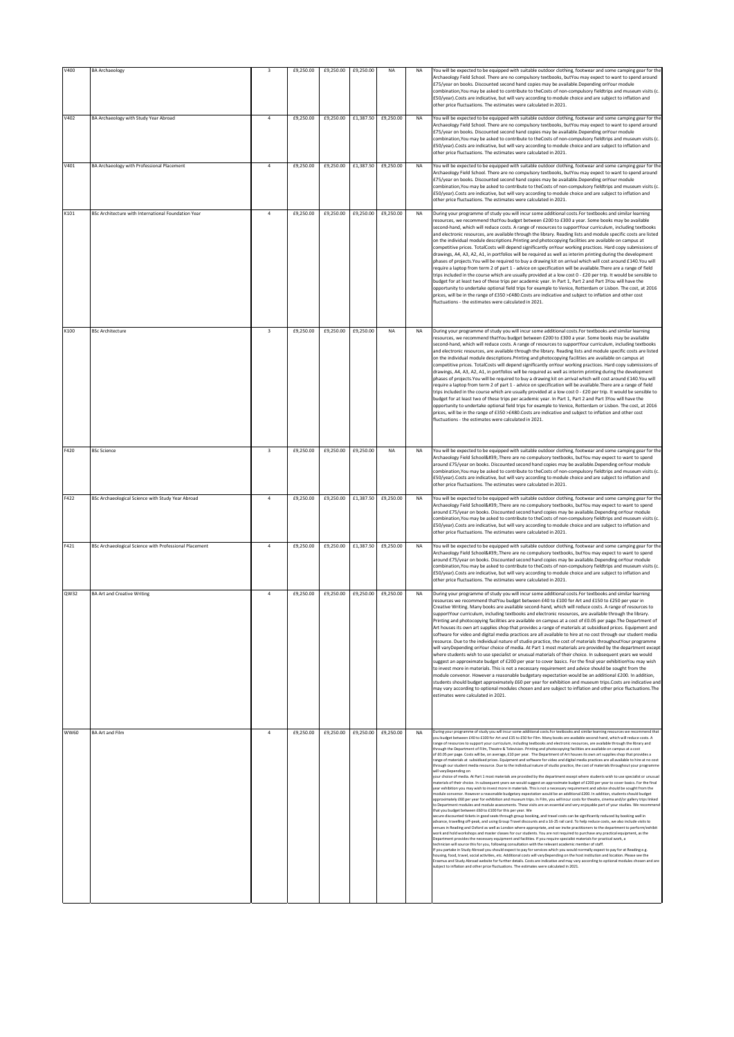| V400        | <b>BA Archaeology</b>                                  | 3                       | £9,250.00 | £9,250.00 | £9,250.00                     | <b>NA</b>           | <b>NA</b> | You will be expected to be equipped with suitable outdoor clothing, footwear and some camping gear for the<br>Archaeology Field School. There are no compulsory textbooks, butYou may expect to want to spend around<br>£75/year on books. Discounted second hand copies may be available.Depending onYour module<br>combination, You may be asked to contribute to theCosts of non-compulsory fieldtrips and museum visits (c.<br>£50/year).Costs are indicative, but will vary according to module choice and are subject to inflation and<br>other price fluctuations. The estimates were calculated in 2021.                                                                                                                                                                                                                                                                                                                                                                                                                                                                                                                                                                                                                                                                                                                                                                                                                                                                                                                                                                                                                                                                                                                                                                                                                                                                                                                                                                                                                                                                                                                                                                                                                                                                                                                                                                                                                                                                                                                                                                                                                                                                                                                                                                                                                                                                                                                                                                                                                                                                                                                                                                                             |
|-------------|--------------------------------------------------------|-------------------------|-----------|-----------|-------------------------------|---------------------|-----------|--------------------------------------------------------------------------------------------------------------------------------------------------------------------------------------------------------------------------------------------------------------------------------------------------------------------------------------------------------------------------------------------------------------------------------------------------------------------------------------------------------------------------------------------------------------------------------------------------------------------------------------------------------------------------------------------------------------------------------------------------------------------------------------------------------------------------------------------------------------------------------------------------------------------------------------------------------------------------------------------------------------------------------------------------------------------------------------------------------------------------------------------------------------------------------------------------------------------------------------------------------------------------------------------------------------------------------------------------------------------------------------------------------------------------------------------------------------------------------------------------------------------------------------------------------------------------------------------------------------------------------------------------------------------------------------------------------------------------------------------------------------------------------------------------------------------------------------------------------------------------------------------------------------------------------------------------------------------------------------------------------------------------------------------------------------------------------------------------------------------------------------------------------------------------------------------------------------------------------------------------------------------------------------------------------------------------------------------------------------------------------------------------------------------------------------------------------------------------------------------------------------------------------------------------------------------------------------------------------------------------------------------------------------------------------------------------------------------------------------------------------------------------------------------------------------------------------------------------------------------------------------------------------------------------------------------------------------------------------------------------------------------------------------------------------------------------------------------------------------------------------------------------------------------------------------------------------------|
| V402        | BA Archaeology with Study Year Abroad                  | $\overline{4}$          | £9,250.00 | £9,250.00 | £1,387.50                     | £9,250.00           | <b>NA</b> | You will be expected to be equipped with suitable outdoor clothing, footwear and some camping gear for the<br>Archaeology Field School. There are no compulsory textbooks, butYou may expect to want to spend around<br>£75/year on books. Discounted second hand copies may be available.Depending onYour module<br>combination, You may be asked to contribute to the Costs of non-compulsory fieldtrips and museum visits (c.<br>£50/year).Costs are indicative, but will vary according to module choice and are subject to inflation and<br>other price fluctuations. The estimates were calculated in 2021.                                                                                                                                                                                                                                                                                                                                                                                                                                                                                                                                                                                                                                                                                                                                                                                                                                                                                                                                                                                                                                                                                                                                                                                                                                                                                                                                                                                                                                                                                                                                                                                                                                                                                                                                                                                                                                                                                                                                                                                                                                                                                                                                                                                                                                                                                                                                                                                                                                                                                                                                                                                            |
| V401        | BA Archaeology with Professional Placement             | $\ddot{4}$              | £9,250.00 | £9,250.00 |                               | £1,387.50 £9,250.00 | <b>NA</b> | You will be expected to be equipped with suitable outdoor clothing, footwear and some camping gear for the<br>Archaeology Field School. There are no compulsory textbooks, butYou may expect to want to spend around<br>£75/year on books. Discounted second hand copies may be available.Depending onYour module<br>combination, You may be asked to contribute to the Costs of non-compulsory fieldtrips and museum visits (c.<br>£50/year).Costs are indicative, but will vary according to module choice and are subject to inflation and<br>other price fluctuations. The estimates were calculated in 2021.                                                                                                                                                                                                                                                                                                                                                                                                                                                                                                                                                                                                                                                                                                                                                                                                                                                                                                                                                                                                                                                                                                                                                                                                                                                                                                                                                                                                                                                                                                                                                                                                                                                                                                                                                                                                                                                                                                                                                                                                                                                                                                                                                                                                                                                                                                                                                                                                                                                                                                                                                                                            |
| K101        | BSc Architecture with International Foundation Year    | 4                       | £9,250.00 | £9,250.00 | £9,250.00                     | £9,250.00           | <b>NA</b> | During your programme of study you will incur some additional costs. For textbooks and similar learning<br>resources, we recommend thatYou budget between £200 to £300 a year. Some books may be available<br>second-hand, which will reduce costs. A range of resources to supportYour curriculum, including textbooks<br>and electronic resources, are available through the library. Reading lists and module specific costs are listed<br>on the individual module descriptions. Printing and photocopying facilities are available on campus at<br>competitive prices. TotalCosts will depend significantly onYour working practices. Hard copy submissions of<br>drawings, A4, A3, A2, A1, in portfolios will be required as well as interim printing during the development<br>phases of projects. You will be required to buy a drawing kit on arrival which will cost around £140. You will<br>require a laptop from term 2 of part 1 - advice on specification will be available. There are a range of field<br>trips included in the course which are usually provided at a low cost 0 - £20 per trip. It would be sensible to<br>budget for at least two of these trips per academic year. In Part 1, Part 2 and Part 3You will have the<br>opportunity to undertake optional field trips for example to Venice, Rotterdam or Lisbon. The cost, at 2016<br>prices, will be in the range of £350 >£480.Costs are indicative and subject to inflation and other cost<br>fluctuations - the estimates were calculated in 2021.                                                                                                                                                                                                                                                                                                                                                                                                                                                                                                                                                                                                                                                                                                                                                                                                                                                                                                                                                                                                                                                                                                                                                                                                                                                                                                                                                                                                                                                                                                                                                                                                                                                                      |
| K100        | <b>BSc Architecture</b>                                | $\overline{\mathbf{3}}$ | £9,250.00 | £9,250.00 | £9,250.00                     | NA                  | <b>NA</b> | During your programme of study you will incur some additional costs. For textbooks and similar learning<br>resources, we recommend thatYou budget between £200 to £300 a year. Some books may be available<br>second-hand, which will reduce costs. A range of resources to supportYour curriculum, including textbooks<br>and electronic resources, are available through the library. Reading lists and module specific costs are listed<br>on the individual module descriptions. Printing and photocopying facilities are available on campus at<br>competitive prices. TotalCosts will depend significantly onYour working practices. Hard copy submissions of<br>drawings, A4, A3, A2, A1, in portfolios will be required as well as interim printing during the development<br>phases of projects. You will be required to buy a drawing kit on arrival which will cost around £140. You will<br>require a laptop from term 2 of part 1 - advice on specification will be available. There are a range of field<br>trips included in the course which are usually provided at a low cost 0 - £20 per trip. It would be sensible to<br>budget for at least two of these trips per academic year. In Part 1, Part 2 and Part 3You will have the<br>opportunity to undertake optional field trips for example to Venice, Rotterdam or Lisbon. The cost, at 2016<br>prices, will be in the range of £350 >£480.Costs are indicative and subject to inflation and other cost<br>fluctuations - the estimates were calculated in 2021.                                                                                                                                                                                                                                                                                                                                                                                                                                                                                                                                                                                                                                                                                                                                                                                                                                                                                                                                                                                                                                                                                                                                                                                                                                                                                                                                                                                                                                                                                                                                                                                                                                                                      |
| F420        | <b>BSc Science</b>                                     | $\overline{\mathbf{3}}$ | £9,250.00 | £9,250.00 | £9,250.00                     | NA                  | <b>NA</b> | You will be expected to be equipped with suitable outdoor clothing, footwear and some camping gear for the<br>Archaeology Field School' There are no compulsory textbooks, butYou may expect to want to spend<br>around £75/year on books. Discounted second hand copies may be available.Depending onYour module<br>combination, You may be asked to contribute to the Costs of non-compulsory fieldtrips and museum visits (c.<br>£50/year).Costs are indicative, but will vary according to module choice and are subject to inflation and<br>other price fluctuations. The estimates were calculated in 2021.                                                                                                                                                                                                                                                                                                                                                                                                                                                                                                                                                                                                                                                                                                                                                                                                                                                                                                                                                                                                                                                                                                                                                                                                                                                                                                                                                                                                                                                                                                                                                                                                                                                                                                                                                                                                                                                                                                                                                                                                                                                                                                                                                                                                                                                                                                                                                                                                                                                                                                                                                                                            |
| F422        | BSc Archaeological Science with Study Year Abroad      | $\ddot{4}$              | £9,250.00 | £9,250.00 | £1,387.50                     | £9,250.00           | <b>NA</b> | You will be expected to be equipped with suitable outdoor clothing, footwear and some camping gear for the<br>Archaeology Field School' There are no compulsory textbooks, butYou may expect to want to spend<br>around £75/year on books. Discounted second hand copies may be available.Depending onYour module<br>combination, You may be asked to contribute to the Costs of non-compulsory fieldtrips and museum visits (c.<br>£50/year).Costs are indicative, but will vary according to module choice and are subject to inflation and<br>other price fluctuations. The estimates were calculated in 2021.                                                                                                                                                                                                                                                                                                                                                                                                                                                                                                                                                                                                                                                                                                                                                                                                                                                                                                                                                                                                                                                                                                                                                                                                                                                                                                                                                                                                                                                                                                                                                                                                                                                                                                                                                                                                                                                                                                                                                                                                                                                                                                                                                                                                                                                                                                                                                                                                                                                                                                                                                                                            |
| F421        | BSc Archaeological Science with Professional Placement | 4                       | £9,250.00 | £9,250.00 |                               | £1,387.50 £9,250.00 | <b>NA</b> | You will be expected to be equipped with suitable outdoor clothing, footwear and some camping gear for the<br>Archaeology Field School' There are no compulsory textbooks, butYou may expect to want to spend<br>around £75/year on books. Discounted second hand copies may be available.Depending onYour module<br>combination, You may be asked to contribute to the Costs of non-compulsory fieldtrips and museum visits (c.<br>£50/year).Costs are indicative, but will vary according to module choice and are subject to inflation and<br>other price fluctuations. The estimates were calculated in 2021.                                                                                                                                                                                                                                                                                                                                                                                                                                                                                                                                                                                                                                                                                                                                                                                                                                                                                                                                                                                                                                                                                                                                                                                                                                                                                                                                                                                                                                                                                                                                                                                                                                                                                                                                                                                                                                                                                                                                                                                                                                                                                                                                                                                                                                                                                                                                                                                                                                                                                                                                                                                            |
| QW32        | <b>BA Art and Creative Writing</b>                     | $\overline{4}$          | £9,250.00 |           | £9,250.00 £9,250.00 £9,250.00 |                     | <b>NA</b> | During your programme of study you will incur some additional costs. For textbooks and similar learning<br>resources we recommend thatYou budget between £40 to £100 for Art and £150 to £250 per year in<br>Creative Writing. Many books are available second-hand, which will reduce costs. A range of resources to<br>supportYour curriculum, including textbooks and electronic resources, are available through the library.<br>Printing and photocopying facilities are available on campus at a cost of £0.05 per page. The Department of<br>Art houses its own art supplies shop that provides a range of materials at subsidised prices. Equipment and<br>software for video and digital media practices are all available to hire at no cost through our student media<br>resource. Due to the individual nature of studio practice, the cost of materials throughoutYour programme<br>will varyDepending onYour choice of media. At Part 1 most materials are provided by the department except<br>where students wish to use specialist or unusual materials of their choice. In subsequent years we would<br>suggest an approximate budget of £200 per year to cover basics. For the final year exhibitionYou may wish<br>to invest more in materials. This is not a necessary requirement and advice should be sought from the<br>module convenor. However a reasonable budgetary expectation would be an additional £200. In addition,<br>students should budget approximately £60 per year for exhibition and museum trips.Costs are indicative and<br>may vary according to optional modules chosen and are subject to inflation and other price fluctuations. The<br>estimates were calculated in 2021.                                                                                                                                                                                                                                                                                                                                                                                                                                                                                                                                                                                                                                                                                                                                                                                                                                                                                                                                                                                                                                                                                                                                                                                                                                                                                                                                                                                                                                                                                    |
| <b>WW60</b> | <b>BA Art and Film</b>                                 | $\overline{4}$          | £9,250.00 | £9,250.00 |                               | £9,250.00 £9,250.00 | <b>NA</b> | During your programme of study you will incur some additional costs.For textbooks and similar learning resources we recommend that<br>you budget between £40 to £100 for Art and £35 to £50 for Film. Many books are available second-hand, which will reduce costs. A<br>range of resources to support your curriculum, including textbooks and electronic resources, are available through the library and<br>through the Department of Film, Theatre & Television. Printing and photocopying facilities are available on campus at a cost<br>of £0.05 per page. Costs will be, on average, £10 per year. The Department of Art houses its own art supplies shop that provides a<br>ange of materials at subsidised prices. Equipment and software for video and digital media practices are all available to hire at no cost<br>through our student media resource. Due to the individual nature of studio practice, the cost of materials throughout your programme<br>will varyDepending on<br>your choice of media. At Part 1 most materials are provided by the department except where students wish to use specialist or unusual<br>naterials of their choice. In subsequent years we would suggest an approximate budget of £200 per year to cover basics. For the final<br>year exhibition you may wish to invest more in materials. This is not a necessary requirement and advice should be sought from the<br>module convenor. However a reasonable budgetary expectation would be an additional £200. In addition, students should budget<br>approximately £60 per year for exhibition and museum trips. In Film, you will incur costs for theatre, cinema and/or gallery trips linked<br>o Department modules and module assessments. These visits are an essential and very enjoyable part of your studies. We recon<br>that you budget between £60 to £100 for this per year. We<br>secure discounted tickets in good seats through group booking, and travel costs can be significantly reduced by booking well in<br>advance, travelling off-peak, and using Group Travel discounts and a 16-25 rail card. To help reduce costs, we also include visits to<br>venues in Reading and Oxford as well as London where appropriate, and we invite practitioners to the department to perform/exhibit<br>work and hold workshops and master classes for our students. You are not required to purchase any practical equipment, as the<br>Department provides the necessary equipment and facilities. If you require specialist materials for practical work, a<br>technician will source this for you, following consultation with the relevant academic member of staff.<br>If you partake in Study Abroad you should expect to pay for services which you would normally expect to pay for at Reading e.g.<br>housing, food, travel, social activities, etc. Additional costs will varyDepending on the host institution and location. Please see the<br>Erasmus and Study Abroad website for further details. Costs are indicative and may vary according to optional modules chosen and are<br>subject to inflation and other price fluctuations. The estimates were calculated in 2021. |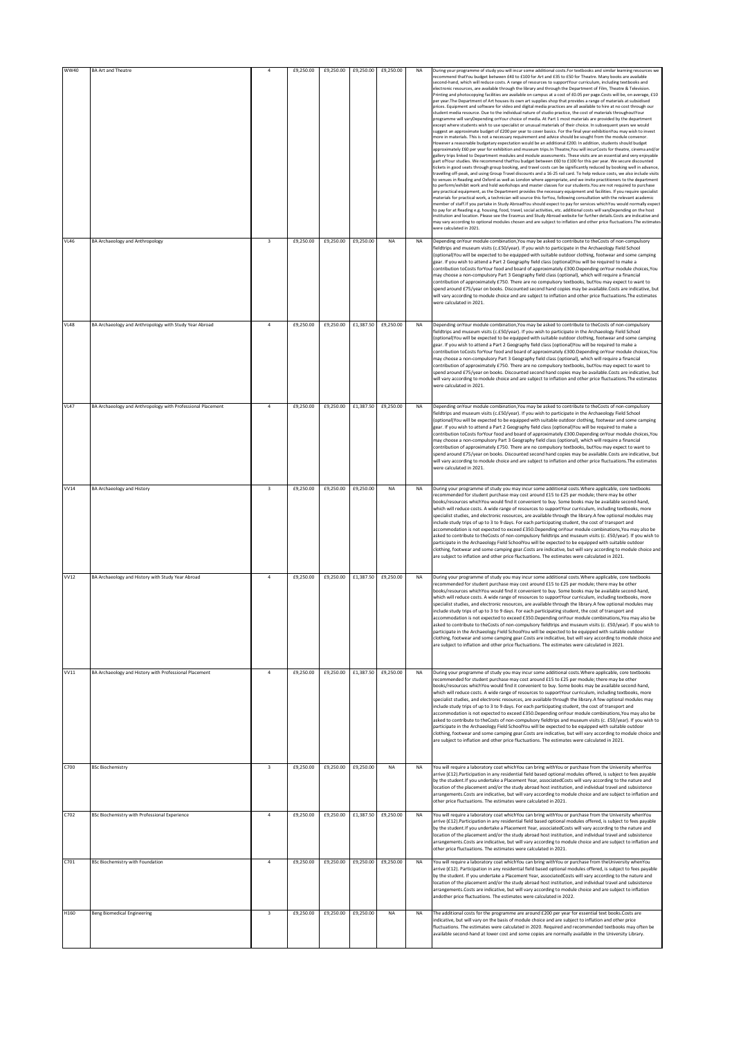| <b>WW40</b> | <b>BA Art and Theatre</b>                                   |                         | £9,250.00 | £9,250.00 | £9,250.00 | £9,250.00 | NA        | During your programme of study you will incur some additional costs. For textbooks and similar learning resources we<br>recommend thatYou budget between £40 to £100 for Art and £35 to £50 for Theatre. Many books are available<br>second-hand, which will reduce costs. A range of resources to supportYour curriculum, including textbooks and<br>electronic resources, are available through the library and through the Department of Film, Theatre & Television.<br>Printing and photocopying facilities are available on campus at a cost of £0.05 per page.Costs will be, on average, £10<br>per year. The Department of Art houses its own art supplies shop that provides a range of materials at subsidised<br>prices. Equipment and software for video and digital media practices are all available to hire at no cost through our<br>student media resource. Due to the individual nature of studio practice, the cost of materials throughoutYour<br>programme will varyDepending onYour choice of media. At Part 1 most materials are provided by the department<br>except where students wish to use specialist or unusual materials of their choice. In subsequent years we would<br>suggest an approximate budget of £200 per year to cover basics. For the final year exhibitionYou may wish to invest<br>more in materials. This is not a necessary requirement and advice should be sought from the module convenor<br>However a reasonable budgetary expectation would be an additional £200. In addition, students should budget<br>approximately £60 per year for exhibition and museum trips.In Theatre, You will incurCosts for theatre, cinema and/or<br>gallery trips linked to Department modules and module assessments. These visits are an essential and very enjoyable<br>part of Your studies. We recommend that You budget between £60 to £100 for this per year. We secure discounted<br>tickets in good seats through group booking, and travel costs can be significantly reduced by booking well in advance<br>travelling off-peak, and using Group Travel discounts and a 16-25 rail card. To help reduce costs, we also include visits<br>to venues in Reading and Oxford as well as London where appropriate, and we invite practitioners to the department<br>to perform/exhibit work and hold workshops and master classes for our students.You are not required to purchase<br>any practical equipment, as the Department provides the necessary equipment and facilities. If you require specialist<br>materials for practical work, a technician will source this forYou, following consultation with the relevant academic<br>member of staff.If you partake in Study AbroadYou should expect to pay for services whichYou would normally expect<br>to pay for at Reading e.g. housing, food, travel, social activities, etc. additional costs will varyDepending on the host<br>institution and location. Please see the Erasmus and Study Abroad website for further details.Costs are indicative and<br>may vary according to optional modules chosen and are subject to inflation and other price fluctuations. The estimates<br>were calculated in 2021. |
|-------------|-------------------------------------------------------------|-------------------------|-----------|-----------|-----------|-----------|-----------|-----------------------------------------------------------------------------------------------------------------------------------------------------------------------------------------------------------------------------------------------------------------------------------------------------------------------------------------------------------------------------------------------------------------------------------------------------------------------------------------------------------------------------------------------------------------------------------------------------------------------------------------------------------------------------------------------------------------------------------------------------------------------------------------------------------------------------------------------------------------------------------------------------------------------------------------------------------------------------------------------------------------------------------------------------------------------------------------------------------------------------------------------------------------------------------------------------------------------------------------------------------------------------------------------------------------------------------------------------------------------------------------------------------------------------------------------------------------------------------------------------------------------------------------------------------------------------------------------------------------------------------------------------------------------------------------------------------------------------------------------------------------------------------------------------------------------------------------------------------------------------------------------------------------------------------------------------------------------------------------------------------------------------------------------------------------------------------------------------------------------------------------------------------------------------------------------------------------------------------------------------------------------------------------------------------------------------------------------------------------------------------------------------------------------------------------------------------------------------------------------------------------------------------------------------------------------------------------------------------------------------------------------------------------------------------------------------------------------------------------------------------------------------------------------------------------------------------------------------------------------------------------------------------------------------------------------------------------------------------------------------------------------------------------------------------------------------------------------------------------------------------------------------------------------------------------------------------------|
| <b>VL46</b> | BA Archaeology and Anthropology                             | $\overline{\mathbf{3}}$ | £9,250.00 | £9,250.00 | £9,250.00 | NA        | <b>NA</b> | Depending on Your module combination, You may be asked to contribute to the Costs of non-compulsory<br>fieldtrips and museum visits (c.£50/year). If you wish to participate in the Archaeology Field School<br>(optional)You will be expected to be equipped with suitable outdoor clothing, footwear and some camping<br>gear. If you wish to attend a Part 2 Geography field class (optional)You will be required to make a<br>contribution toCosts forYour food and board of approximately £300.Depending onYour module choices, You<br>may choose a non-compulsory Part 3 Geography field class (optional), which will require a financial<br>contribution of approximately £750. There are no compulsory textbooks, butYou may expect to want to<br>spend around £75/year on books. Discounted second hand copies may be available.Costs are indicative, but<br>will vary according to module choice and are subject to inflation and other price fluctuations. The estimates<br>were calculated in 2021.                                                                                                                                                                                                                                                                                                                                                                                                                                                                                                                                                                                                                                                                                                                                                                                                                                                                                                                                                                                                                                                                                                                                                                                                                                                                                                                                                                                                                                                                                                                                                                                                                                                                                                                                                                                                                                                                                                                                                                                                                                                                                                                                                                                                 |
| <b>VL48</b> | BA Archaeology and Anthropology with Study Year Abroad      | $\overline{a}$          | £9,250.00 | £9,250.00 | £1,387.50 | £9,250.00 | NA        | Depending on Your module combination. You may be asked to contribute to the Costs of non-compulsory<br>fieldtrips and museum visits (c.£50/year). If you wish to participate in the Archaeology Field School<br>(optional)You will be expected to be equipped with suitable outdoor clothing, footwear and some camping<br>gear. If you wish to attend a Part 2 Geography field class (optional)You will be required to make a<br>contribution toCosts forYour food and board of approximately £300.Depending onYour module choices, You<br>may choose a non-compulsory Part 3 Geography field class (optional), which will require a financial<br>contribution of approximately £750. There are no compulsory textbooks, butYou may expect to want to<br>spend around £75/year on books. Discounted second hand copies may be available.Costs are indicative, but<br>will vary according to module choice and are subject to inflation and other price fluctuations. The estimates<br>were calculated in 2021.                                                                                                                                                                                                                                                                                                                                                                                                                                                                                                                                                                                                                                                                                                                                                                                                                                                                                                                                                                                                                                                                                                                                                                                                                                                                                                                                                                                                                                                                                                                                                                                                                                                                                                                                                                                                                                                                                                                                                                                                                                                                                                                                                                                                 |
| <b>VL47</b> | BA Archaeology and Anthropology with Professional Placement | $\overline{a}$          | £9,250.00 | £9,250.00 | £1,387.50 | £9,250.00 | <b>NA</b> | Depending onYour module combination, You may be asked to contribute to theCosts of non-compulsory<br>fieldtrips and museum visits (c.£50/year). If you wish to participate in the Archaeology Field School<br>(optional)You will be expected to be equipped with suitable outdoor clothing, footwear and some camping<br>gear. If you wish to attend a Part 2 Geography field class (optional)You will be required to make a<br>contribution toCosts forYour food and board of approximately £300.Depending onYour module choices, You<br>may choose a non-compulsory Part 3 Geography field class (optional), which will require a financial<br>contribution of approximately £750. There are no compulsory textbooks, butYou may expect to want to<br>spend around £75/year on books. Discounted second hand copies may be available.Costs are indicative, but<br>will vary according to module choice and are subject to inflation and other price fluctuations. The estimates<br>were calculated in 2021.                                                                                                                                                                                                                                                                                                                                                                                                                                                                                                                                                                                                                                                                                                                                                                                                                                                                                                                                                                                                                                                                                                                                                                                                                                                                                                                                                                                                                                                                                                                                                                                                                                                                                                                                                                                                                                                                                                                                                                                                                                                                                                                                                                                                   |
| VV14        | <b>BA Archaeology and History</b>                           | $\overline{\mathbf{3}}$ | £9,250.00 | £9,250.00 | £9,250.00 | <b>NA</b> | <b>NA</b> | During your programme of study you may incur some additional costs. Where applicable, core textbooks<br>recommended for student purchase may cost around £15 to £25 per module; there may be other<br>books/resources whichYou would find it convenient to buy. Some books may be available second-hand,<br>which will reduce costs. A wide range of resources to supportYour curriculum, including textbooks, more<br>specialist studies, and electronic resources, are available through the library.A few optional modules may<br>include study trips of up to 3 to 9 days. For each participating student, the cost of transport and<br>accommodation is not expected to exceed £350.Depending onYour module combinations, You may also be<br>asked to contribute to theCosts of non-compulsory fieldtrips and museum visits (c. £50/year). If you wish to<br>participate in the Archaeology Field SchoolYou will be expected to be equipped with suitable outdoor<br>clothing, footwear and some camping gear.Costs are indicative, but will vary according to module choice and<br>are subject to inflation and other price fluctuations. The estimates were calculated in 2021.                                                                                                                                                                                                                                                                                                                                                                                                                                                                                                                                                                                                                                                                                                                                                                                                                                                                                                                                                                                                                                                                                                                                                                                                                                                                                                                                                                                                                                                                                                                                                                                                                                                                                                                                                                                                                                                                                                                                                                                                                          |
| VV12        | BA Archaeology and History with Study Year Abroad           | $\overline{4}$          | £9,250.00 | £9,250.00 | £1,387.50 | £9,250.00 | <b>NA</b> | During your programme of study you may incur some additional costs. Where applicable, core textbooks<br>recommended for student purchase may cost around £15 to £25 per module; there may be other<br>books/resources whichYou would find it convenient to buy. Some books may be available second-hand,<br>which will reduce costs. A wide range of resources to supportYour curriculum, including textbooks, more<br>specialist studies, and electronic resources, are available through the library.A few optional modules may<br>include study trips of up to 3 to 9 days. For each participating student, the cost of transport and<br>iccommodation is not expected to exceed £350.Depending onYour module combinations,You may also be<br>asked to contribute to theCosts of non-compulsory fieldtrips and museum visits (c. £50/year). If you wish to<br>participate in the Archaeology Field SchoolYou will be expected to be equipped with suitable outdoor<br>clothing, footwear and some camping gear.Costs are indicative, but will vary according to module choice and<br>are subject to inflation and other price fluctuations. The estimates were calculated in 2021.                                                                                                                                                                                                                                                                                                                                                                                                                                                                                                                                                                                                                                                                                                                                                                                                                                                                                                                                                                                                                                                                                                                                                                                                                                                                                                                                                                                                                                                                                                                                                                                                                                                                                                                                                                                                                                                                                                                                                                                                                           |
| <b>W11</b>  | BA Archaeology and History with Professional Placement      | $\overline{a}$          | £9,250.00 | £9,250.00 | £1,387.50 | £9,250.00 | NA        | During your programme of study you may incur some additional costs. Where applicable, core textbooks<br>recommended for student purchase may cost around £15 to £25 per module; there may be other<br>books/resources whichYou would find it convenient to buy. Some books may be available second-hand,<br>which will reduce costs. A wide range of resources to supportYour curriculum, including textbooks, more<br>specialist studies, and electronic resources, are available through the library.A few optional modules may<br>include study trips of up to 3 to 9 days. For each participating student, the cost of transport and<br>accommodation is not expected to exceed £350.Depending onYour module combinations, You may also be<br>asked to contribute to theCosts of non-compulsory fieldtrips and museum visits (c. £50/year). If you wish to<br>participate in the Archaeology Field SchoolYou will be expected to be equipped with suitable outdoor<br>clothing, footwear and some camping gear.Costs are indicative, but will vary according to module choice and<br>are subject to inflation and other price fluctuations. The estimates were calculated in 2021.                                                                                                                                                                                                                                                                                                                                                                                                                                                                                                                                                                                                                                                                                                                                                                                                                                                                                                                                                                                                                                                                                                                                                                                                                                                                                                                                                                                                                                                                                                                                                                                                                                                                                                                                                                                                                                                                                                                                                                                                                          |
| C700        | <b>BSc Biochemistry</b>                                     | 3                       | £9,250.00 | £9,250.00 | £9,250.00 | NA        | NA        | You will require a laboratory coat whichYou can bring withYou or purchase from the University whenYou<br>arrive (£12). Participation in any residential field based optional modules offered, is subject to fees payable<br>by the student. If you undertake a Placement Year, associatedCosts will vary according to the nature and<br>location of the placement and/or the study abroad host institution, and individual travel and subsistence<br>arrangements.Costs are indicative, but will vary according to module choice and are subject to inflation and<br>other price fluctuations. The estimates were calculated in 2021.                                                                                                                                                                                                                                                                                                                                                                                                                                                                                                                                                                                                                                                                                                                                                                                                                                                                                                                                                                                                                                                                                                                                                                                                                                                                                                                                                                                                                                                                                                                                                                                                                                                                                                                                                                                                                                                                                                                                                                                                                                                                                                                                                                                                                                                                                                                                                                                                                                                                                                                                                                           |
| C702        | BSc Biochemistry with Professional Experience               | $\mathbf{4}$            | £9,250.00 | £9,250.00 | £1,387.50 | £9,250.00 | <b>NA</b> | You will require a laboratory coat whichYou can bring withYou or purchase from the University whenYou<br>arrive (£12). Participation in any residential field based optional modules offered, is subject to fees payable<br>by the student. If you undertake a Placement Year, associatedCosts will vary according to the nature and<br>location of the placement and/or the study abroad host institution, and individual travel and subsistence<br>arrangements.Costs are indicative, but will vary according to module choice and are subject to inflation and<br>other price fluctuations. The estimates were calculated in 2021.                                                                                                                                                                                                                                                                                                                                                                                                                                                                                                                                                                                                                                                                                                                                                                                                                                                                                                                                                                                                                                                                                                                                                                                                                                                                                                                                                                                                                                                                                                                                                                                                                                                                                                                                                                                                                                                                                                                                                                                                                                                                                                                                                                                                                                                                                                                                                                                                                                                                                                                                                                           |
| C701        | <b>BSc Biochemistry with Foundation</b>                     | $\overline{a}$          | £9,250.00 | £9,250.00 | £9,250.00 | £9,250.00 | <b>NA</b> | You will require a laboratory coat whichYou can bring withYou or purchase from theUniversity whenYou<br>arrive (£12). Participation in any residential field based optional modules offered, is subject to fees payable<br>by the student. If you undertake a Placement Year, associatedCosts will vary according to the nature and<br>location of the placement and/or the study abroad host institution, and individual travel and subsistence<br>arrangements.Costs are indicative, but will vary according to module choice and are subject to inflation<br>andother price fluctuations. The estimates were calculated in 2022.                                                                                                                                                                                                                                                                                                                                                                                                                                                                                                                                                                                                                                                                                                                                                                                                                                                                                                                                                                                                                                                                                                                                                                                                                                                                                                                                                                                                                                                                                                                                                                                                                                                                                                                                                                                                                                                                                                                                                                                                                                                                                                                                                                                                                                                                                                                                                                                                                                                                                                                                                                             |
| H160        | <b>Beng Biomedical Engineering</b>                          | 3                       | £9,250.00 | £9,250.00 | £9,250.00 | NA        | NA        | The additional costs for the programme are around £200 per year for essential text books.Costs are<br>indicative, but will vary on the basis of module choice and are subject to inflation and other price<br>fluctuations. The estimates were calculated in 2020. Required and recommended textbooks may often be<br>available second-hand at lower cost and some copies are normally available in the University Library.                                                                                                                                                                                                                                                                                                                                                                                                                                                                                                                                                                                                                                                                                                                                                                                                                                                                                                                                                                                                                                                                                                                                                                                                                                                                                                                                                                                                                                                                                                                                                                                                                                                                                                                                                                                                                                                                                                                                                                                                                                                                                                                                                                                                                                                                                                                                                                                                                                                                                                                                                                                                                                                                                                                                                                                     |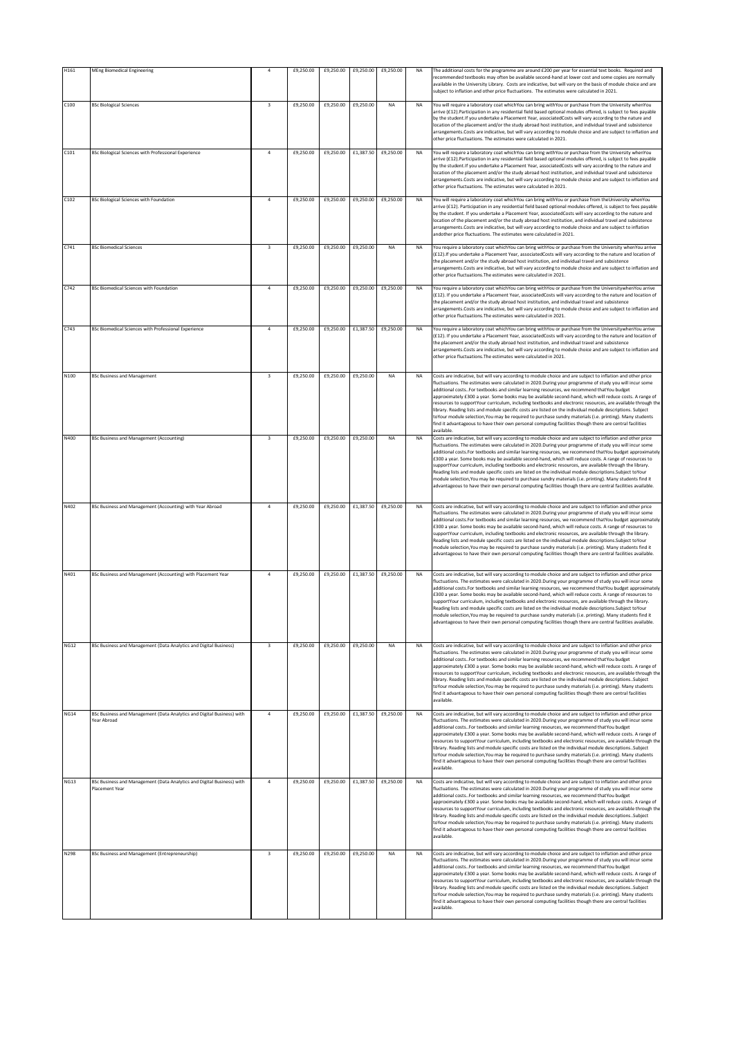| H161        | <b>MEng Biomedical Engineering</b>                                                       | $\ddot{a}$              | £9,250.00 | £9,250.00 | £9,250.00           | £9,250.00 | NA        | The additional costs for the programme are around £200 per year for essential text books. Required and<br>recommended textbooks may often be available second-hand at lower cost and some copies are normally<br>available in the University Library. Costs are indicative, but will vary on the basis of module choice and are<br>subject to inflation and other price fluctuations. The estimates were calculated in 2021.                                                                                                                                                                                                                                                                                                                                                                                                                                                                      |
|-------------|------------------------------------------------------------------------------------------|-------------------------|-----------|-----------|---------------------|-----------|-----------|---------------------------------------------------------------------------------------------------------------------------------------------------------------------------------------------------------------------------------------------------------------------------------------------------------------------------------------------------------------------------------------------------------------------------------------------------------------------------------------------------------------------------------------------------------------------------------------------------------------------------------------------------------------------------------------------------------------------------------------------------------------------------------------------------------------------------------------------------------------------------------------------------|
| C100        | <b>BSc Biological Sciences</b>                                                           | $\overline{\mathbf{3}}$ | £9,250.00 | £9,250.00 | £9,250.00           | NA        | NA        | You will require a laboratory coat whichYou can bring withYou or purchase from the University whenYou<br>arrive (£12). Participation in any residential field based optional modules offered, is subject to fees payable<br>by the student. If you undertake a Placement Year, associatedCosts will vary according to the nature and<br>location of the placement and/or the study abroad host institution, and individual travel and subsistence<br>arrangements.Costs are indicative, but will vary according to module choice and are subject to inflation and<br>other price fluctuations. The estimates were calculated in 2021.                                                                                                                                                                                                                                                             |
| C101        | BSc Biological Sciences with Professional Experience                                     | $\overline{a}$          | £9,250.00 | £9,250.00 | £1,387.50           | £9,250.00 | NA        | You will require a laboratory coat whichYou can bring withYou or purchase from the University whenYou<br>arrive (£12). Participation in any residential field based optional modules offered, is subject to fees payable<br>by the student. If you undertake a Placement Year, associatedCosts will vary according to the nature and<br>location of the placement and/or the study abroad host institution, and individual travel and subsistence<br>arrangements.Costs are indicative, but will vary according to module choice and are subject to inflation and<br>other price fluctuations. The estimates were calculated in 2021.                                                                                                                                                                                                                                                             |
| C102        | <b>BSc Biological Sciences with Foundation</b>                                           | $\overline{a}$          | £9,250.00 | £9,250.00 | £9,250.00           | £9,250.00 | NA        | You will require a laboratory coat whichYou can bring withYou or purchase from theUniversity whenYou<br>arrive (£12). Participation in any residential field based optional modules offered, is subject to fees payable<br>by the student. If you undertake a Placement Year, associatedCosts will vary according to the nature and<br>location of the placement and/or the study abroad host institution, and individual travel and subsistence<br>arrangements.Costs are indicative, but will vary according to module choice and are subject to inflation<br>andother price fluctuations. The estimates were calculated in 2021.                                                                                                                                                                                                                                                               |
| C741        | <b>BSc Biomedical Sciences</b>                                                           | $\overline{\mathbf{3}}$ | £9,250.00 | £9,250.00 | £9,250.00           | NA        | <b>NA</b> | You require a laboratory coat whichYou can bring withYou or purchase from the University whenYou arrive<br>(£12). If you undertake a Placement Year, associatedCosts will vary according to the nature and location of<br>the placement and/or the study abroad host institution, and individual travel and subsistence<br>arrangements.Costs are indicative, but will vary according to module choice and are subject to inflation and<br>other price fluctuations. The estimates were calculated in 2021.                                                                                                                                                                                                                                                                                                                                                                                       |
| C742        | <b>BSc Biomedical Sciences with Foundation</b>                                           | $\overline{a}$          | £9,250.00 | £9,250.00 | £9,250.00           | £9,250.00 | <b>NA</b> | You require a laboratory coat whichYou can bring withYou or purchase from the UniversitywhenYou arrive<br>(£12). If you undertake a Placement Year, associatedCosts will vary according to the nature and location of<br>the placement and/or the study abroad host institution, and individual travel and subsistence<br>arrangements.Costs are indicative, but will vary according to module choice and are subject to inflation and<br>other price fluctuations. The estimates were calculated in 2021.                                                                                                                                                                                                                                                                                                                                                                                        |
| C743        | BSc Biomedical Sciences with Professional Experience                                     | $\overline{a}$          | £9,250.00 | £9,250.00 | £1,387.50           | £9,250.00 | NA        | You require a laboratory coat whichYou can bring withYou or purchase from the UniversitywhenYou arrive<br>(£12). If you undertake a Placement Year, associatedCosts will vary according to the nature and location of<br>the placement and/or the study abroad host institution, and individual travel and subsistence<br>arrangements.Costs are indicative, but will vary according to module choice and are subject to inflation and<br>other price fluctuations. The estimates were calculated in 2021.                                                                                                                                                                                                                                                                                                                                                                                        |
| N100        | <b>BSc Business and Management</b>                                                       | $\overline{\mathbf{3}}$ | £9,250.00 | £9,250.00 | £9,250.00           | NA        | <b>NA</b> | Costs are indicative, but will vary according to module choice and are subject to inflation and other price<br>fluctuations. The estimates were calculated in 2020.During your programme of study you will incur some<br>additional costsFor textbooks and similar learning resources, we recommend thatYou budget<br>approximately £300 a year. Some books may be available second-hand, which will reduce costs. A range of<br>resources to supportYour curriculum, including textbooks and electronic resources, are available through the<br>library. Reading lists and module specific costs are listed on the individual module descriptions. Subject<br>toYour module selection, You may be required to purchase sundry materials (i.e. printing). Many students<br>find it advantageous to have their own personal computing facilities though there are central facilities<br>available. |
| N400        | BSc Business and Management (Accounting)                                                 | $\overline{\mathbf{3}}$ | £9,250.00 | £9,250.00 | £9,250.00           | <b>NA</b> | NA        | Costs are indicative, but will vary according to module choice and are subject to inflation and other price<br>fluctuations. The estimates were calculated in 2020.During your programme of study you will incur some<br>additional costs.For textbooks and similar learning resources, we recommend thatYou budget approximately<br>£300 a year. Some books may be available second-hand, which will reduce costs. A range of resources to<br>supportYour curriculum, including textbooks and electronic resources, are available through the library.<br>Reading lists and module specific costs are listed on the individual module descriptions. Subject toYour<br>module selection, You may be required to purchase sundry materials (i.e. printing). Many students find it<br>advantageous to have their own personal computing facilities though there are central facilities available.   |
| N402        | BSc Business and Management (Accounting) with Year Abroad                                | $\overline{a}$          | £9,250.00 | £9,250.00 | £1,387.50           | £9,250.00 | <b>NA</b> | Costs are indicative, but will vary according to module choice and are subject to inflation and other price<br>fluctuations. The estimates were calculated in 2020.During your programme of study you will incur some<br>additional costs. For textbooks and similar learning resources, we recommend thatYou budget approximately<br>£300 a year. Some books may be available second-hand, which will reduce costs. A range of resources to<br>supportYour curriculum, including textbooks and electronic resources, are available through the library.<br>Reading lists and module specific costs are listed on the individual module descriptions.Subject toYour<br>module selection, You may be required to purchase sundry materials (i.e. printing). Many students find it<br>advantageous to have their own personal computing facilities though there are central facilities available.   |
| N401        | BSc Business and Management (Accounting) with Placement Year                             | $\overline{4}$          | £9,250.00 | £9,250.00 | £1,387.50           | £9,250.00 | NA        | Costs are indicative, but will vary according to module choice and are subject to inflation and other price<br>fluctuations. The estimates were calculated in 2020.During your programme of study you will incur some<br>additional costs. For textbooks and similar learning resources, we recommend thatYou budget approximately<br>£300 a year. Some books may be available second-hand, which will reduce costs. A range of resources to<br>supportYour curriculum, including textbooks and electronic resources, are available through the library.<br>Reading lists and module specific costs are listed on the individual module descriptions. Subject toYour<br>module selection, You may be required to purchase sundry materials (i.e. printing). Many students find it<br>advantageous to have their own personal computing facilities though there are central facilities available.  |
| <b>NG12</b> | BSc Business and Management (Data Analytics and Digital Business)                        | $\overline{\mathbf{3}}$ | £9,250.00 | £9,250.00 | £9,250.00           | <b>NA</b> | <b>NA</b> | Costs are indicative, but will vary according to module choice and are subject to inflation and other price<br>fluctuations. The estimates were calculated in 2020.During your programme of study you will incur some<br>additional costsFor textbooks and similar learning resources, we recommend thatYou budget<br>approximately £300 a year. Some books may be available second-hand, which will reduce costs. A range of<br>resources to supportYour curriculum, including textbooks and electronic resources, are available through the<br>library. Reading lists and module specific costs are listed on the individual module descriptions. Subject<br>toYour module selection,You may be required to purchase sundry materials (i.e. printing). Many students<br>find it advantageous to have their own personal computing facilities though there are central facilities<br>available.  |
| <b>NG14</b> | BSc Business and Management (Data Analytics and Digital Business) with<br>Year Abroad    | $\overline{a}$          | £9,250.00 | £9,250.00 | £1,387.50 £9,250.00 |           | <b>NA</b> | Costs are indicative, but will vary according to module choice and are subject to inflation and other price<br>fluctuations. The estimates were calculated in 2020.During your programme of study you will incur some<br>additional costsFor textbooks and similar learning resources, we recommend thatYou budget<br>approximately £300 a year. Some books may be available second-hand, which will reduce costs. A range of<br>resources to supportYour curriculum, including textbooks and electronic resources, are available through the<br>library. Reading lists and module specific costs are listed on the individual module descriptionsSubject<br>toYour module selection,You may be required to purchase sundry materials (i.e. printing). Many students<br>find it advantageous to have their own personal computing facilities though there are central facilities<br>available.    |
| <b>NG13</b> | BSc Business and Management (Data Analytics and Digital Business) with<br>Placement Year | $\overline{a}$          | £9,250.00 | £9,250.00 | £1,387.50           | £9,250.00 | <b>NA</b> | Costs are indicative, but will vary according to module choice and are subject to inflation and other price<br>fluctuations. The estimates were calculated in 2020.During your programme of study you will incur some<br>additional costsFor textbooks and similar learning resources, we recommend thatYou budget<br>approximately £300 a year. Some books may be available second-hand, which will reduce costs. A range of<br>resources to supportYour curriculum, including textbooks and electronic resources, are available through the<br>library. Reading lists and module specific costs are listed on the individual module descriptionsSubject<br>toYour module selection,You may be required to purchase sundry materials (i.e. printing). Many students<br>find it advantageous to have their own personal computing facilities though there are central facilities<br>available.    |
| N298        | BSc Business and Management (Entrepreneurship)                                           | 3                       | £9,250.00 | £9,250.00 | £9,250.00           | <b>NA</b> | <b>NA</b> | Costs are indicative, but will vary according to module choice and are subject to inflation and other price<br>fluctuations. The estimates were calculated in 2020.During your programme of study you will incur some<br>additional costsFor textbooks and similar learning resources, we recommend thatYou budget<br>approximately £300 a year. Some books may be available second-hand, which will reduce costs. A range of<br>resources to supportYour curriculum, including textbooks and electronic resources, are available through the<br>library. Reading lists and module specific costs are listed on the individual module descriptionsSubject<br>toYour module selection,You may be required to purchase sundry materials (i.e. printing). Many students<br>find it advantageous to have their own personal computing facilities though there are central facilities<br>available.    |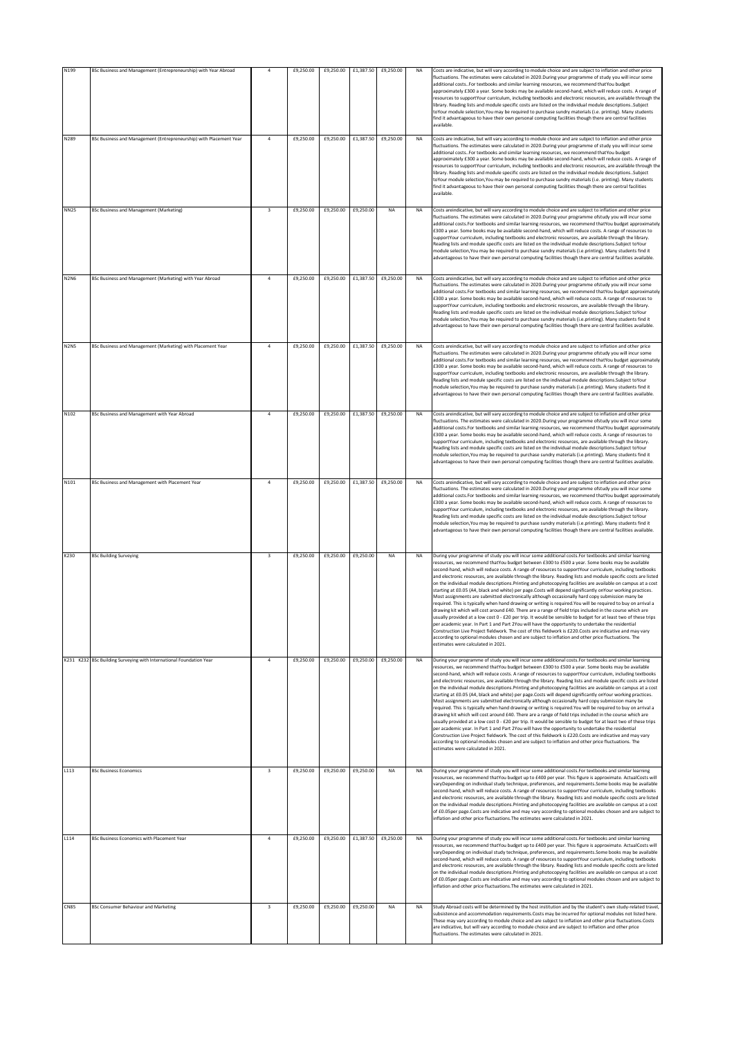| N199        | BSc Business and Management (Entrepreneurship) with Year Abroad     | $\overline{4}$          | £9,250.00 | £9,250.00 | £1.387.50 | £9,250.00 | <b>NA</b> | Costs are indicative, but will vary according to module choice and are subject to inflation and other price<br>fluctuations. The estimates were calculated in 2020.During your programme of study you will incur some<br>additional costsFor textbooks and similar learning resources, we recommend thatYou budget<br>approximately £300 a year. Some books may be available second-hand, which will reduce costs. A range of<br>resources to supportYour curriculum, including textbooks and electronic resources, are available through the<br>library. Reading lists and module specific costs are listed on the individual module descriptionsSubject<br>toYour module selection,You may be required to purchase sundry materials (i.e. printing). Many students<br>find it advantageous to have their own personal computing facilities though there are central facilities<br>available                                                                                                                                                                                                                                                                                                                                                                                                                                                                                                                                                                                                  |
|-------------|---------------------------------------------------------------------|-------------------------|-----------|-----------|-----------|-----------|-----------|------------------------------------------------------------------------------------------------------------------------------------------------------------------------------------------------------------------------------------------------------------------------------------------------------------------------------------------------------------------------------------------------------------------------------------------------------------------------------------------------------------------------------------------------------------------------------------------------------------------------------------------------------------------------------------------------------------------------------------------------------------------------------------------------------------------------------------------------------------------------------------------------------------------------------------------------------------------------------------------------------------------------------------------------------------------------------------------------------------------------------------------------------------------------------------------------------------------------------------------------------------------------------------------------------------------------------------------------------------------------------------------------------------------------------------------------------------------------------------------------|
| N289        | BSc Business and Management (Entrepreneurship) with Placement Year  | $\overline{a}$          | £9,250.00 | £9,250.00 | £1,387.50 | £9,250.00 | <b>NA</b> | Costs are indicative, but will vary according to module choice and are subject to inflation and other price<br>fluctuations. The estimates were calculated in 2020.During your programme of study you will incur some<br>additional costsFor textbooks and similar learning resources, we recommend thatYou budget<br>approximately £300 a year. Some books may be available second-hand, which will reduce costs. A range of<br>resources to supportYour curriculum, including textbooks and electronic resources, are available through the<br>library. Reading lists and module specific costs are listed on the individual module descriptions. Subject<br>toYour module selection, You may be required to purchase sundry materials (i.e. printing). Many students<br>find it advantageous to have their own personal computing facilities though there are central facilities<br>available                                                                                                                                                                                                                                                                                                                                                                                                                                                                                                                                                                                               |
| <b>NN25</b> | <b>BSc Business and Management (Marketing)</b>                      | $\overline{\mathbf{3}}$ | £9,250.00 | £9,250.00 | £9,250.00 | NA        | <b>NA</b> | Costs areindicative, but will vary according to module choice and are subject to inflation and other price<br>fluctuations. The estimates were calculated in 2020.During your programme ofstudy you will incur some<br>additional costs. For textbooks and similar learning resources, we recommend thatYou budget approximately<br>£300 a year. Some books may be available second-hand, which will reduce costs. A range of resources to<br>supportYour curriculum, including textbooks and electronic resources, are available through the library.<br>Reading lists and module specific costs are listed on the individual module descriptions. Subject toYour<br>module selection, You may be required to purchase sundry materials (i.e.printing). Many students find it<br>advantageous to have their own personal computing facilities though there are central facilities available.                                                                                                                                                                                                                                                                                                                                                                                                                                                                                                                                                                                                  |
| <b>N2N6</b> | BSc Business and Management (Marketing) with Year Abroad            | $\ddot{4}$              | £9,250.00 | £9,250.00 | £1,387.50 | £9,250.00 | <b>NA</b> | Costs areindicative, but will vary according to module choice and are subject to inflation and other price<br>luctuations. The estimates were calculated in 2020.During your programme ofstudy you will incur some<br>additional costs.For textbooks and similar learning resources, we recommend thatYou budget approximately<br>£300 a year. Some books may be available second-hand, which will reduce costs. A range of resources to<br>supportYour curriculum, including textbooks and electronic resources, are available through the library.<br>Reading lists and module specific costs are listed on the individual module descriptions. Subject toYour<br>module selection. You may be required to purchase sundry materials (i.e. printing). Many students find it<br>advantageous to have their own personal computing facilities though there are central facilities available.                                                                                                                                                                                                                                                                                                                                                                                                                                                                                                                                                                                                   |
| <b>N2N5</b> | BSc Business and Management (Marketing) with Placement Year         | $\overline{4}$          | £9,250.00 | £9,250.00 | £1,387.50 | £9,250.00 | <b>NA</b> | Costs areindicative, but will vary according to module choice and are subject to inflation and other price<br>fluctuations. The estimates were calculated in 2020.During your programme ofstudy you will incur some<br>additional costs.For textbooks and similar learning resources, we recommend thatYou budget approximately<br>£300 a year. Some books may be available second-hand, which will reduce costs. A range of resources to<br>supportYour curriculum, including textbooks and electronic resources, are available through the library.<br>Reading lists and module specific costs are listed on the individual module descriptions. Subject toYour<br>module selection, You may be required to purchase sundry materials (i.e. printing). Many students find it<br>advantageous to have their own personal computing facilities though there are central facilities available.                                                                                                                                                                                                                                                                                                                                                                                                                                                                                                                                                                                                  |
| N102        | BSc Business and Management with Year Abroad                        | $\overline{a}$          | £9,250.00 | £9,250.00 | £1,387.50 | £9,250.00 | NA        | Costs areindicative, but will vary according to module choice and are subject to inflation and other price<br>fluctuations. The estimates were calculated in 2020.During your programme ofstudy you will incur some<br>additional costs. For textbooks and similar learning resources, we recommend thatYou budget approximately<br>£300 a year. Some books may be available second-hand, which will reduce costs. A range of resources to<br>supportYour curriculum, including textbooks and electronic resources, are available through the library.<br>Reading lists and module specific costs are listed on the individual module descriptions. Subject toYour<br>module selection, You may be required to purchase sundry materials (i.e.printing). Many students find it<br>advantageous to have their own personal computing facilities though there are central facilities available.                                                                                                                                                                                                                                                                                                                                                                                                                                                                                                                                                                                                  |
| N101        | BSc Business and Management with Placement Year                     | $\overline{a}$          | £9,250.00 | £9,250.00 | £1,387.50 | £9,250.00 | <b>NA</b> | Costs areindicative, but will vary according to module choice and are subject to inflation and other price<br>fluctuations. The estimates were calculated in 2020.During your programme ofstudy you will incur some<br>additional costs.For textbooks and similar learning resources, we recommend thatYou budget approximately<br>£300 a year. Some books may be available second-hand, which will reduce costs. A range of resources to<br>supportYour curriculum, including textbooks and electronic resources, are available through the library.<br>Reading lists and module specific costs are listed on the individual module descriptions. Subject toYour<br>module selection, You may be required to purchase sundry materials (i.e.printing). Many students find it<br>advantageous to have their own personal computing facilities though there are central facilities available                                                                                                                                                                                                                                                                                                                                                                                                                                                                                                                                                                                                    |
| K230        | <b>BSc Building Surveying</b>                                       | $\overline{\mathbf{3}}$ | £9,250.00 | £9,250.00 | £9,250.00 | <b>NA</b> | <b>NA</b> | During your programme of study you will incur some additional costs. For textbooks and similar learning<br>resources, we recommend thatYou budget between £300 to £500 a year. Some books may be available<br>second-hand, which will reduce costs. A range of resources to supportYour curriculum, including textbooks<br>and electronic resources, are available through the library. Reading lists and module specific costs are listed<br>on the individual module descriptions. Printing and photocopying facilities are available on campus at a cost<br>starting at £0.05 (A4, black and white) per page.Costs will depend significantly onYour working practices.<br>Most assignments are submitted electronically although occasionally hard copy submission many be<br>required. This is typically when hand drawing or writing is required. You will be required to buy on arrival a<br>drawing kit which will cost around £40. There are a range of field trips included in the course which are<br>ally provided at a low cost 0 - £20 per trip. It would be sensible to budget for at least two of these tri<br>per academic year. In Part 1 and Part 2You will have the opportunity to undertake the residential<br>Construction Live Project fieldwork. The cost of this fieldwork is £220.Costs are indicative and may vary<br>according to optional modules chosen and are subject to inflation and other price fluctuations. The<br>estimates were calculated in 2021.      |
|             | K231 K232 BSc Building Surveying with International Foundation Year | $\overline{4}$          | £9,250.00 | £9,250.00 | £9,250.00 | £9,250.00 | <b>NA</b> | During your programme of study you will incur some additional costs. For textbooks and similar learning<br>resources, we recommend thatYou budget between £300 to £500 a year. Some books may be available<br>second-hand, which will reduce costs. A range of resources to supportYour curriculum, including textbooks<br>and electronic resources, are available through the library. Reading lists and module specific costs are listed<br>on the individual module descriptions. Printing and photocopying facilities are available on campus at a cost<br>starting at £0.05 (A4, black and white) per page.Costs will depend significantly onYour working practices.<br>Most assignments are submitted electronically although occasionally hard copy submission many be<br>required. This is typically when hand drawing or writing is required. You will be required to buy on arrival a<br>drawing kit which will cost around £40. There are a range of field trips included in the course which are<br>usually provided at a low cost 0 - £20 per trip. It would be sensible to budget for at least two of these trips<br>oer academic year. In Part 1 and Part 2You will have the opportunity to undertake the residential<br>Construction Live Project fieldwork. The cost of this fieldwork is £220.Costs are indicative and may vary<br>according to optional modules chosen and are subject to inflation and other price fluctuations. The<br>estimates were calculated in 2021. |
| L113        | <b>BSc Business Economics</b>                                       | $\overline{\mathbf{3}}$ | £9,250.00 | £9,250.00 | £9,250.00 | <b>NA</b> | <b>NA</b> | During your programme of study you will incur some additional costs. For textbooks and similar learning<br>resources, we recommend thatYou budget up to £400 per year. This figure is approximate. ActualCosts will<br>varyDepending on individual study technique, preferences, and requirements.Some books may be available<br>second-hand, which will reduce costs. A range of resources to supportYour curriculum, including textbooks<br>and electronic resources, are available through the library. Reading lists and module specific costs are listed<br>on the individual module descriptions. Printing and photocopying facilities are available on campus at a cost<br>of £0.05per page.Costs are indicative and may vary according to optional modules chosen and are subject to<br>inflation and other price fluctuations. The estimates were calculated in 2021.                                                                                                                                                                                                                                                                                                                                                                                                                                                                                                                                                                                                                 |
| L114        | <b>BSc Business Economics with Placement Year</b>                   | $\overline{4}$          | £9,250.00 | £9,250.00 | £1,387.50 | £9,250.00 | <b>NA</b> | During your programme of study you will incur some additional costs. For textbooks and similar learning<br>resources, we recommend thatYou budget up to £400 per year. This figure is approximate. ActualCosts will<br>varyDepending on individual study technique, preferences, and requirements. Some books may be available<br>second-hand, which will reduce costs. A range of resources to supportYour curriculum, including textbooks<br>and electronic resources, are available through the library. Reading lists and module specific costs are listed<br>on the individual module descriptions. Printing and photocopying facilities are available on campus at a cost<br>of £0.05per page.Costs are indicative and may vary according to optional modules chosen and are subject to<br>inflation and other price fluctuations. The estimates were calculated in 2021.                                                                                                                                                                                                                                                                                                                                                                                                                                                                                                                                                                                                                |
| <b>CN85</b> | <b>BSc Consumer Behaviour and Marketing</b>                         | $\overline{\mathbf{3}}$ | £9,250.00 | £9,250.00 | £9,250.00 | <b>NA</b> | <b>NA</b> | Study Abroad costs will be determined by the host institution and by the student's own study-related travel,<br>subsistence and accommodation requirements.Costs may be incurred for optional modules not listed here.<br>These may vary according to module choice and are subject to inflation and other price fluctuations.Costs<br>are indicative, but will vary according to module choice and are subject to inflation and other price<br>fluctuations. The estimates were calculated in 2021.                                                                                                                                                                                                                                                                                                                                                                                                                                                                                                                                                                                                                                                                                                                                                                                                                                                                                                                                                                                           |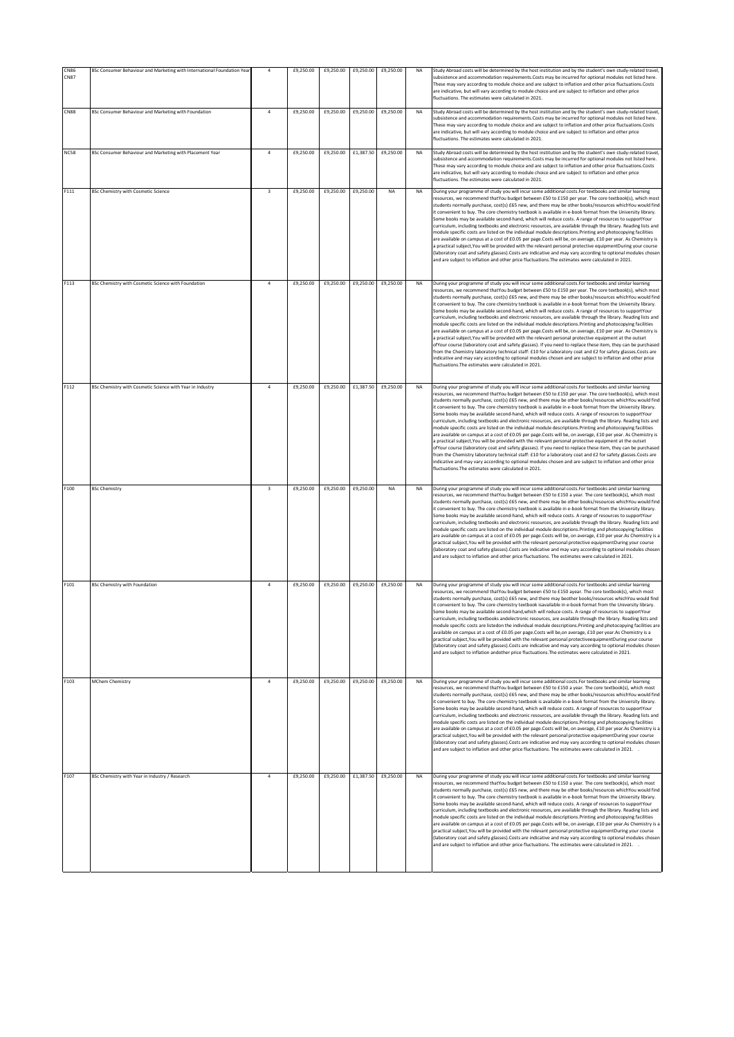|                            |                                                                         | $\overline{a}$          |           | £9,250.00 | £9,250.00 |           |           | Study Abroad costs will be determined by the host institution and by the student's own study-related travel,                                                                                                                                                                                                                                                                                                                                                                                                                                                                                                                                                                                                                                                                                                                                                                                                                                                                                                                                                                                                                                                                                                                                                                                                                                                                                                          |
|----------------------------|-------------------------------------------------------------------------|-------------------------|-----------|-----------|-----------|-----------|-----------|-----------------------------------------------------------------------------------------------------------------------------------------------------------------------------------------------------------------------------------------------------------------------------------------------------------------------------------------------------------------------------------------------------------------------------------------------------------------------------------------------------------------------------------------------------------------------------------------------------------------------------------------------------------------------------------------------------------------------------------------------------------------------------------------------------------------------------------------------------------------------------------------------------------------------------------------------------------------------------------------------------------------------------------------------------------------------------------------------------------------------------------------------------------------------------------------------------------------------------------------------------------------------------------------------------------------------------------------------------------------------------------------------------------------------|
| <b>CN86</b><br><b>CN87</b> | BSc Consumer Behaviour and Marketing with International Foundation Year |                         | £9,250.00 |           |           | £9,250.00 | NA        | subsistence and accommodation requirements.Costs may be incurred for optional modules not listed here<br>These may vary according to module choice and are subject to inflation and other price fluctuations.Costs<br>are indicative, but will vary according to module choice and are subject to inflation and other price<br>fluctuations. The estimates were calculated in 2021.                                                                                                                                                                                                                                                                                                                                                                                                                                                                                                                                                                                                                                                                                                                                                                                                                                                                                                                                                                                                                                   |
| <b>CN88</b>                | BSc Consumer Behaviour and Marketing with Foundation                    | 4                       | £9,250.00 | £9,250.00 | £9,250.00 | £9,250.00 | <b>NA</b> | Study Abroad costs will be determined by the host institution and by the student's own study-related travel,<br>subsistence and accommodation requirements.Costs may be incurred for optional modules not listed here<br>These may vary according to module choice and are subject to inflation and other price fluctuations.Costs<br>are indicative, but will vary according to module choice and are subject to inflation and other price<br>fluctuations. The estimates were calculated in 2021.                                                                                                                                                                                                                                                                                                                                                                                                                                                                                                                                                                                                                                                                                                                                                                                                                                                                                                                   |
| <b>NC58</b>                | BSc Consumer Behaviour and Marketing with Placement Year                | $\ddot{4}$              | £9,250.00 | £9,250.00 | £1,387.50 | £9,250.00 | <b>NA</b> | Study Abroad costs will be determined by the host institution and by the student's own study-related travel,<br>subsistence and accommodation requirements.Costs may be incurred for optional modules not listed here.<br>These may vary according to module choice and are subject to inflation and other price fluctuations.Costs<br>are indicative, but will vary according to module choice and are subject to inflation and other price<br>fluctuations. The estimates were calculated in 2021.                                                                                                                                                                                                                                                                                                                                                                                                                                                                                                                                                                                                                                                                                                                                                                                                                                                                                                                  |
| F111                       | BSc Chemistry with Cosmetic Science                                     | $\overline{\mathbf{3}}$ | £9,250.00 | £9,250.00 | £9,250.00 | NA        | NA        | During your programme of study you will incur some additional costs. For textbooks and similar learning<br>resources, we recommend thatYou budget between £50 to £150 per year. The core textbook(s), which most<br>students normally purchase, cost(s) £65 new, and there may be other books/resources whichYou would find<br>it convenient to buy. The core chemistry textbook is available in e-book format from the University library.<br>Some books may be available second-hand, which will reduce costs. A range of resources to supportYour<br>curriculum, including textbooks and electronic resources, are available through the library. Reading lists and<br>module specific costs are listed on the individual module descriptions. Printing and photocopying facilities<br>are available on campus at a cost of £0.05 per page.Costs will be, on average, £10 per year. As Chemistry is<br>a practical subject, You will be provided with the relevant personal protective equipmentDuring your course<br>(laboratory coat and safety glasses). Costs are indicative and may vary according to optional modules chosen<br>and are subject to inflation and other price fluctuations. The estimates were calculated in 2021.                                                                                                                                                                            |
| F113                       | BSc Chemistry with Cosmetic Science with Foundation                     | $\overline{4}$          | £9,250.00 | £9,250.00 | £9,250.00 | £9,250.00 | <b>NA</b> | During your programme of study you will incur some additional costs. For textbooks and similar learning<br>resources, we recommend thatYou budget between £50 to £150 per year. The core textbook(s), which most<br>students normally purchase, cost(s) £65 new, and there may be other books/resources whichYou would find<br>it convenient to buy. The core chemistry textbook is available in e-book format from the University library.<br>Some books may be available second-hand, which will reduce costs. A range of resources to supportYour<br>curriculum, including textbooks and electronic resources, are available through the library. Reading lists and<br>module specific costs are listed on the individual module descriptions. Printing and photocopying facilities<br>are available on campus at a cost of £0.05 per page.Costs will be, on average, £10 per year. As Chemistry is<br>a practical subject, You will be provided with the relevant personal protective equipment at the outset<br>ofYour course (laboratory coat and safety glasses). If you need to replace these item, they can be purchased<br>rom the Chemistry laboratory technical staff: £10 for a laboratory coat and £2 for safety glasses.Costs are<br>indicative and may vary according to optional modules chosen and are subject to inflation and other price<br>fluctuations. The estimates were calculated in 2021. |
| F112                       | BSc Chemistry with Cosmetic Science with Year in Industry               | 4                       | £9,250.00 | £9,250.00 | £1,387.50 | £9,250.00 | <b>NA</b> | During your programme of study you will incur some additional costs. For textbooks and similar learning<br>resources, we recommend thatYou budget between £50 to £150 per year. The core textbook(s), which most<br>students normally purchase, cost(s) £65 new, and there may be other books/resources whichYou would find<br>it convenient to buy. The core chemistry textbook is available in e-book format from the University library.<br>Some books may be available second-hand, which will reduce costs. A range of resources to supportYour<br>curriculum, including textbooks and electronic resources, are available through the library. Reading lists and<br>module specific costs are listed on the individual module descriptions. Printing and photocopying facilities<br>are available on campus at a cost of £0.05 per page.Costs will be, on average, £10 per year. As Chemistry is<br>a practical subject, You will be provided with the relevant personal protective equipment at the outset<br>ofYour course (laboratory coat and safety glasses). If you need to replace these item, they can be purchased<br>rom the Chemistry laboratory technical staff: £10 for a laboratory coat and £2 for safety glasses.Costs are<br>indicative and may vary according to optional modules chosen and are subject to inflation and other price<br>fluctuations. The estimates were calculated in 2021. |
| F100                       | <b>BSc Chemistry</b>                                                    | 3                       | £9,250.00 | £9,250.00 | £9,250.00 | NA        | <b>NA</b> | During your programme of study you will incur some additional costs. For textbooks and similar learning<br>resources, we recommend thatYou budget between £50 to £150 a year. The core textbook(s), which most<br>students normally purchase, cost(s) £65 new, and there may be other books/resources whichYou would find<br>it convenient to buy. The core chemistry textbook is available in e-book format from the University library.<br>Some books may be available second-hand, which will reduce costs. A range of resources to supportYour<br>curriculum, including textbooks and electronic resources, are available through the library. Reading lists and<br>module specific costs are listed on the individual module descriptions. Printing and photocopying facilities<br>are available on campus at a cost of £0.05 per page.Costs will be, on average, £10 per year.As Chemistry is a<br>practical subject, You will be provided with the relevant personal protective equipmentDuring your course<br>(laboratory coat and safety glasses).Costs are indicative and may vary according to optional modules chosen<br>and are subject to inflation and other price fluctuations. The estimates were calculated in 2021.                                                                                                                                                                                |
| F101                       | <b>BSc Chemistry with Foundation</b>                                    | $\overline{4}$          | £9,250.00 | £9,250.00 | £9,250.00 | £9,250.00 | <b>NA</b> | During your programme of study you will incur some additional costs. For textbooks and similar learning<br>esources, we recommend thatYou budget between £50 to £150 ayear. The core textbook(s), which most<br>students normally purchase, cost(s) £65 new, and there may beother books/resources whichYou would find<br>it convenient to buy. The core chemistry textbook isavailable in e-book format from the University library.<br>Some books may be available second-hand, which will reduce costs. A range of resources to supportYour<br>urriculum, including textbooks andelectronic resources, are available through the library. Reading lists and:<br>module specific costs are listedon the individual module descriptions. Printing and photocopying facilities are<br>available on campus at a cost of £0.05 per page.Costs will be,on average, £10 per year.As Chemistry is a<br>practical subject. You will be provided with the relevant personal protectiveequipmentDuring your course<br>(laboratory coat and safety glasses).Costs are indicative and may vary according to optional modules chosen<br>and are subject to inflation andother price fluctuations. The estimates were calculated in 2021.                                                                                                                                                                                         |
| F103                       | <b>MChem Chemistry</b>                                                  | $\overline{4}$          | £9,250.00 | £9,250.00 | £9,250.00 | £9,250.00 | <b>NA</b> | During your programme of study you will incur some additional costs. For textbooks and similar learning<br>esources, we recommend thatYou budget between £50 to £150 a year. The core textbook(s), which most<br>students normally purchase, cost(s) £65 new, and there may be other books/resources whichYou would find<br>it convenient to buy. The core chemistry textbook is available in e-book format from the University library.<br>Some books may be available second-hand, which will reduce costs. A range of resources to supportYour<br>curriculum, including textbooks and electronic resources, are available through the library. Reading lists and<br>module specific costs are listed on the individual module descriptions. Printing and photocopying facilities<br>are available on campus at a cost of £0.05 per page.Costs will be, on average, £10 per year.As Chemistry is a<br>oractical subject, You will be provided with the relevant personal protective equipmentDuring your course<br>(laboratory coat and safety glasses).Costs are indicative and may vary according to optional modules chosen<br>and are subject to inflation and other price fluctuations. The estimates were calculated in 2021. .                                                                                                                                                                               |
| F107                       | BSc Chemistry with Year in Industry / Research                          | 4                       | £9,250.00 | £9,250.00 | £1,387.50 | £9,250.00 | NA        | During your programme of study you will incur some additional costs. For textbooks and similar learning<br>resources, we recommend thatYou budget between £50 to £150 a year. The core textbook(s), which most<br>students normally purchase, cost(s) £65 new, and there may be other books/resources whichYou would find<br>it convenient to buy. The core chemistry textbook is available in e-book format from the University library.<br>Some books may be available second-hand, which will reduce costs. A range of resources to supportYour<br>curriculum, including textbooks and electronic resources, are available through the library. Reading lists and<br>module specific costs are listed on the individual module descriptions.Printing and photocopying facilities<br>are available on campus at a cost of £0.05 per page.Costs will be, on average, £10 per year.As Chemistry is a<br>practical subject, You will be provided with the relevant personal protective equipmentDuring your course<br>(laboratory coat and safety glasses).Costs are indicative and may vary according to optional modules chosen<br>and are subject to inflation and other price fluctuations. The estimates were calculated in 2021. .                                                                                                                                                                               |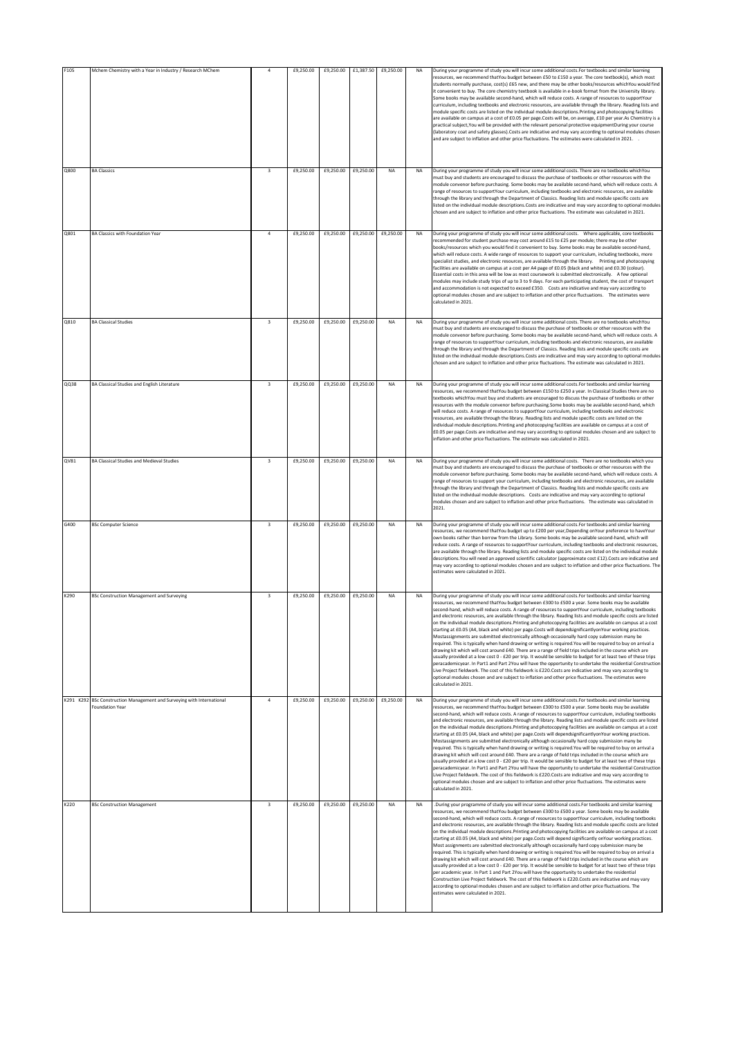| F105      | Mchem Chemistry with a Year in Industry / Research MChem                        | $\overline{a}$          | £9,250.00 | £9,250.00 | £1,387.50 | £9,250.00           | NA        | During your programme of study you will incur some additional costs. For textbooks and similar learning<br>esources, we recommend thatYou budget between £50 to £150 a year. The core textbook(s), which most<br>students normally purchase, cost(s) £65 new, and there may be other books/resources whichYou would find<br>it convenient to buy. The core chemistry textbook is available in e-book format from the University library.<br>Some books may be available second-hand, which will reduce costs. A range of resources to supportYour<br>curriculum, including textbooks and electronic resources, are available through the library. Reading lists and<br>module specific costs are listed on the individual module descriptions.Printing and photocopying facilities<br>are available on campus at a cost of £0.05 per page.Costs will be, on average, £10 per year.As Chemistry is a<br>practical subject, You will be provided with the relevant personal protective equipmentDuring your course<br>(laboratory coat and safety glasses).Costs are indicative and may vary according to optional modules chosen<br>and are subject to inflation and other price fluctuations. The estimates were calculated in 2021. .                                                                                                                                                                                                                                                        |
|-----------|---------------------------------------------------------------------------------|-------------------------|-----------|-----------|-----------|---------------------|-----------|-----------------------------------------------------------------------------------------------------------------------------------------------------------------------------------------------------------------------------------------------------------------------------------------------------------------------------------------------------------------------------------------------------------------------------------------------------------------------------------------------------------------------------------------------------------------------------------------------------------------------------------------------------------------------------------------------------------------------------------------------------------------------------------------------------------------------------------------------------------------------------------------------------------------------------------------------------------------------------------------------------------------------------------------------------------------------------------------------------------------------------------------------------------------------------------------------------------------------------------------------------------------------------------------------------------------------------------------------------------------------------------------------------------------------------------------------------------------------------------------------|
| Q800      | <b>BA Classics</b>                                                              | $\overline{\mathbf{3}}$ | £9,250.00 | £9,250.00 | £9,250.00 | <b>NA</b>           | <b>NA</b> | During your programme of study you will incur some additional costs. There are no textbooks whichYou<br>must buy and students are encouraged to discuss the purchase of textbooks or other resources with the<br>module convenor before purchasing. Some books may be available second-hand, which will reduce costs. A<br>ange of resources to supportYour curriculum, including textbooks and electronic resources, are available<br>through the library and through the Department of Classics. Reading lists and module specific costs are<br>listed on the individual module descriptions. Costs are indicative and may vary according to optional modules<br>chosen and are subject to inflation and other price fluctuations. The estimate was calculated in 2021.                                                                                                                                                                                                                                                                                                                                                                                                                                                                                                                                                                                                                                                                                                                     |
| Q801      | BA Classics with Foundation Year                                                | $\overline{4}$          | £9,250.00 | £9,250.00 | £9,250.00 | £9,250.00           | <b>NA</b> | During your programme of study you will incur some additional costs.     Where applicable, core textbooks<br>ecommended for student purchase may cost around £15 to £25 per module; there may be other<br>books/resources which you would find it convenient to buy. Some books may be available second-hand,<br>which will reduce costs. A wide range of resources to support your curriculum, including textbooks, more<br>specialist studies, and electronic resources, are available through the library. Printing and photocopying<br>facilities are available on campus at a cost per A4 page of £0.05 (black and white) and £0.30 (colour).<br>Essential costs in this area will be low as most coursework is submitted electronically. A few optional<br>modules may include study trips of up to 3 to 9 days. For each participating student, the cost of transport<br>and accommodation is not expected to exceed £350. Costs are indicative and may vary according to<br>optional modules chosen and are subject to inflation and other price fluctuations. The estimates were<br>alculated in 2021.                                                                                                                                                                                                                                                                                                                                                                               |
| Q810      | <b>BA Classical Studies</b>                                                     | $\overline{\mathbf{3}}$ | £9,250.00 | £9,250.00 | £9,250.00 | NA                  | NA        | During your programme of study you will incur some additional costs. There are no textbooks whichYou<br>must buy and students are encouraged to discuss the purchase of textbooks or other resources with the<br>module convenor before purchasing. Some books may be available second-hand, which will reduce costs. A<br>range of resources to supportYour curriculum, including textbooks and electronic resources, are available<br>through the library and through the Department of Classics. Reading lists and module specific costs are<br>listed on the individual module descriptions. Costs are indicative and may vary according to optional modules<br>chosen and are subject to inflation and other price fluctuations. The estimate was calculated in 2021.                                                                                                                                                                                                                                                                                                                                                                                                                                                                                                                                                                                                                                                                                                                    |
| QQ38      | BA Classical Studies and English Literature                                     | $\overline{\mathbf{3}}$ | £9,250.00 | £9,250.00 | £9,250.00 | <b>NA</b>           | <b>NA</b> | During your programme of study you will incur some additional costs. For textbooks and similar learning<br>resources, we recommend thatYou budget between £150 to £250 a year. In Classical Studies there are no<br>textbooks whichYou must buy and students are encouraged to discuss the purchase of textbooks or other<br>esources with the module convenor before purchasing.Some books may be available second-hand, which<br>will reduce costs. A range of resources to supportYour curriculum, including textbooks and electronic<br>esources, are available through the library. Reading lists and module specific costs are listed on the<br>ndividual module descriptions. Printing and photocopying facilities are available on campus at a cost of<br>£0.05 per page.Costs are indicative and may vary according to optional modules chosen and are subject to<br>inflation and other price fluctuations. The estimate was calculated in 2021.                                                                                                                                                                                                                                                                                                                                                                                                                                                                                                                                    |
| QV81      | BA Classical Studies and Medieval Studies                                       | $\overline{\mathbf{3}}$ | £9,250.00 | £9,250.00 | £9,250.00 | <b>NA</b>           | <b>NA</b> | During your programme of study you will incur some additional costs. There are no textbooks which you<br>must buy and students are encouraged to discuss the purchase of textbooks or other resources with the<br>module convenor before purchasing. Some books may be available second-hand, which will reduce costs. A<br>range of resources to support your curriculum, including textbooks and electronic resources, are available<br>through the library and through the Department of Classics. Reading lists and module specific costs are<br>listed on the individual module descriptions. Costs are indicative and may vary according to optional<br>modules chosen and are subject to inflation and other price fluctuations. The estimate was calculated in<br>2021.                                                                                                                                                                                                                                                                                                                                                                                                                                                                                                                                                                                                                                                                                                               |
| G400      | <b>BSc Computer Science</b>                                                     | $\overline{\mathbf{3}}$ | £9,250.00 | £9,250.00 | £9,250.00 | NA                  | <b>NA</b> | During your programme of study you will incur some additional costs. For textbooks and similar learning<br>resources, we recommend thatYou budget up to £200 per year, Depending onYour preference to haveYour<br>own books rather than borrow from the Library. Some books may be available second-hand, which will<br>reduce costs. A range of resources to supportYour curriculum, including textbooks and electronic resources<br>are available through the library. Reading lists and module specific costs are listed on the individual module<br>lescriptions. You will need an approved scientific calculator (approximate cost £12). Costs are indicative and<br>may vary according to optional modules chosen and are subject to inflation and other price fluctuations. The<br>estimates were calculated in 2021.                                                                                                                                                                                                                                                                                                                                                                                                                                                                                                                                                                                                                                                                  |
| K290      | <b>BSc Construction Management and Surveying</b>                                | 3                       | £9,250.00 | £9,250.00 | £9,250.00 | NA                  | NA        | During your programme of study you will incur some additional costs. For textbooks and similar learning<br>esources, we recommend thatYou budget between £300 to £500 a year. Some books may be available<br>second-hand, which will reduce costs. A range of resources to supportYour curriculum, including textbooks<br>nd electronic resources, are available through the library. Reading lists and module specific costs are listed<br>on the individual module descriptions. Printing and photocopying facilities are available on campus at a cost<br>starting at £0.05 (A4, black and white) per page.Costs will dependsignificantlyonYour working practices.<br>Mostassignments are submitted electronically although occasionally hard copy submission many be<br>equired. This is typically when hand drawing or writing is required. You will be required to buy on arrival a<br>drawing kit which will cost around £40. There are a range of field trips included in the course which are<br>usually provided at a low cost 0 - £20 per trip. It would be sensible to budget for at least two of these trips<br>peracademicyear. In Part1 and Part 2You will have the opportunity to undertake the residential Construction<br>Live Project fieldwork. The cost of this fieldwork is £220.Costs are indicative and may vary according to<br>optional modules chosen and are subject to inflation and other price fluctuations. The estimates were<br>alculated in 2021.          |
| K291 K292 | BSc Construction Management and Surveying with International<br>Foundation Year | 4                       | £9,250.00 | £9,250.00 |           | £9,250.00 £9,250.00 | <b>NA</b> | During your programme of study you will incur some additional costs. For textbooks and similar learning<br>resources, we recommend thatYou budget between £300 to £500 a year. Some books may be available<br>second-hand, which will reduce costs. A range of resources to supportYour curriculum, including textbooks<br>and electronic resources, are available through the library. Reading lists and module specific costs are listed<br>on the individual module descriptions. Printing and photocopying facilities are available on campus at a cost<br>starting at £0.05 (A4, black and white) per page.Costs will dependsignificantlyonYour working practices.<br>Mostassignments are submitted electronically although occasionally hard copy submission many be<br>required. This is typically when hand drawing or writing is required. You will be required to buy on arrival a<br>drawing kit which will cost around £40. There are a range of field trips included in the course which are<br>usually provided at a low cost 0 - £20 per trip. It would be sensible to budget for at least two of these trips<br>peracademicyear. In Part1 and Part 2You will have the opportunity to undertake the residential Construction<br>Live Project fieldwork. The cost of this fieldwork is £220.Costs are indicative and may vary according to<br>optional modules chosen and are subject to inflation and other price fluctuations. The estimates were<br>calculated in 2021.      |
| K220      | <b>BSc Construction Management</b>                                              | $\overline{\mathbf{3}}$ | £9,250.00 | £9,250.00 | £9,250.00 | <b>NA</b>           | <b>NA</b> | During your programme of study you will incur some additional costs. For textbooks and similar learning<br>resources, we recommend thatYou budget between £300 to £500 a year. Some books may be available<br>second-hand, which will reduce costs. A range of resources to supportYour curriculum, including textbooks<br>and electronic resources, are available through the library. Reading lists and module specific costs are listed<br>on the individual module descriptions. Printing and photocopying facilities are available on campus at a cost<br>starting at £0.05 (A4, black and white) per page.Costs will depend significantly onYour working practices.<br>Most assignments are submitted electronically although occasionally hard copy submission many be<br>required. This is typically when hand drawing or writing is required.You will be required to buy on arrival a<br>drawing kit which will cost around £40. There are a range of field trips included in the course which are<br>usually provided at a low cost 0 - £20 per trip. It would be sensible to budget for at least two of these trips<br>per academic year. In Part 1 and Part 2You will have the opportunity to undertake the residential<br>Construction Live Project fieldwork. The cost of this fieldwork is £220.Costs are indicative and may vary<br>according to optional modules chosen and are subject to inflation and other price fluctuations. The<br>estimates were calculated in 2021. |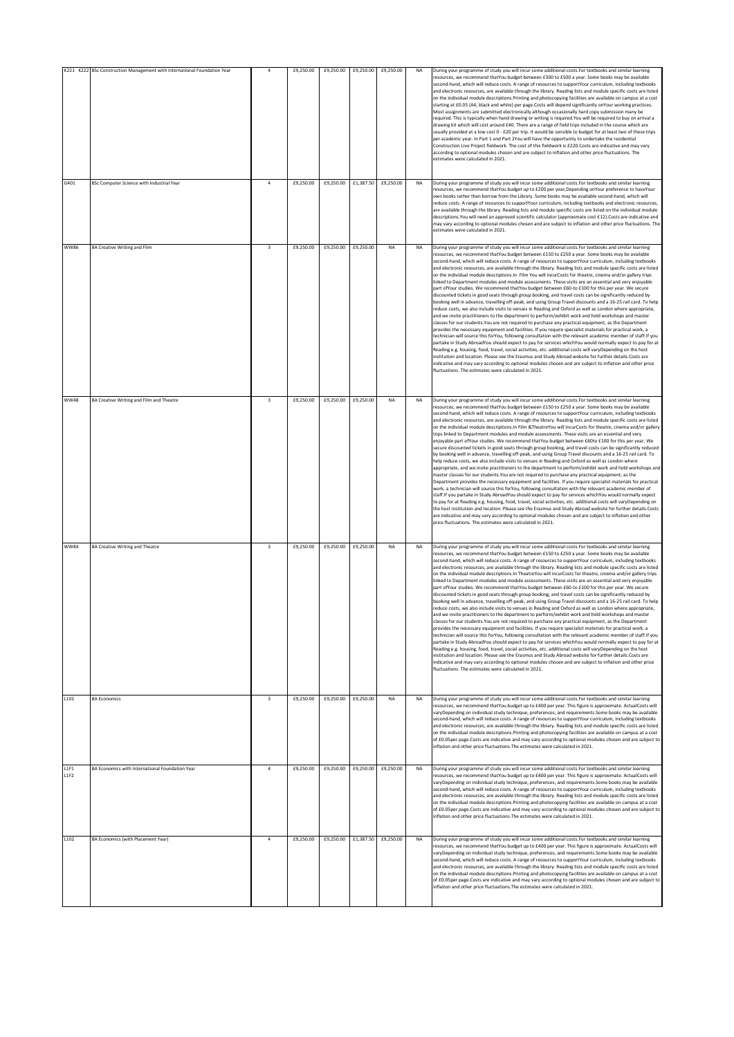|              | K221 K222 BSc Construction Management with International Foundation Year |                         | £9,250.00 | £9,250.00 | £9,250.00           | £9,250.00 | <b>NA</b> | During your programme of study you will incur some additional costs. For textbooks and similar learning                                                                                                                                                                                                                                                                                                                                                                                                                                                                                                                                                                                                                                                                                                                                                                                                                                                                                                                                                                                                                                                                                                                                                                                                                                                                                                                                                                                                                                                                                                                                                                                                                                                                                                                                                                                                                                                                                                                                                                             |
|--------------|--------------------------------------------------------------------------|-------------------------|-----------|-----------|---------------------|-----------|-----------|-------------------------------------------------------------------------------------------------------------------------------------------------------------------------------------------------------------------------------------------------------------------------------------------------------------------------------------------------------------------------------------------------------------------------------------------------------------------------------------------------------------------------------------------------------------------------------------------------------------------------------------------------------------------------------------------------------------------------------------------------------------------------------------------------------------------------------------------------------------------------------------------------------------------------------------------------------------------------------------------------------------------------------------------------------------------------------------------------------------------------------------------------------------------------------------------------------------------------------------------------------------------------------------------------------------------------------------------------------------------------------------------------------------------------------------------------------------------------------------------------------------------------------------------------------------------------------------------------------------------------------------------------------------------------------------------------------------------------------------------------------------------------------------------------------------------------------------------------------------------------------------------------------------------------------------------------------------------------------------------------------------------------------------------------------------------------------------|
|              |                                                                          |                         |           |           |                     |           |           | resources, we recommend thatYou budget between £300 to £500 a year. Some books may be available<br>second-hand, which will reduce costs. A range of resources to supportYour curriculum, including textbooks<br>and electronic resources, are available through the library. Reading lists and module specific costs are listed<br>on the individual module descriptions. Printing and photocopying facilities are available on campus at a cost<br>starting at £0.05 (A4, black and white) per page.Costs will depend significantly onYour working practices.<br>Most assignments are submitted electronically although occasionally hard copy submission many be<br>required. This is typically when hand drawing or writing is required.You will be required to buy on arrival a<br>drawing kit which will cost around £40. There are a range of field trips included in the course which are<br>usually provided at a low cost 0 - £20 per trip. It would be sensible to budget for at least two of these trips<br>per academic year. In Part 1 and Part 2You will have the opportunity to undertake the residential<br>Construction Live Project fieldwork. The cost of this fieldwork is £220.Costs are indicative and may vary<br>according to optional modules chosen and are subject to inflation and other price fluctuations. The<br>estimates were calculated in 2021.                                                                                                                                                                                                                                                                                                                                                                                                                                                                                                                                                                                                                                                                                                  |
| G401         | BSc Computer Science with Industrial Year                                | $\overline{4}$          | £9,250.00 | £9,250.00 | £1,387.50           | £9,250.00 | <b>NA</b> | During your programme of study you will incur some additional costs. For textbooks and similar learning<br>resources, we recommend thatYou budget up to £200 per year,Depending onYour preference to haveYour<br>own books rather than borrow from the Library. Some books may be available second-hand, which will<br>reduce costs. A range of resources to supportYour curriculum, including textbooks and electronic resources,<br>are available through the library. Reading lists and module specific costs are listed on the individual module<br>descriptions. You will need an approved scientific calculator (approximate cost £12). Costs are indicative and<br>may vary according to optional modules chosen and are subject to inflation and other price fluctuations. The<br>estimates were calculated in 2021.                                                                                                                                                                                                                                                                                                                                                                                                                                                                                                                                                                                                                                                                                                                                                                                                                                                                                                                                                                                                                                                                                                                                                                                                                                                        |
| <b>WW86</b>  | <b>BA Creative Writing and Film</b>                                      | $\overline{\mathbf{3}}$ | £9,250.00 | £9,250.00 | £9,250.00           | NA        | NA        | During your programme of study you will incur some additional costs. For textbooks and similar learning<br>resources, we recommend thatYou budget between £150 to £250 a year. Some books may be available<br>second-hand, which will reduce costs. A range of resources to supportYour curriculum, including textbooks<br>and electronic resources, are available through the library. Reading lists and module specific costs are listed<br>on the individual module descriptions. In Film You will incurCosts for theatre, cinema and/or gallery trips<br>linked to Department modules and module assessments. These visits are an essential and very enjoyable<br>part ofYour studies. We recommend thatYou budget between £60-to £100 for this per year. We secure<br>discounted tickets in good seats through group booking, and travel costs can be significantly reduced by<br>booking well in advance, travelling off-peak, and using Group Travel discounts and a 16-25 rail card. To help<br>reduce costs, we also include visits to venues in Reading and Oxford as well as London where appropriate,<br>and we invite practitioners to the department to perform/exhibit work and hold workshops and master<br>classes for our students. You are not required to purchase any practical equipment, as the Department<br>provides the necessary equipment and facilities. If you require specialist materials for practical work, a<br>technician will source this forYou, following consultation with the relevant academic member of staff. If you<br>partake in Study AbroadYou should expect to pay for services whichYou would normally expect to pay for at<br>Reading e.g. housing, food, travel, social activities, etc. additional costs will varyDepending on the host<br>institution and location. Please see the Erasmus and Study Abroad website for further details. Costs are<br>indicative and may vary according to optional modules chosen and are subject to inflation and other price<br>fluctuations. The estimates were calculated in 2021        |
| <b>WW48</b>  | BA Creative Writing and Film and Theatre                                 | $\overline{\mathbf{3}}$ | £9,250.00 | £9,250.00 | £9,250.00           | NA        | <b>NA</b> | During your programme of study you will incur some additional costs. For textbooks and similar learning<br>resources, we recommend thatYou budget between £150 to £250 a year. Some books may be available<br>second-hand, which will reduce costs. A range of resources to supportYour curriculum, including textbooks<br>and electronic resources, are available through the library. Reading lists and module specific costs are listed<br>on the individual module descriptions. In Film & TheatreYou will incurCosts for theatre, cinema and/or gallery<br>trips linked to Department modules and module assessments. These visits are an essential and very<br>enjoyable part ofYour studies. We recommend thatYou budget between £60to £100 for this per year. We<br>secure discounted tickets in good seats through group booking, and travel costs can be significantly reduced<br>by booking well in advance, travelling off-peak, and using Group Travel discounts and a 16-25 rail card. To<br>help reduce costs, we also include visits to venues in Reading and Oxford as well as London where<br>appropriate, and we invite practitioners to the department to perform/exhibit work and hold workshops and<br>master classes for our students. You are not required to purchase any practical equipment, as the<br>Department provides the necessary equipment and facilities. If you require specialist materials for practical<br>work, a technician will source this forYou, following consultation with the relevant academic member of<br>staff.If you partake in Study AbroadYou should expect to pay for services whichYou would normally expect<br>to pay for at Reading e.g. housing, food, travel, social activities, etc. additional costs will varyDepending on<br>the host institution and location. Please see the Erasmus and Study Abroad website for further details.Costs<br>are indicative and may vary according to optional modules chosen and are subject to inflation and other<br>price fluctuations. The estimates were calculated in 2021. |
| <b>WW84</b>  | <b>BA Creative Writing and Theatre</b>                                   | $\overline{\mathbf{3}}$ | £9,250.00 | £9,250.00 | £9,250.00           | <b>NA</b> | <b>NA</b> | During your programme of study you will incur some additional costs. For textbooks and similar learning<br>resources, we recommend thatYou budget between £150 to £250 a vear. Some books may be available<br>second-hand, which will reduce costs. A range of resources to supportYour curriculum, including textbooks<br>and electronic resources, are available through the library. Reading lists and module specific costs are listed<br>on the individual module descriptions. In TheatreYou will incurCosts for theatre, cinema and/or gallery trips<br>linked to Department modules and module assessments. These visits are an essential and very enjoyable<br>part ofYour studies. We recommend thatYou budget between £60-to £100 for this per year. We secure<br>discounted tickets in good seats through group booking, and travel costs can be significantly reduced by<br>booking well in advance, travelling off-peak, and using Group Travel discounts and a 16-25 rail card. To help<br>reduce costs, we also include visits to venues in Reading and Oxford as well as London where appropriate,<br>and we invite practitioners to the department to perform/exhibit work and hold workshops and master<br>classes for our students. You are not required to purchase any practical equipment, as the Department<br>provides the necessary equipment and facilities. If you require specialist materials for practical work, a<br>technician will source this forYou, following consultation with the relevant academic member of staff.If you<br>partake in Study AbroadYou should expect to pay for services whichYou would normally expect to pay for at<br>Reading e.g. housing, food, travel, social activities, etc. additional costs will varyDepending on the host<br>institution and location. Please see the Erasmus and Study Abroad website for further details. Costs are<br>indicative and may vary according to optional modules chosen and are subject to inflation and other price<br>fluctuations. The estimates were calculated in 2021.      |
| L101         | <b>BA Economics</b>                                                      | $\overline{\mathbf{3}}$ | £9,250.00 | £9,250.00 | £9,250.00           | <b>NA</b> | <b>NA</b> | During your programme of study you will incur some additional costs. For textbooks and similar learning<br>resources, we recommend thatYou budget up to £400 per year. This figure is approximate. ActualCosts will<br>varyDepending on individual study technique, preferences, and requirements. Some books may be available<br>second-hand, which will reduce costs. A range of resources to supportYour curriculum, including textbooks<br>and electronic resources, are available through the library. Reading lists and module specific costs are listed<br>on the individual module descriptions. Printing and photocopying facilities are available on campus at a cost<br>of £0.05per page.Costs are indicative and may vary according to optional modules chosen and are subject to<br>inflation and other price fluctuations. The estimates were calculated in 2021.                                                                                                                                                                                                                                                                                                                                                                                                                                                                                                                                                                                                                                                                                                                                                                                                                                                                                                                                                                                                                                                                                                                                                                                                     |
| L1F1<br>L1F2 | BA Economics with International Foundation Year                          | $\overline{4}$          | £9,250.00 | £9,250.00 | £9,250.00           | £9,250.00 | NA        | During your programme of study you will incur some additional costs. For textbooks and similar learning<br>resources, we recommend thatYou budget up to £400 per year. This figure is approximate. ActualCosts will<br>varyDepending on individual study technique, preferences, and requirements. Some books may be available<br>second-hand, which will reduce costs. A range of resources to supportYour curriculum, including textbooks<br>and electronic resources, are available through the library. Reading lists and module specific costs are listed<br>on the individual module descriptions. Printing and photocopying facilities are available on campus at a cost<br>of £0.05per page.Costs are indicative and may vary according to optional modules chosen and are subject to<br>inflation and other price fluctuations. The estimates were calculated in 2021.                                                                                                                                                                                                                                                                                                                                                                                                                                                                                                                                                                                                                                                                                                                                                                                                                                                                                                                                                                                                                                                                                                                                                                                                     |
| L102         | BA Economics (with Placement Year)                                       | $\ddot{4}$              | £9,250.00 | £9,250.00 | £1,387.50 £9,250.00 |           | <b>NA</b> | During your programme of study you will incur some additional costs. For textbooks and similar learning<br>resources, we recommend thatYou budget up to £400 per year. This figure is approximate. ActualCosts will<br>varyDepending on individual study technique, preferences, and requirements. Some books may be available<br>second-hand, which will reduce costs. A range of resources to supportYour curriculum, including textbooks<br>and electronic resources, are available through the library. Reading lists and module specific costs are listed<br>on the individual module descriptions. Printing and photocopying facilities are available on campus at a cost<br>of £0.05per page.Costs are indicative and may vary according to optional modules chosen and are subject to<br>inflation and other price fluctuations. The estimates were calculated in 2021.                                                                                                                                                                                                                                                                                                                                                                                                                                                                                                                                                                                                                                                                                                                                                                                                                                                                                                                                                                                                                                                                                                                                                                                                     |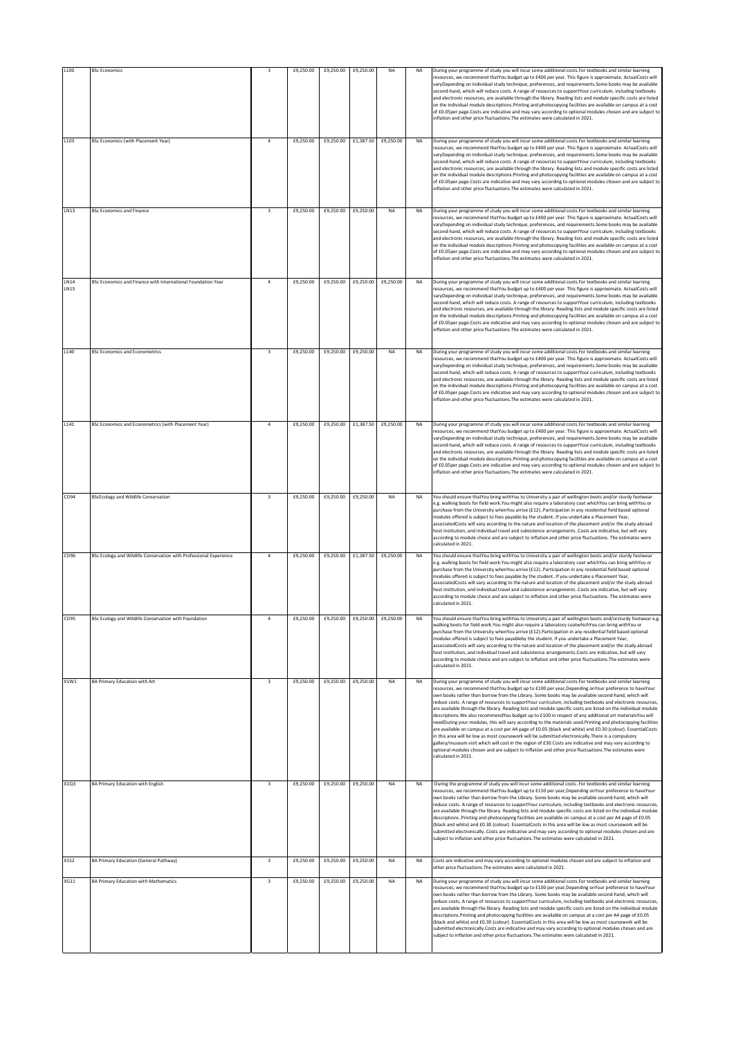| L100         | <b>BSc Economics</b>                                               |                         | £9,250.00 | £9,250.00 | £9,250.00 | NA                            | <b>NA</b> | During your programme of study you will incur some additional costs. For textbooks and similar learning                                                                                                                                                                                                                                                                                                                                                                                                                                                                                                                                                                                                                                                                                                                                                                                                                                                                                                                                                                                                                                                                                                                                            |
|--------------|--------------------------------------------------------------------|-------------------------|-----------|-----------|-----------|-------------------------------|-----------|----------------------------------------------------------------------------------------------------------------------------------------------------------------------------------------------------------------------------------------------------------------------------------------------------------------------------------------------------------------------------------------------------------------------------------------------------------------------------------------------------------------------------------------------------------------------------------------------------------------------------------------------------------------------------------------------------------------------------------------------------------------------------------------------------------------------------------------------------------------------------------------------------------------------------------------------------------------------------------------------------------------------------------------------------------------------------------------------------------------------------------------------------------------------------------------------------------------------------------------------------|
|              |                                                                    |                         |           |           |           |                               |           | resources, we recommend thatYou budget up to £400 per year. This figure is approximate. ActualCosts will<br>varyDepending on individual study technique, preferences, and requirements. Some books may be available<br>second-hand, which will reduce costs. A range of resources to supportYour curriculum, including textbooks<br>and electronic resources, are available through the library. Reading lists and module specific costs are listed<br>on the individual module descriptions. Printing and photocopying facilities are available on campus at a cost<br>of £0.05per page.Costs are indicative and may vary according to optional modules chosen and are subject to<br>inflation and other price fluctuations. The estimates were calculated in 2021.                                                                                                                                                                                                                                                                                                                                                                                                                                                                               |
| L103         | <b>BSc Economics (with Placement Year)</b>                         | $\overline{a}$          | £9,250.00 | £9,250.00 | £1,387.50 | £9,250.00                     | <b>NA</b> | During your programme of study you will incur some additional costs.For textbooks and similar learning<br>resources, we recommend thatYou budget up to £400 per year. This figure is approximate. ActualCosts will<br>varyDepending on individual study technique, preferences, and requirements. Some books may be available<br>second-hand, which will reduce costs. A range of resources to supportYour curriculum, including textbooks<br>and electronic resources, are available through the library. Reading lists and module specific costs are listed<br>on the individual module descriptions. Printing and photocopying facilities are available on campus at a cost<br>of £0.05per page.Costs are indicative and may vary according to optional modules chosen and are subject to<br>inflation and other price fluctuations. The estimates were calculated in 2021.                                                                                                                                                                                                                                                                                                                                                                     |
| LN13         | <b>BSc Economics and Finance</b>                                   | 3                       | £9,250.00 | £9,250.00 | £9,250.00 | <b>NA</b>                     | <b>NA</b> | During your programme of study you will incur some additional costs. For textbooks and similar learning<br>resources, we recommend thatYou budget up to £400 per year. This figure is approximate. ActualCosts will<br>varyDepending on individual study technique, preferences, and requirements. Some books may be available<br>second-hand, which will reduce costs. A range of resources to supportYour curriculum, including textbooks<br>and electronic resources, are available through the library. Reading lists and module specific costs are listed<br>on the individual module descriptions. Printing and photocopying facilities are available on campus at a cost<br>of £0.05per page.Costs are indicative and may vary according to optional modules chosen and are subject to<br>inflation and other price fluctuations. The estimates were calculated in 2021.                                                                                                                                                                                                                                                                                                                                                                    |
| LN14<br>LN15 | BSc Economics and Finance with International Foundation Year       |                         | £9,250.00 | £9,250.00 | £9,250.00 | £9,250.00                     | <b>NA</b> | During your programme of study you will incur some additional costs. For textbooks and similar learning<br>resources, we recommend thatYou budget up to £400 per year. This figure is approximate. ActualCosts will<br>varyDepending on individual study technique, preferences, and requirements. Some books may be available<br>second-hand, which will reduce costs. A range of resources to supportYour curriculum, including textbooks<br>and electronic resources, are available through the library. Reading lists and module specific costs are listed<br>on the individual module descriptions. Printing and photocopying facilities are available on campus at a cost<br>of £0.05per page.Costs are indicative and may vary according to optional modules chosen and are subject to<br>inflation and other price fluctuations. The estimates were calculated in 2021.                                                                                                                                                                                                                                                                                                                                                                    |
| L140         | <b>BSc Economics and Econometrics</b>                              | $\overline{\mathbf{3}}$ | £9,250.00 | £9,250.00 | £9,250.00 | <b>NA</b>                     | <b>NA</b> | During your programme of study you will incur some additional costs. For textbooks and similar learning<br>resources, we recommend thatYou budget up to £400 per year. This figure is approximate. ActualCosts will<br>varyDepending on individual study technique, preferences, and requirements. Some books may be available<br>second-hand, which will reduce costs. A range of resources to supportYour curriculum, including textbooks<br>and electronic resources, are available through the library. Reading lists and module specific costs are listed<br>on the individual module descriptions. Printing and photocopying facilities are available on campus at a cost<br>of £0.05per page.Costs are indicative and may vary according to optional modules chosen and are subject to<br>inflation and other price fluctuations. The estimates were calculated in 2021.                                                                                                                                                                                                                                                                                                                                                                    |
| L141         | BSc Economics and Econometrics (with Placement Year)               | $\overline{a}$          | £9,250.00 | £9,250.00 | £1,387.50 | £9,250.00                     | <b>NA</b> | During your programme of study you will incur some additional costs. For textbooks and similar learning<br>resources, we recommend thatYou budget up to £400 per year. This figure is approximate. ActualCosts will<br>varyDepending on individual study technique, preferences, and requirements. Some books may be available<br>second-hand, which will reduce costs. A range of resources to supportYour curriculum, including textbooks<br>and electronic resources, are available through the library. Reading lists and module specific costs are listed<br>on the individual module descriptions. Printing and photocopying facilities are available on campus at a cost<br>of £0.05per page.Costs are indicative and may vary according to optional modules chosen and are subject to<br>inflation and other price fluctuations. The estimates were calculated in 2021.                                                                                                                                                                                                                                                                                                                                                                    |
| CD94         | <b>BScEcology and Wildlife Conservation</b>                        | $\overline{\mathbf{3}}$ | £9,250.00 | £9,250.00 | £9,250.00 | NA                            | <b>NA</b> | You should ensure thatYou bring withYou to University a pair of wellington boots and/or sturdy footwear<br>e.g. walking boots for field work. You might also require a laboratory coat which You can bring with You or<br>purchase from the University whenYou arrive (£12)Participation in any residential field based optional<br>modules offered is subject to fees payable by the studentIf you undertake a Placement Year,<br>associatedCosts will vary according to the nature and location of the placement and/or the study abroad<br>host institution, and individual travel and subsistence arrangements. Costs are indicative, but will vary<br>according to module choice and are subject to inflation and other price fluctuations. The estimates were<br>calculated in 2021.                                                                                                                                                                                                                                                                                                                                                                                                                                                         |
| CD96         | BSc Ecology and Wildlife Conservation with Professional Experience |                         | £9,250.00 | £9,250.00 | £1,387.50 | £9,250.00                     | <b>NA</b> | You should ensure thatYou bring withYou to University a pair of wellington boots and/or sturdy footwear<br>e.g. walking boots for field work. You might also require a laboratory coat which You can bring with You or<br>purchase from the University whenYou arrive (£12). Participation in any residential field based optional<br>modules offered is subject to fees payable by the studentIf you undertake a Placement Year,<br>associatedCosts will vary according to the nature and location of the placement and/or the study abroad<br>host institution, and individual travel and subsistence arrangements. Costs are indicative, but will vary<br>according to module choice and are subject to inflation and other price fluctuations. The estimates were<br>calculated in 2021.                                                                                                                                                                                                                                                                                                                                                                                                                                                       |
|              | BSc Ecology and Wildlife Conservation with Found                   |                         | £9,250.00 |           |           | £9.250.00 £9.250.00 £9.250.00 |           | You should ensure that You bring with You to University a nair of wellington boots and/orsturdy footwear e.g.<br>walking boots for field work. You might also require a laboratory coatwhich You can bring with You or<br>purchase from the University whenYou arrive (£12). Participation in any residential field based optional<br>modules offered is subject to fees payableby the student. If you undertake a Placement Year,<br>associatedCosts will vary according to the nature and location of the placement and/or the study abroad<br>host institution, and individual travel and subsistence arrangements. Costs are indicative, but will vary<br>according to module choice and are subject to inflation and other price fluctuations. The estimates were<br>calculated in 2021.                                                                                                                                                                                                                                                                                                                                                                                                                                                      |
| X1W1         | BA Primary Education with Art                                      | $\overline{\mathbf{3}}$ | £9,250.00 | £9,250.00 | £9,250.00 | <b>NA</b>                     | <b>NA</b> | During your programme of study you will incur some additional costs. For textbooks and similar learning<br>resources, we recommend thatYou budget up to £100 per year, Depending onYour preference to haveYour<br>own books rather than borrow from the Library. Some books may be available second-hand, which will<br>reduce costs. A range of resources to supportYour curriculum, including textbooks and electronic resources,<br>are available through the library. Reading lists and module specific costs are listed on the individual module<br>descriptions. We also recommendYou budget up to £100 in respect of any additional art materialsYou will<br>needDuring your modules, this will vary according to the materials used.Printing and photocopying facilities<br>are available on campus at a cost per A4 page of £0.05 (black and white) and £0.30 (colour). EssentialCosts<br>in this area will be low as most coursework will be submitted electronically. There is a compulsory<br>gallery/museum visit which will cost in the region of £30.Costs are indicative and may vary according to<br>optional modules chosen and are subject to inflation and other price fluctuations. The estimates were<br>calculated in 2021. |
| X1Q3         | BA Primary Education with English                                  | 3                       | £9,250.00 | £9,250.00 | £9,250.00 | NA                            | NA        | During the programme of study you will incur some additional costsFor textbooks and similar learning<br>resources, we recommend thatYou budget up to £150 per year, Depending onYour preference to haveYour<br>own books rather than borrow from the Library. Some books may be available second-hand, which will<br>reduce costs. A range of resources to supportYour curriculum, including textbooks and electronic resources,<br>are available through the library. Reading lists and module specific costs are listed on the individual module<br>descriptionsPrinting and photocopying facilities are available on campus at a cost per A4 page of £0.05<br>(black and white) and £0.30 (colour). EssentialCosts in this area will be low as most coursework will be<br>submitted electronically. Costs are indicative and may vary according to optional modules chosen and are<br>subject to inflation and other price fluctuations. The estimates were calculated in 2021.                                                                                                                                                                                                                                                                 |
| X152         | BA Primary Education (General Pathway)                             | $\overline{\mathbf{3}}$ | £9,250.00 | £9,250.00 | £9,250.00 | <b>NA</b>                     | <b>NA</b> | Costs are indicative and may vary according to optional modules chosen and are subject to inflation and                                                                                                                                                                                                                                                                                                                                                                                                                                                                                                                                                                                                                                                                                                                                                                                                                                                                                                                                                                                                                                                                                                                                            |
| XG11         | BA Primary Education with Mathematics                              | $\overline{\mathbf{3}}$ | £9,250.00 | £9,250.00 | £9,250.00 | NA                            | <b>NA</b> | other price fluctuations. The estimates were calculated in 2021.<br>During your programme of study you will incur some additional costs. For textbooks and similar learning                                                                                                                                                                                                                                                                                                                                                                                                                                                                                                                                                                                                                                                                                                                                                                                                                                                                                                                                                                                                                                                                        |
|              |                                                                    |                         |           |           |           |                               |           | resources, we recommend thatYou budget up to £100 per year, Depending onYour preference to haveYour<br>own books rather than borrow from the Library. Some books may be available second-hand, which will<br>reduce costs. A range of resources to supportYour curriculum, including textbooks and electronic resources,<br>are available through the library. Reading lists and module specific costs are listed on the individual module<br>descriptions. Printing and photocopying facilities are available on campus at a cost per A4 page of £0.05<br>(black and white) and £0.30 (colour). EssentialCosts in this area will be low as most coursework will be<br>submitted electronically.Costs are indicative and may vary according to optional modules chosen and are<br>subject to inflation and other price fluctuations. The estimates were calculated in 2021.                                                                                                                                                                                                                                                                                                                                                                        |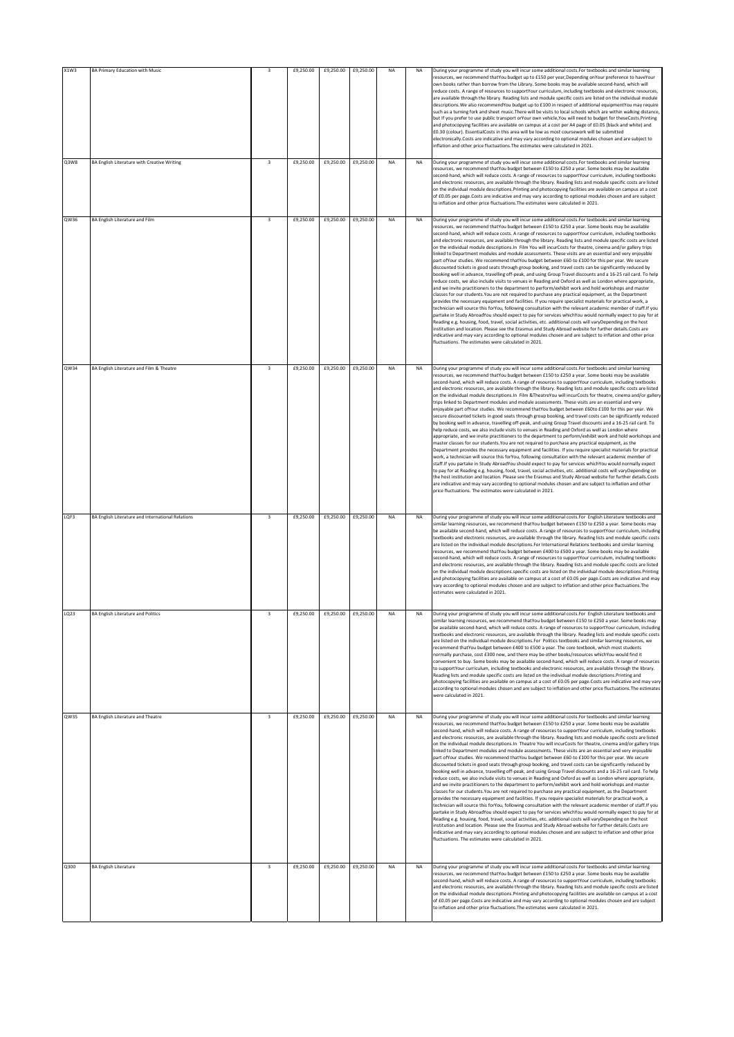| X1W3 | <b>BA Primary Education with Music</b>            | 3                       | £9,250.00 | £9,250.00 | £9,250.00 | <b>NA</b> | <b>NA</b> | During your programme of study you will incur some additional costs. For textbooks and similar learning<br>resources, we recommend thatYou budget up to £150 per year, Depending onYour preference to haveYour<br>own books rather than borrow from the Library. Some books may be available second-hand, which will<br>reduce costs. A range of resources to supportYour curriculum, including textbooks and electronic resources,                                                                                                                                                                                                                                                                                                                                                                                                                                                                                                                                                                                                                                                                                                                                                                                                                                                                                                                                                                                                                                                                                                                                                                                                                                                                                                                                                                                                                                                                                                                                                                                                                                                |
|------|---------------------------------------------------|-------------------------|-----------|-----------|-----------|-----------|-----------|------------------------------------------------------------------------------------------------------------------------------------------------------------------------------------------------------------------------------------------------------------------------------------------------------------------------------------------------------------------------------------------------------------------------------------------------------------------------------------------------------------------------------------------------------------------------------------------------------------------------------------------------------------------------------------------------------------------------------------------------------------------------------------------------------------------------------------------------------------------------------------------------------------------------------------------------------------------------------------------------------------------------------------------------------------------------------------------------------------------------------------------------------------------------------------------------------------------------------------------------------------------------------------------------------------------------------------------------------------------------------------------------------------------------------------------------------------------------------------------------------------------------------------------------------------------------------------------------------------------------------------------------------------------------------------------------------------------------------------------------------------------------------------------------------------------------------------------------------------------------------------------------------------------------------------------------------------------------------------------------------------------------------------------------------------------------------------|
|      |                                                   |                         |           |           |           |           |           | are available through the library. Reading lists and module specific costs are listed on the individual module<br>descriptions. We also recommendYou budget up to £100 in respect of additional equipmentYou may require<br>such as a turning fork and sheet music. There will be visits to local schools which are within walking distance,<br>but If you prefer to use public transport orYour own vehicle, You will need to budget for theseCosts. Printing<br>and photocopying facilities are available on campus at a cost per A4 page of £0.05 (black and white) and<br>£0.30 (colour). EssentialCosts in this area will be low as most coursework will be submitted<br>electronically.Costs are indicative and may vary according to optional modules chosen and are subject to<br>inflation and other price fluctuations. The estimates were calculated in 2021.                                                                                                                                                                                                                                                                                                                                                                                                                                                                                                                                                                                                                                                                                                                                                                                                                                                                                                                                                                                                                                                                                                                                                                                                           |
| Q3W8 | BA English Literature with Creative Writing       | $\overline{\mathbf{3}}$ | £9,250.00 | £9,250.00 | £9,250.00 | <b>NA</b> | <b>NA</b> | During your programme of study you will incur some additional costs. For textbooks and similar learning<br>resources, we recommend thatYou budget between £150 to £250 a year. Some books may be available<br>second-hand, which will reduce costs. A range of resources to supportYour curriculum, including textbooks<br>and electronic resources, are available through the library. Reading lists and module specific costs are listed<br>on the individual module descriptions. Printing and photocopying facilities are available on campus at a cost<br>of £0.05 per page.Costs are indicative and may vary according to optional modules chosen and are subject<br>to inflation and other price fluctuations. The estimates were calculated in 2021.                                                                                                                                                                                                                                                                                                                                                                                                                                                                                                                                                                                                                                                                                                                                                                                                                                                                                                                                                                                                                                                                                                                                                                                                                                                                                                                       |
| QW36 | <b>BA English Literature and Film</b>             | $\overline{\mathbf{3}}$ | £9,250.00 | £9,250.00 | £9,250.00 | <b>NA</b> | <b>NA</b> | During your programme of study you will incur some additional costs. For textbooks and similar learning<br>resources, we recommend thatYou budget between £150 to £250 a year. Some books may be available<br>second-hand, which will reduce costs. A range of resources to supportYour curriculum, including textbooks<br>and electronic resources, are available through the library. Reading lists and module specific costs are listed<br>on the individual module descriptions. In Film You will incurCosts for theatre, cinema and/or gallery trips<br>linked to Department modules and module assessments. These visits are an essential and very enjoyable<br>part ofYour studies. We recommend thatYou budget between £60-to £100 for this per year. We secure<br>discounted tickets in good seats through group booking, and travel costs can be significantly reduced by<br>booking well in advance, travelling off-peak, and using Group Travel discounts and a 16-25 rail card. To help<br>reduce costs, we also include visits to venues in Reading and Oxford as well as London where appropriate,<br>and we invite practitioners to the department to perform/exhibit work and hold workshops and master<br>classes for our students. You are not required to purchase any practical equipment, as the Department<br>provides the necessary equipment and facilities. If you require specialist materials for practical work, a<br>technician will source this forYou, following consultation with the relevant academic member of staff. If you<br>partake in Study AbroadYou should expect to pay for services whichYou would normally expect to pay for at<br>Reading e.g. housing, food, travel, social activities, etc. additional costs will varyDepending on the host<br>institution and location. Please see the Erasmus and Study Abroad website for further details.Costs are<br>indicative and may vary according to optional modules chosen and are subject to inflation and other price<br>fluctuations. The estimates were calculated in 2021.       |
| QW34 | BA English Literature and Film & Theatre          | $\overline{\mathbf{3}}$ | £9,250.00 | £9.250.00 | £9,250.00 | <b>NA</b> | <b>NA</b> | During your programme of study you will incur some additional costs. For textbooks and similar learning<br>resources, we recommend thatYou budget between £150 to £250 a year. Some books may be available<br>second-hand, which will reduce costs. A range of resources to supportYour curriculum, including textbooks<br>and electronic resources, are available through the library. Reading lists and module specific costs are listed<br>on the individual module descriptions.In Film & TheatreYou will incurCosts for theatre, cinema and/or gallery<br>trips linked to Department modules and module assessments. These visits are an essential and very<br>enjoyable part ofYour studies. We recommend thatYou budget between £60to £100 for this per year. We<br>secure discounted tickets in good seats through group booking, and travel costs can be significantly reduced<br>by booking well in advance, travelling off-peak, and using Group Travel discounts and a 16-25 rail card. To<br>help reduce costs, we also include visits to venues in Reading and Oxford as well as London where<br>appropriate, and we invite practitioners to the department to perform/exhibit work and hold workshops and<br>master classes for our students. You are not required to purchase any practical equipment, as the<br>Department provides the necessary equipment and facilities. If you require specialist materials for practical<br>work, a technician will source this forYou, following consultation with the relevant academic member of<br>staff.If you partake in Study AbroadYou should expect to pay for services whichYou would normally expect<br>to pay for at Reading e.g. housing, food, travel, social activities, etc. additional costs will varyDepending on<br>the host institution and location. Please see the Erasmus and Study Abroad website for further details.Costs<br>are indicative and may vary according to optional modules chosen and are subject to inflation and other<br>price fluctuations. The estimates were calculated in 2021. |
| LQF3 | BA English Literature and International Relations | $\overline{\mathbf{3}}$ | £9,250.00 | £9,250.00 | £9,250.00 | <b>NA</b> | <b>NA</b> | During your programme of study you will incur some additional costs.For English Literature textbooks and<br>similar learning resources, we recommend thatYou budget between £150 to £250 a year. Some books may<br>be available second-hand, which will reduce costs. A range of resources to supportYour curriculum, including<br>textbooks and electronic resources, are available through the library. Reading lists and module specific costs<br>are listed on the individual module descriptions. For International Relations textbooks and similar learning<br>resources, we recommend thatYou budget between £400 to £500 a year. Some books may be available<br>second-hand, which will reduce costs. A range of resources to supportYour curriculum, including textbooks<br>and electronic resources, are available through the library. Reading lists and module specific costs are listed<br>on the individual module descriptions.specific costs are listed on the individual module descriptions.Printing<br>and photocopying facilities are available on campus at a cost of £0.05 per page.Costs are indicative and may<br>vary according to optional modules chosen and are subject to inflation and other price fluctuations. The<br>estimates were calculated in 2021.                                                                                                                                                                                                                                                                                                                                                                                                                                                                                                                                                                                                                                                                                                                                                                                           |
| LQ23 | <b>BA English Literature and Politics</b>         | $\overline{\mathbf{3}}$ | £9,250.00 | £9,250.00 | £9,250.00 | <b>NA</b> | <b>NA</b> | During your programme of study you will incur some additional costs.For English Literature textbooks and<br>similar learning resources, we recommend thatYou budget between £150 to £250 a year. Some books may<br>be available second-hand, which will reduce costs. A range of resources to supportYour curriculum, including<br>textbooks and electronic resources, are available through the library. Reading lists and module specific costs<br>are listed on the individual module descriptions.For Politics textbooks and similar learning resources, we<br>recommend thatYou budget between £400 to £500 a year. The core textbook, which most students<br>normally purchase, cost £300 new, and there may be other books/resources whichYou would find it<br>convenient to buy. Some books may be available second-hand, which will reduce costs. A range of resources<br>to supportYour curriculum, including textbooks and electronic resources, are available through the library.<br>Reading lists and module specific costs are listed on the individual module descriptions. Printing and<br>photocopying facilities are available on campus at a cost of £0.05 per page.Costs are indicative and may vary<br>according to optional modules chosen and are subject to inflation and other price fluctuations. The estimates<br>were calculated in 2021.                                                                                                                                                                                                                                                                                                                                                                                                                                                                                                                                                                                                                                                                                                             |
| QW35 | <b>BA English Literature and Theatre</b>          | $\overline{\mathbf{3}}$ | £9,250.00 | £9,250.00 | £9,250.00 | NA        | <b>NA</b> | During your programme of study you will incur some additional costs. For textbooks and similar learning<br>resources, we recommend thatYou budget between £150 to £250 a year. Some books may be available<br>second-hand, which will reduce costs. A range of resources to supportYour curriculum, including textbooks<br>and electronic resources, are available through the library. Reading lists and module specific costs are listed<br>on the individual module descriptions.In Theatre You will incurCosts for theatre, cinema and/or gallery trips<br>linked to Department modules and module assessments. These visits are an essential and very enjoyable<br>part ofYour studies. We recommend thatYou budget between £60-to £100 for this per year. We secure<br>discounted tickets in good seats through group booking, and travel costs can be significantly reduced by<br>booking well in advance, travelling off-peak, and using Group Travel discounts and a 16-25 rail card. To help<br>reduce costs, we also include visits to venues in Reading and Oxford as well as London where appropriate,<br>and we invite practitioners to the department to perform/exhibit work and hold workshops and master<br>classes for our students. You are not required to purchase any practical equipment, as the Department<br>provides the necessary equipment and facilities. If you require specialist materials for practical work, a<br>technician will source this forYou, following consultation with the relevant academic member of staff. If you<br>partake in Study AbroadYou should expect to pay for services whichYou would normally expect to pay for at<br>Reading e.g. housing, food, travel, social activities, etc. additional costs will varyDepending on the host<br>institution and location. Please see the Erasmus and Study Abroad website for further details.Costs are<br>indicative and may vary according to optional modules chosen and are subject to inflation and other price<br>fluctuations. The estimates were calculated in 2021.     |
| Q300 | <b>BA English Literature</b>                      | $\overline{\mathbf{3}}$ | £9,250.00 | £9,250.00 | £9,250.00 | <b>NA</b> | <b>NA</b> | During your programme of study you will incur some additional costs. For textbooks and similar learning<br>resources, we recommend thatYou budget between £150 to £250 a year. Some books may be available<br>second-hand, which will reduce costs. A range of resources to supportYour curriculum, including textbooks<br>and electronic resources, are available through the library. Reading lists and module specific costs are listed<br>on the individual module descriptions. Printing and photocopying facilities are available on campus at a cost<br>of £0.05 per page.Costs are indicative and may vary according to optional modules chosen and are subject<br>to inflation and other price fluctuations. The estimates were calculated in 2021.                                                                                                                                                                                                                                                                                                                                                                                                                                                                                                                                                                                                                                                                                                                                                                                                                                                                                                                                                                                                                                                                                                                                                                                                                                                                                                                       |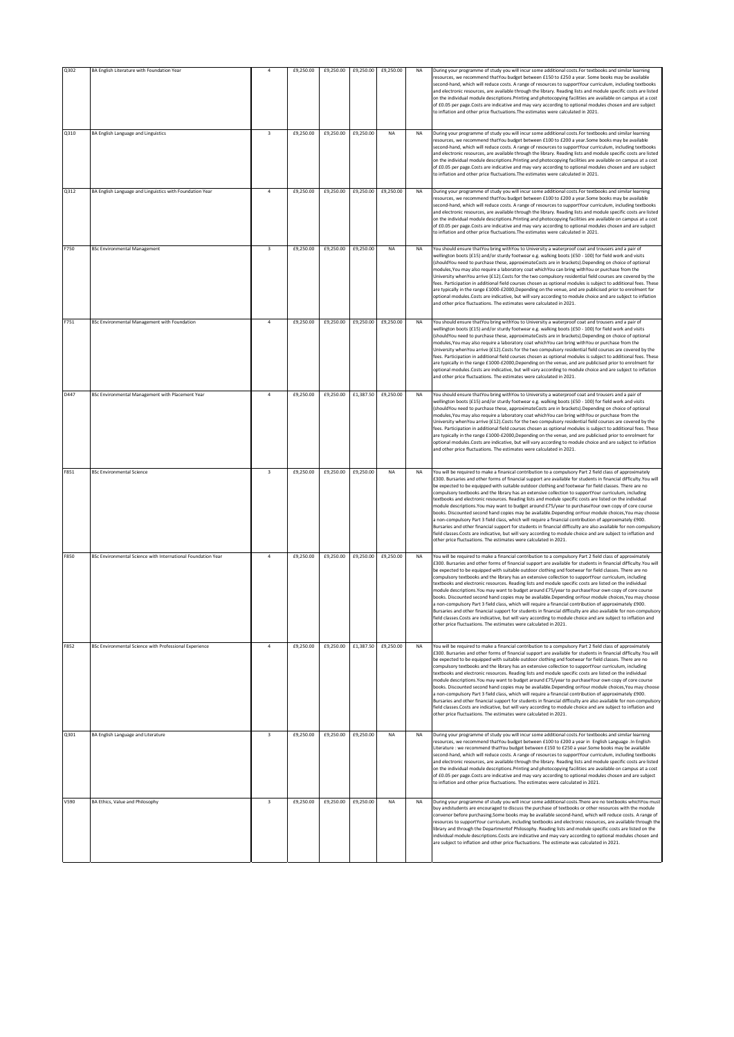| Q302 | BA English Literature with Foundation Year                   | $\overline{4}$          | £9,250.00 | £9,250.00 | £9,250.00           | £9,250.00 | NA        | During your programme of study you will incur some additional costs.For textbooks and similar learning<br>resources, we recommend thatYou budget between £150 to £250 a year. Some books may be available<br>second-hand, which will reduce costs. A range of resources to supportYour curriculum, including textbooks<br>and electronic resources, are available through the library. Reading lists and module specific costs are listed<br>on the individual module descriptions. Printing and photocopying facilities are available on campus at a cost<br>of £0.05 per page.Costs are indicative and may vary according to optional modules chosen and are subject<br>to inflation and other price fluctuations. The estimates were calculated in 2021.                                                                                                                                                                                                                                                                                                                                                                                                                                        |
|------|--------------------------------------------------------------|-------------------------|-----------|-----------|---------------------|-----------|-----------|----------------------------------------------------------------------------------------------------------------------------------------------------------------------------------------------------------------------------------------------------------------------------------------------------------------------------------------------------------------------------------------------------------------------------------------------------------------------------------------------------------------------------------------------------------------------------------------------------------------------------------------------------------------------------------------------------------------------------------------------------------------------------------------------------------------------------------------------------------------------------------------------------------------------------------------------------------------------------------------------------------------------------------------------------------------------------------------------------------------------------------------------------------------------------------------------------|
| Q310 | BA English Language and Linguistics                          | $\overline{3}$          | £9,250.00 | £9,250.00 | £9,250.00           | <b>NA</b> | <b>NA</b> | During your programme of study you will incur some additional costs. For textbooks and similar learning<br>resources, we recommend thatYou budget between £100 to £200 a year.Some books may be available<br>second-hand, which will reduce costs. A range of resources to supportYour curriculum, including textbooks<br>and electronic resources, are available through the library. Reading lists and module specific costs are listed<br>on the individual module descriptions. Printing and photocopying facilities are available on campus at a cost<br>of £0.05 per page.Costs are indicative and may vary according to optional modules chosen and are subject<br>to inflation and other price fluctuations. The estimates were calculated in 2021.                                                                                                                                                                                                                                                                                                                                                                                                                                        |
| 0312 | BA English Language and Linguistics with Foundation Year     | $\overline{a}$          | £9,250.00 | £9,250.00 | £9,250.00           | £9,250.00 | <b>NA</b> | During your programme of study you will incur some additional costs. For textbooks and similar learning<br>resources, we recommend thatYou budget between £100 to £200 a year.Some books may be available<br>second-hand, which will reduce costs. A range of resources to supportYour curriculum, including textbooks<br>and electronic resources, are available through the library. Reading lists and module specific costs are listed<br>on the individual module descriptions. Printing and photocopying facilities are available on campus at a cost<br>of £0.05 per page.Costs are indicative and may vary according to optional modules chosen and are subject<br>to inflation and other price fluctuations. The estimates were calculated in 2021.                                                                                                                                                                                                                                                                                                                                                                                                                                        |
| F750 | <b>BSc Environmental Management</b>                          | $\overline{\mathbf{3}}$ | £9,250.00 | £9,250.00 | £9,250.00           | <b>NA</b> | <b>NA</b> | You should ensure thatYou bring withYou to University a waterproof coat and trousers and a pair of<br>wellington boots (£15) and/or sturdy footwear e.g. walking boots (£50 - 100) for field work and visits<br>(shouldYou need to purchase these, approximateCosts are in brackets). Depending on choice of optional<br>modules, You may also require a laboratory coat which You can bring with You or purchase from the<br>University whenYou arrive (£12). Costs for the two compulsory residential field courses are covered by the<br>fees. Participation in additional field courses chosen as optional modules is subject to additional fees. These<br>are typically in the range £1000-£2000, Depending on the venue, and are publicised prior to enrolment for<br>optional modules.Costs are indicative, but will vary according to module choice and are subject to inflation<br>and other price fluctuations. The estimates were calculated in 2021.                                                                                                                                                                                                                                   |
| F751 | BSc Environmental Management with Foundation                 | $\overline{a}$          | £9,250.00 | £9,250.00 | £9,250.00           | £9,250.00 | NA        | You should ensure thatYou bring withYou to University a waterproof coat and trousers and a pair of<br>wellington boots (£15) and/or sturdy footwear e.g. walking boots (£50 - 100) for field work and visits<br>(shouldYou need to purchase these, approximateCosts are in brackets). Depending on choice of optional<br>modules, You may also require a laboratory coat which You can bring with You or purchase from the<br>University whenYou arrive (£12).Costs for the two compulsory residential field courses are covered by the<br>fees. Participation in additional field courses chosen as optional modules is subject to additional fees. These<br>are typically in the range £1000-£2000, Depending on the venue, and are publicised prior to enrolment for<br>optional modules.Costs are indicative, but will vary according to module choice and are subject to inflation<br>and other price fluctuations. The estimates were calculated in 2021.                                                                                                                                                                                                                                    |
| D447 | BSc Environmental Management with Placement Year             | $\overline{a}$          | £9,250.00 | £9,250.00 | £1,387.50           | £9,250.00 | NA        | You should ensure thatYou bring withYou to University a waterproof coat and trousers and a pair of<br>wellington boots (£15) and/or sturdy footwear e.g. walking boots (£50 - 100) for field work and visits<br>(shouldYou need to purchase these, approximateCosts are in brackets). Depending on choice of optional<br>modules, You may also require a laboratory coat which You can bring with You or purchase from the<br>University whenYou arrive (£12).Costs for the two compulsory residential field courses are covered by the<br>fees. Participation in additional field courses chosen as optional modules is subject to additional fees. These<br>are typically in the range £1000-£2000, Depending on the venue, and are publicised prior to enrolment for<br>optional modules.Costs are indicative, but will vary according to module choice and are subject to inflation<br>and other price fluctuations. The estimates were calculated in 2021.                                                                                                                                                                                                                                    |
| F851 | <b>BSc Environmental Science</b>                             | $\overline{\mathbf{3}}$ | £9,250.00 | £9,250.00 | £9,250.00           | <b>NA</b> | <b>NA</b> | You will be required to make a finanical contribution to a compulsory Part 2 field class of approximately<br>£300. Bursaries and other forms of financial support are available for students in financial difficulty. You will<br>be expected to be equipped with suitable outdoor clothing and footwear for field classes. There are no<br>compulsory textbooks and the library has an extensive collection to supportYour curriculum, including<br>textbooks and electronic resources. Reading lists and module specific costs are listed on the individual<br>module descriptions. You may want to budget around £75/year to purchaseYour own copy of core course<br>books. Discounted second hand copies may be available. Depending onYour module choices, You may choose<br>a non-compulsory Part 3 field class, which will require a financial contribution of approximately £900.<br>Bursaries and other financial support for students in financial difficulty are also available for non-compulsory<br>field classes.Costs are indicative, but will vary according to module choice and are subject to inflation and<br>other price fluctuations. The estimates were calculated in 2021. |
| F850 | BSc Environmental Science with International Foundation Year | $\Delta$                | £9,250.00 | £9,250.00 | £9,250.00           | £9,250.00 | <b>NA</b> | You will be required to make a financial contribution to a compulsory Part 2 field class of approximately<br>£300. Bursaries and other forms of financial support are available for students in financial difficulty. You will<br>be expected to be equipped with suitable outdoor clothing and footwear for field classes. There are no<br>compulsory textbooks and the library has an extensive collection to supportYour curriculum, including<br>textbooks and electronic resources. Reading lists and module specific costs are listed on the individual<br>module descriptions. You may want to budget around £75/year to purchaseYour own copy of core course<br>books. Discounted second hand copies may be available. Depending onYour module choices, You may choose<br>a non-compulsory Part 3 field class, which will require a financial contribution of approximately £900.<br>Bursaries and other financial support for students in financial difficulty are also available for non-compulsory<br>eld classes.Costs are indicative, but will vary according to module choice and are subject to inflation and<br>other price fluctuations. The estimates were calculated in 2021.   |
| F852 | BSc Environmental Science with Professional Experience       | $\overline{4}$          | £9,250.00 | £9,250.00 | £1,387.50 £9,250.00 |           | <b>NA</b> | You will be required to make a financial contribution to a compulsory Part 2 field class of approximately<br>£300. Bursaries and other forms of financial support are available for students in financial difficulty. You will<br>be expected to be equipped with suitable outdoor clothing and footwear for field classes. There are no<br>compulsory textbooks and the library has an extensive collection to supportYour curriculum, including<br>textbooks and electronic resources. Reading lists and module specific costs are listed on the individual<br>module descriptions. You may want to budget around £75/year to purchaseYour own copy of core course<br>books. Discounted second hand copies may be available. Depending onYour module choices, You may choose<br>a non-compulsory Part 3 field class, which will require a financial contribution of approximately £900.<br>Bursaries and other financial support for students in financial difficulty are also available for non-compulsory<br>field classes.Costs are indicative, but will vary according to module choice and are subject to inflation and<br>other price fluctuations. The estimates were calculated in 2021. |
| Q301 | BA English Language and Literature                           | $\overline{\mathbf{3}}$ | £9,250.00 | £9,250.00 | £9,250.00           | <b>NA</b> | <b>NA</b> | During your programme of study you will incur some additional costs. For textbooks and similar learning<br>resources, we recommend thatYou budget between £100 to £200 a year in English Language .In English<br>Literature : we recommend thatYou budget between £150 to £250 a year.Some books may be available<br>second-hand, which will reduce costs. A range of resources to supportYour curriculum, including textbooks<br>and electronic resources, are available through the library. Reading lists and module specific costs are listed<br>on the individual module descriptions. Printing and photocopying facilities are available on campus at a cost<br>of £0.05 per page.Costs are indicative and may vary according to optional modules chosen and are subject<br>to inflation and other price fluctuations. The estimates were calculated in 2021.                                                                                                                                                                                                                                                                                                                                |
| V590 | BA Ethics, Value and Philosophy                              | $\overline{\mathbf{3}}$ | £9,250.00 |           | £9,250.00 £9,250.00 | <b>NA</b> | <b>NA</b> | During your programme of study you will incur some additional costs. There are no textbooks whichYou must<br>buy andstudents are encouraged to discuss the purchase of textbooks or other resources with the module<br>convenor before purchasing.Some books may be available second-hand, which will reduce costs. A range of<br>resources to supportYour curriculum, including textbooks and electronic resources, are available through the<br>library and through the Departmentof Philosophy. Reading lists and module specific costs are listed on the<br>individual module descriptions.Costs are indicative and may vary according to optional modules chosen and<br>are subject to inflation and other price fluctuations. The estimate was calculated in 2021.                                                                                                                                                                                                                                                                                                                                                                                                                           |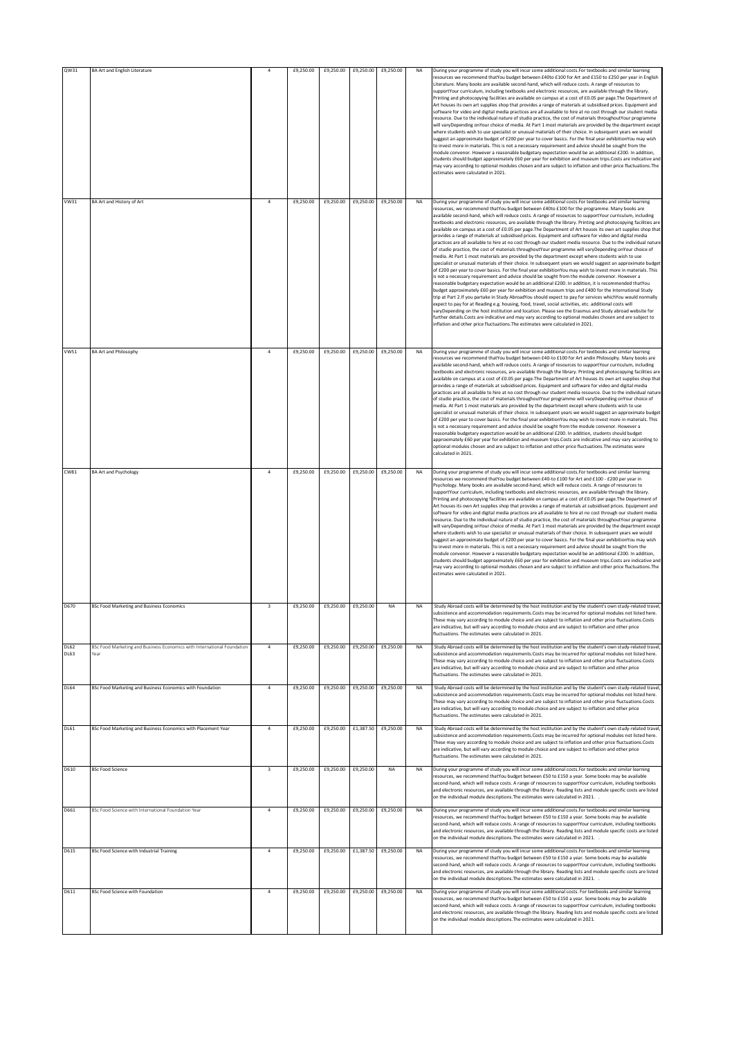| QW31<br>VW31               | <b>BA Art and English Literature</b><br>BA Art and History of Art               | $\overline{a}$<br>$\overline{4}$ | £9,250.00<br>£9,250.00 | £9,250.00 | £9,250.00<br>£9,250.00 £9,250.00 | £9,250.00<br>£9,250.00 | <b>NA</b><br><b>NA</b> | During your programme of study you will incur some additional costs. For textbooks and similar learning<br>resources we recommend thatYou budget between £40to £100 for Art and £150 to £250 per vear in English<br>Literature. Many books are available second-hand, which will reduce costs. A range of resources to<br>supportYour curriculum, including textbooks and electronic resources, are available through the library.<br>Printing and photocopying facilities are available on campus at a cost of £0.05 per page. The Department of<br>Art houses its own art supplies shop that provides a range of materials at subsidised prices. Equipment and<br>software for video and digital media practices are all available to hire at no cost through our student media<br>resource. Due to the individual nature of studio practice, the cost of materials throughoutYour programme<br>will varyDepending onYour choice of media. At Part 1 most materials are provided by the department except<br>where students wish to use specialist or unusual materials of their choice. In subsequent years we would<br>suggest an approximate budget of £200 per year to cover basics. For the final year exhibitionYou may wish<br>to invest more in materials. This is not a necessary requirement and advice should be sought from the<br>module convenor. However a reasonable budgetary expectation would be an additional £200. In addition,<br>students should budget approximately £60 per year for exhibition and museum trips.Costs are indicative and<br>may vary according to optional modules chosen and are subject to inflation and other price fluctuations. The<br>estimates were calculated in 2021.<br>During your programme of study you will incur some additional costs. For textbooks and similar learning<br>resources, we recommend thatYou budget between £40to £100 for the programme. Many books are |
|----------------------------|---------------------------------------------------------------------------------|----------------------------------|------------------------|-----------|----------------------------------|------------------------|------------------------|--------------------------------------------------------------------------------------------------------------------------------------------------------------------------------------------------------------------------------------------------------------------------------------------------------------------------------------------------------------------------------------------------------------------------------------------------------------------------------------------------------------------------------------------------------------------------------------------------------------------------------------------------------------------------------------------------------------------------------------------------------------------------------------------------------------------------------------------------------------------------------------------------------------------------------------------------------------------------------------------------------------------------------------------------------------------------------------------------------------------------------------------------------------------------------------------------------------------------------------------------------------------------------------------------------------------------------------------------------------------------------------------------------------------------------------------------------------------------------------------------------------------------------------------------------------------------------------------------------------------------------------------------------------------------------------------------------------------------------------------------------------------------------------------------------------------------------------------------------------------------------------------------------------------------------------|
|                            |                                                                                 |                                  |                        |           |                                  |                        |                        | available second-hand, which will reduce costs. A range of resources to supportYour curriculum, including<br>textbooks and electronic resources, are available through the library. Printing and photocopying facilities are<br>available on campus at a cost of £0.05 per page. The Department of Art houses its own art supplies shop that<br>provides a range of materials at subsidised prices. Equipment and software for video and digital media<br>practices are all available to hire at no cost through our student media resource. Due to the individual nature<br>of studio practice, the cost of materials throughoutYour programme will varyDepending onYour choice of<br>media. At Part 1 most materials are provided by the department except where students wish to use<br>specialist or unusual materials of their choice. In subsequent years we would suggest an approximate budget<br>of £200 per year to cover basics. For the final year exhibitionYou may wish to invest more in materials. This<br>is not a necessary requirement and advice should be sought from the module convenor. However a<br>easonable budgetary expectation would be an additional £200. In addition, it is recommended thatYou<br>budget approximately £60 per year for exhibition and museum trips and £400 for the International Study<br>trip at Part 2.If you partake in Study AbroadYou should expect to pay for services whichYou would normally<br>expect to pay for at Reading e.g. housing, food, travel, social activities, etc. additional costs will<br>varyDepending on the host institution and location. Please see the Erasmus and Study abroad website for<br>further details.Costs are indicative and may vary according to optional modules chosen and are subject to<br>inflation and other price fluctuations. The estimates were calculated in 2021.                                                         |
| <b>VW51</b>                | <b>BA Art and Philosophy</b>                                                    | $\overline{a}$                   | £9,250.00              | £9,250.00 | £9,250.00                        | £9,250.00              | <b>NA</b>              | During your programme of study you will incur some additional costs. For textbooks and similar learning<br>resources we recommend thatYou budget between £40-to £100 for Art andin Philosophy. Many books are<br>available second-hand, which will reduce costs. A range of resources to supportYour curriculum, including<br>textbooks and electronic resources, are available through the library. Printing and photocopying facilities are<br>available on campus at a cost of £0.05 per page. The Department of Art houses its own art supplies shop that<br>provides a range of materials at subsidised prices. Equipment and software for video and digital media<br>practices are all available to hire at no cost through our student media resource. Due to the individual nature<br>of studio practice, the cost of materials throughoutYour programme will varyDepending onYour choice of<br>media. At Part 1 most materials are provided by the department except where students wish to use<br>specialist or unusual materials of their choice. In subsequent years we would suggest an approximate budget<br>of £200 per year to cover basics. For the final year exhibition You may wish to invest more in materials. This<br>is not a necessary requirement and advice should be sought from the module convenor. However a<br>reasonable budgetary expectation would be an additional £200. In addition, students should budget<br>approximately £60 per year for exhibition and museum trips.Costs are indicative and may vary according to<br>optional modules chosen and are subject to inflation and other price fluctuations. The estimates were<br>alculated in 2021.                                                                                                                                                                                                                                         |
| CW81                       | <b>BA Art and Psychology</b>                                                    | $\overline{a}$                   | £9,250.00              |           | £9,250.00 £9,250.00              | £9,250.00              | <b>NA</b>              | During your programme of study you will incur some additional costs. For textbooks and similar learning<br>resources we recommend thatYou budget between £40-to £100 for Art and £100 - £200 per year in<br>Psychology. Many books are available second-hand, which will reduce costs. A range of resources to<br>supportYour curriculum, including textbooks and electronic resources, are available through the library.<br>Printing and photocopying facilities are available on campus at a cost of £0.05 per page. The Department of<br>Art houses its own Art supplies shop that provides a range of materials at subsidised prices. Equipment and<br>software for video and digital media practices are all available to hire at no cost through our student media<br>resource. Due to the individual nature of studio practice, the cost of materials throughoutYour programme<br>will varyDepending onYour choice of media. At Part 1 most materials are provided by the department except<br>where students wish to use specialist or unusual materials of their choice. In subsequent years we would<br>suggest an approximate budget of £200 per year to cover basics. For the final year exhibitionYou may wish<br>to invest more in materials. This is not a necessary requirement and advice should be sought from the<br>module convenor. However a reasonable budgetary expectation would be an additional £200. In addition,<br>students should budget approximately £60 per year for exhibition and museum trips.Costs are indicative and<br>may vary according to optional modules chosen and are subject to inflation and other price fluctuations. The<br>estimates were calculated in 2021.                                                                                                                                                                                                                   |
| D670                       | <b>BSc Food Marketing and Business Economics</b>                                | 3                                | £9,250.00              | £9,250.00 | £9,250.00                        | <b>NA</b>              | <b>NA</b>              | Study Abroad costs will be determined by the host institution and by the student's own study-related travel,<br>subsistence and accommodation requirements. Costs may be incurred for optional modules not listed here.<br>These may vary according to module choice and are subject to inflation and other price fluctuations.Costs<br>are indicative, but will vary according to module choice and are subject to inflation and other price<br>fluctuations. The estimates were calculated in 2021.                                                                                                                                                                                                                                                                                                                                                                                                                                                                                                                                                                                                                                                                                                                                                                                                                                                                                                                                                                                                                                                                                                                                                                                                                                                                                                                                                                                                                                |
| <b>DL62</b><br><b>DL63</b> | BSc Food Marketing and Business Economics with International Foundation<br>Year | $\overline{a}$                   | £9,250.00              | £9,250.00 | £9,250.00                        | £9,250.00              | <b>NA</b>              | Study Abroad costs will be determined by the host institution and by the student's own study-related travel,<br>subsistence and accommodation requirements. Costs may be incurred for optional modules not listed here.<br>These may vary according to module choice and are subject to inflation and other price fluctuations.Costs<br>are indicative, but will vary according to module choice and are subject to inflation and other price<br>fluctuations. The estimates were calculated in 2021.                                                                                                                                                                                                                                                                                                                                                                                                                                                                                                                                                                                                                                                                                                                                                                                                                                                                                                                                                                                                                                                                                                                                                                                                                                                                                                                                                                                                                                |
| <b>DL64</b>                | BSc Food Marketing and Business Economics with Foundation                       | $\overline{a}$                   | £9,250.00              | £9,250.00 | £9,250.00                        | £9,250.00              | <b>NA</b>              | Study Abroad costs will be determined by the host institution and by the student's own study-related travel,<br>subsistence and accommodation requirements. Costs may be incurred for optional modules not listed here.<br>These may vary according to module choice and are subject to inflation and other price fluctuations.Costs<br>are indicative, but will vary according to module choice and are subject to inflation and other price<br>fluctuations. The estimates were calculated in 2021.                                                                                                                                                                                                                                                                                                                                                                                                                                                                                                                                                                                                                                                                                                                                                                                                                                                                                                                                                                                                                                                                                                                                                                                                                                                                                                                                                                                                                                |
| <b>DL61</b>                | BSc Food Marketing and Business Economics with Placement Year                   | $\overline{4}$                   | £9,250.00              | £9,250.00 | £1,387.50                        | £9,250.00              | <b>NA</b>              | Study Abroad costs will be determined by the host institution and by the student's own study-related travel,<br>subsistence and accommodation requirements. Costs may be incurred for optional modules not listed here.<br>These may vary according to module choice and are subject to inflation and other price fluctuations.Costs<br>are indicative, but will vary according to module choice and are subject to inflation and other price<br>fluctuations. The estimates were calculated in 2021.                                                                                                                                                                                                                                                                                                                                                                                                                                                                                                                                                                                                                                                                                                                                                                                                                                                                                                                                                                                                                                                                                                                                                                                                                                                                                                                                                                                                                                |
| D610                       | <b>BSc Food Science</b>                                                         | $\overline{\mathbf{3}}$          | £9,250.00              | £9,250.00 | £9,250.00                        | <b>NA</b>              | <b>NA</b>              | During your programme of study you will incur some additional costs. For textbooks and similar learning<br>resources, we recommend thatYou budget between £50 to £150 a year. Some books may be available<br>second-hand, which will reduce costs. A range of resources to supportYour curriculum, including textbooks<br>and electronic resources, are available through the library. Reading lists and module specific costs are listed<br>on the individual module descriptions. The estimates were calculated in 2021. .                                                                                                                                                                                                                                                                                                                                                                                                                                                                                                                                                                                                                                                                                                                                                                                                                                                                                                                                                                                                                                                                                                                                                                                                                                                                                                                                                                                                         |
| D661                       | BSc Food Science with International Foundation Year                             | $\overline{4}$                   | £9,250.00              | £9,250.00 | £9,250.00                        | £9,250.00              | <b>NA</b>              | During your programme of study you will incur some additional costs. For textbooks and similar learning<br>resources, we recommend thatYou budget between £50 to £150 a year. Some books may be available<br>second-hand, which will reduce costs. A range of resources to supportYour curriculum, including textbooks<br>and electronic resources, are available through the library. Reading lists and module specific costs are listed<br>on the individual module descriptions. The estimates were calculated in 2021. .                                                                                                                                                                                                                                                                                                                                                                                                                                                                                                                                                                                                                                                                                                                                                                                                                                                                                                                                                                                                                                                                                                                                                                                                                                                                                                                                                                                                         |
| D615                       | BSc Food Science with Industrial Training                                       | $\ddot{4}$                       | £9,250.00              | £9,250.00 | £1,387.50                        | £9,250.00              | <b>NA</b>              | During your programme of study you will incur some additional costs. For textbooks and similar learning<br>resources, we recommend thatYou budget between £50 to £150 a year. Some books may be available<br>second-hand, which will reduce costs. A range of resources to supportYour curriculum, including textbooks<br>and electronic resources, are available through the library. Reading lists and module specific costs are listed<br>on the individual module descriptions. The estimates were calculated in 2021. .                                                                                                                                                                                                                                                                                                                                                                                                                                                                                                                                                                                                                                                                                                                                                                                                                                                                                                                                                                                                                                                                                                                                                                                                                                                                                                                                                                                                         |
| D611                       | <b>BSc Food Science with Foundation</b>                                         | $\overline{4}$                   | £9,250.00              | £9,250.00 | £9,250.00                        | £9,250.00              | <b>NA</b>              | During your programme of study you will incur some additional costs. For textbooks and similar learning<br>resources, we recommend thatYou budget between £50 to £150 a year. Some books may be available<br>second-hand, which will reduce costs. A range of resources to supportYour curriculum, including textbooks<br>and electronic resources, are available through the library. Reading lists and module specific costs are listed<br>on the individual module descriptions. The estimates were calculated in 2021.                                                                                                                                                                                                                                                                                                                                                                                                                                                                                                                                                                                                                                                                                                                                                                                                                                                                                                                                                                                                                                                                                                                                                                                                                                                                                                                                                                                                           |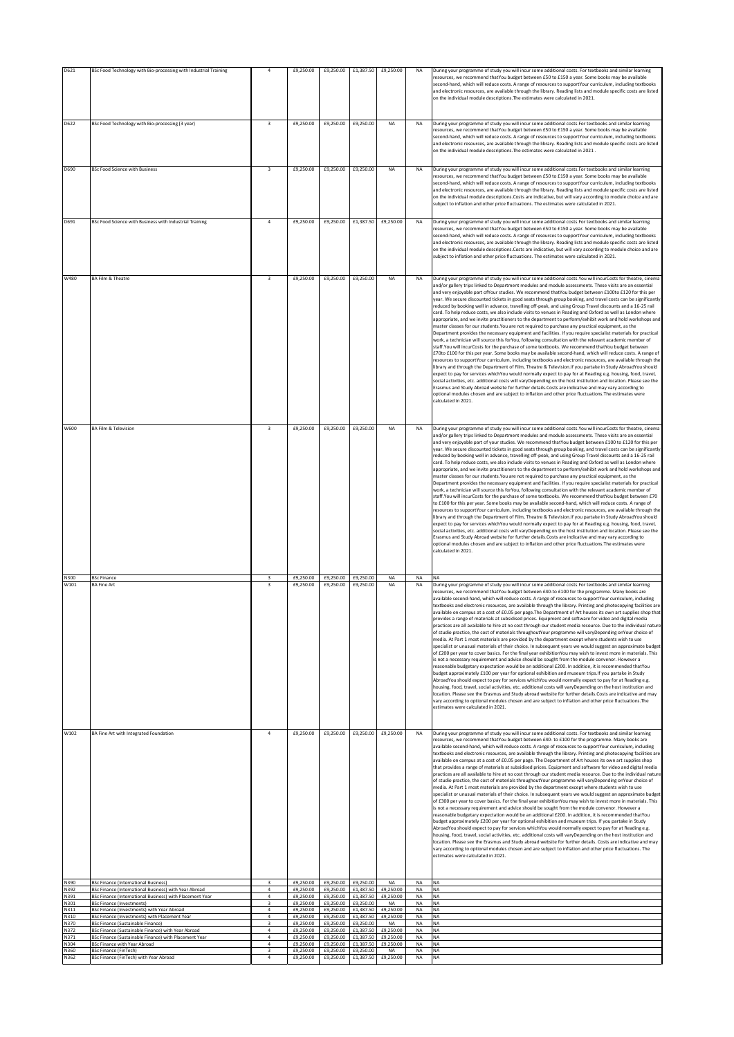| D621         | BSc Food Technology with Bio-processing with Industrial Training                                     |                                             | £9,250.00              | £9,250.00                                  | £1,387.50              | £9,250.00              | <b>NA</b>              | During your programme of study you will incur some additional costs. For textbooks and similar learning<br>resources, we recommend thatYou budget between £50 to £150 a year. Some books may be available<br>second-hand, which will reduce costs. A range of resources to supportYour curriculum, including textbooks<br>and electronic resources, are available through the library. Reading lists and module specific costs are listed<br>on the individual module descriptions. The estimates were calculated in 2021.                                                                                                                                                                                                                                                                                                                                                                                                                                                                                                                                                                                                                                                                                                                                                                                                                                                                                                                                                                                                                                                                                                                                                                                                                                                                                                                                                                                                                                                                                                                                  |
|--------------|------------------------------------------------------------------------------------------------------|---------------------------------------------|------------------------|--------------------------------------------|------------------------|------------------------|------------------------|-------------------------------------------------------------------------------------------------------------------------------------------------------------------------------------------------------------------------------------------------------------------------------------------------------------------------------------------------------------------------------------------------------------------------------------------------------------------------------------------------------------------------------------------------------------------------------------------------------------------------------------------------------------------------------------------------------------------------------------------------------------------------------------------------------------------------------------------------------------------------------------------------------------------------------------------------------------------------------------------------------------------------------------------------------------------------------------------------------------------------------------------------------------------------------------------------------------------------------------------------------------------------------------------------------------------------------------------------------------------------------------------------------------------------------------------------------------------------------------------------------------------------------------------------------------------------------------------------------------------------------------------------------------------------------------------------------------------------------------------------------------------------------------------------------------------------------------------------------------------------------------------------------------------------------------------------------------------------------------------------------------------------------------------------------------|
| D622         | BSc Food Technology with Bio-processing (3 year)                                                     | $\overline{\mathbf{3}}$                     | £9,250.00              | £9,250.00                                  | £9,250.00              | NA                     | <b>NA</b>              | During your programme of study you will incur some additional costs.For textbooks and similar learning<br>resources, we recommend thatYou budget between £50 to £150 a year. Some books may be available<br>second-hand, which will reduce costs. A range of resources to supportYour curriculum, including textbooks<br>and electronic resources, are available through the library. Reading lists and module specific costs are listed<br>on the individual module descriptions. The estimates were calculated in 2021.                                                                                                                                                                                                                                                                                                                                                                                                                                                                                                                                                                                                                                                                                                                                                                                                                                                                                                                                                                                                                                                                                                                                                                                                                                                                                                                                                                                                                                                                                                                                   |
| D690         | <b>BSc Food Science with Business</b>                                                                | $\overline{\mathbf{3}}$                     | £9,250.00              | £9,250.00                                  | £9,250.00              | <b>NA</b>              | <b>NA</b>              | During your programme of study you will incur some additional costs. For textbooks and similar learning                                                                                                                                                                                                                                                                                                                                                                                                                                                                                                                                                                                                                                                                                                                                                                                                                                                                                                                                                                                                                                                                                                                                                                                                                                                                                                                                                                                                                                                                                                                                                                                                                                                                                                                                                                                                                                                                                                                                                     |
|              |                                                                                                      |                                             |                        |                                            |                        |                        |                        | resources, we recommend thatYou budget between £50 to £150 a year. Some books may be available<br>second-hand, which will reduce costs. A range of resources to supportYour curriculum, including textbooks<br>and electronic resources, are available through the library. Reading lists and module specific costs are listed<br>on the individual module descriptions.Costs are indicative, but will vary according to module choice and are<br>subject to inflation and other price fluctuations. The estimates were calculated in 2021.                                                                                                                                                                                                                                                                                                                                                                                                                                                                                                                                                                                                                                                                                                                                                                                                                                                                                                                                                                                                                                                                                                                                                                                                                                                                                                                                                                                                                                                                                                                 |
| D691         | BSc Food Science with Business with Industrial Training                                              | $\overline{a}$                              | £9,250.00              | £9,250.00                                  | £1,387.50              | £9,250.00              | NA                     | During your programme of study you will incur some additional costs. For textbooks and similar learning<br>resources, we recommend thatYou budget between £50 to £150 a year. Some books may be available<br>second-hand, which will reduce costs. A range of resources to supportYour curriculum, including textbooks<br>and electronic resources, are available through the library. Reading lists and module specific costs are listed<br>on the individual module descriptions.Costs are indicative, but will vary according to module choice and are<br>subject to inflation and other price fluctuations. The estimates were calculated in 2021.                                                                                                                                                                                                                                                                                                                                                                                                                                                                                                                                                                                                                                                                                                                                                                                                                                                                                                                                                                                                                                                                                                                                                                                                                                                                                                                                                                                                      |
| W480         | <b>BA Film &amp; Theatre</b>                                                                         | $\overline{\mathbf{3}}$                     | £9,250.00              | £9,250.00                                  | £9,250.00              | NA                     | NA                     | During your programme of study you will incur some additional costs. You will incurCosts for theatre, cinema<br>and/or gallery trips linked to Department modules and module assessments. These visits are an essential<br>and very enjoyable part of Your studies. We recommend that You budget between £100to £120 for this per<br>year. We secure discounted tickets in good seats through group booking, and travel costs can be significantly<br>reduced by booking well in advance, travelling off-peak, and using Group Travel discounts and a 16-25 rail<br>card. To help reduce costs, we also include visits to venues in Reading and Oxford as well as London where<br>appropriate, and we invite practitioners to the department to perform/exhibit work and hold workshops and<br>master classes for our students. You are not required to purchase any practical equipment, as the<br>Department provides the necessary equipment and facilities. If you require specialist materials for practical<br>work, a technician will source this forYou, following consultation with the relevant academic member of<br>staff. You will incurCosts for the purchase of some textbooks. We recommend that You budget between<br>£70to £100 for this per year. Some books may be available second-hand, which will reduce costs. A range of<br>resources to supportYour curriculum, including textbooks and electronic resources, are available through the<br>library and through the Department of Film, Theatre & Television. If you partake in Study AbroadYou should<br>expect to pay for services whichYou would normally expect to pay for at Reading e.g. housing, food, travel,<br>social activities, etc. additional costs will varyDepending on the host institution and location. Please see the<br>Erasmus and Study Abroad website for further details.Costs are indicative and may vary according to<br>optional modules chosen and are subject to inflation and other price fluctuations. The estimates were<br>calculated in 2021    |
| W600         | <b>BA Film &amp; Television</b>                                                                      | $\overline{\mathbf{3}}$                     | £9,250.00              | £9,250.00                                  | £9,250.00              | <b>NA</b>              | <b>NA</b>              | During your programme of study you will incur some additional costs. You will incurCosts for theatre, cinema<br>and/or gallery trips linked to Department modules and module assessments. These visits are an essential<br>and very enjoyable part of your studies. We recommend thatYou budget between £100 to £120 for this per<br>year. We secure discounted tickets in good seats through group booking, and travel costs can be significantly<br>educed by booking well in advance, travelling off-peak, and using Group Travel discounts and a 16-25 rail<br>card. To help reduce costs, we also include visits to venues in Reading and Oxford as well as London where<br>appropriate, and we invite practitioners to the department to perform/exhibit work and hold workshops and<br>master classes for our students. You are not required to purchase any practical equipment, as the<br>Department provides the necessary equipment and facilities. If you require specialist materials for practical<br>work, a technician will source this forYou, following consultation with the relevant academic member of<br>staff. You will incurCosts for the purchase of some textbooks. We recommend that You budget between £70<br>to £100 for this per year. Some books may be available second-hand, which will reduce costs. A range of<br>resources to supportYour curriculum, including textbooks and electronic resources, are available through the<br>library and through the Department of Film, Theatre & Television. If you partake in Study AbroadYou should<br>expect to pay for services whichYou would normally expect to pay for at Reading e.g. housing, food, travel,<br>social activities, etc. additional costs will varyDepending on the host institution and location. Please see the<br>Erasmus and Study Abroad website for further details.Costs are indicative and may vary according to<br>optional modules chosen and are subject to inflation and other price fluctuations. The estimates were<br>calculated in 2021.   |
| N300<br>W101 | <b>BSc Finance</b><br><b>BA Fine Art</b>                                                             | $\overline{\mathbf{3}}$<br>в                | £9,250.00<br>£9,250.00 | £9,250.00<br>£9,250.00                     | £9,250.00<br>£9,250.00 | NA<br>NA               | NA<br>NA               | <b>NA</b><br>During your programme of study you will incur some additional costs.For textbooks and similar learning<br>resources, we recommend thatYou budget between £40-to £100 for the programme. Many books are<br>available second-hand, which will reduce costs. A range of resources to supportYour curriculum, including<br>textbooks and electronic resources, are available through the library. Printing and photocopying facilities are<br>available on campus at a cost of £0.05 per page. The Department of Art houses its own art supplies shop that<br>provides a range of materials at subsidised prices. Equipment and software for video and digital media<br>practices are all available to hire at no cost through our student media resource. Due to the individual nature<br>of studio practice, the cost of materials throughoutYour programme will varyDepending onYour choice of<br>media. At Part 1 most materials are provided by the department except where students wish to use<br>specialist or unusual materials of their choice. In subsequent years we would suggest an approximate budget<br>of £200 per year to cover basics. For the final year exhibitionYou may wish to invest more in materials. This<br>is not a necessary requirement and advice should be sought from the module convenor. However a<br>reasonable budgetary expectation would be an additional £200. In addition, it is recommended thatYou<br>budget approximately £100 per year for optional exhibition and museum trips. If you partake in Study<br>AbroadYou should expect to pay for services whichYou would normally expect to pay for at Reading e.g.<br>housing, food, travel, social activities, etc. additional costs will varyDepending on the host institution and<br>location. Please see the Erasmus and Study abroad website for further details.Costs are indicative and may<br>vary according to optional modules chosen and are subject to inflation and other price fluctuations. The<br>estimates were calculated in 2021. |
| W102         | BA Fine Art with Integrated Foundation                                                               | $\overline{4}$                              | £9,250.00              | £9,250.00                                  |                        | £9,250.00 £9,250.00    | <b>NA</b>              | During your programme of study you will incur some additional costs. For textbooks and similar learning<br>resources, we recommend thatYou budget between £40- to £100 for the programme. Many books are<br>available second-hand, which will reduce costs. A range of resources to supportYour curriculum, including<br>textbooks and electronic resources, are available through the library. Printing and photocopying facilities are<br>available on campus at a cost of £0.05 per page. The Department of Art houses its own art supplies shop<br>that provides a range of materials at subsidised prices. Equipment and software for video and digital media<br>practices are all available to hire at no cost through our student media resource. Due to the individual nature<br>of studio practice, the cost of materials throughoutYour programme will varyDepending onYour choice of<br>media. At Part 1 most materials are provided by the department except where students wish to use<br>specialist or unusual materials of their choice. In subsequent years we would suggest an approximate budget<br>of £300 per year to cover basics. For the final year exhibitionYou may wish to invest more in materials. This<br>is not a necessary requirement and advice should be sought from the module convenor. However a<br>reasonable budgetary expectation would be an additional £200. In addition, it is recommended thatYou<br>budget approximately £200 per year for optional exhibition and museum trips. If you partake in Study<br>AbroadYou should expect to pay for services whichYou would normally expect to pay for at Reading e.g.<br>housing, food, travel, social activities, etc. additional costs will varyDepending on the host institution and<br>location. Please see the Erasmus and Study abroad website for further details. Costs are indicative and may<br>vary according to optional modules chosen and are subject to inflation and other price fluctuations. The<br>estimates were calculated in 2021.           |
| N390<br>N392 | <b>BSc Finance (International Business)</b><br>BSc Finance (International Business) with Year Abroad | $\overline{\mathbf{3}}$<br>$\boldsymbol{A}$ | £9,250.00              | £9,250.00 £9,250.00 £9,250.00<br>£9,250.00 | £1,387.50              | NA<br>£9,250.00        | <b>NA</b><br>NA        | <b>NA</b><br><b>NA</b>                                                                                                                                                                                                                                                                                                                                                                                                                                                                                                                                                                                                                                                                                                                                                                                                                                                                                                                                                                                                                                                                                                                                                                                                                                                                                                                                                                                                                                                                                                                                                                                                                                                                                                                                                                                                                                                                                                                                                                                                                                      |
| N391<br>N301 | BSc Finance (International Business) with Placement Year<br><b>BSc Finance (Investments)</b>         | 4<br>3                                      | £9,250.00<br>£9,250.00 | £9,250.00<br>£9,250.00                     | £1,387.50<br>£9,250.00 | £9,250.00<br>NA        | NA<br>NA               | NA<br><b>NA</b>                                                                                                                                                                                                                                                                                                                                                                                                                                                                                                                                                                                                                                                                                                                                                                                                                                                                                                                                                                                                                                                                                                                                                                                                                                                                                                                                                                                                                                                                                                                                                                                                                                                                                                                                                                                                                                                                                                                                                                                                                                             |
| N311<br>N310 | BSc Finance (Investments) with Year Abroad<br>BSc Finance (Investments) with Placement Year          | $\overline{a}$<br>$\overline{a}$            | £9,250.00<br>£9,250.00 | £9,250.00<br>£9,250.00                     | £1,387.50<br>£1.387.50 | £9,250.00<br>£9,250.00 | <b>NA</b><br><b>NA</b> | <b>NA</b><br><b>NA</b>                                                                                                                                                                                                                                                                                                                                                                                                                                                                                                                                                                                                                                                                                                                                                                                                                                                                                                                                                                                                                                                                                                                                                                                                                                                                                                                                                                                                                                                                                                                                                                                                                                                                                                                                                                                                                                                                                                                                                                                                                                      |
| N370<br>N372 | <b>BSc Finance (Sustainable Finance)</b><br>BSc Finance (Sustainable Finance) with Year Abroad       | 3<br>$\overline{4}$                         | £9,250.00<br>£9,250.00 | £9,250.00<br>£9,250.00                     | £9,250.00<br>£1,387.50 | NA<br>£9,250.00        | NA<br>NA               | <b>NA</b><br><b>NA</b>                                                                                                                                                                                                                                                                                                                                                                                                                                                                                                                                                                                                                                                                                                                                                                                                                                                                                                                                                                                                                                                                                                                                                                                                                                                                                                                                                                                                                                                                                                                                                                                                                                                                                                                                                                                                                                                                                                                                                                                                                                      |
| N371<br>N304 | BSc Finance (Sustainable Finance) with Placement Year<br>BSc Finance with Year Abroad                | $\overline{4}$<br>$\overline{4}$            | £9,250.00<br>£9,250.00 | £9,250.00<br>£9,250.00                     | £1,387.50<br>£1,387.50 | £9,250.00<br>£9,250.00 | <b>NA</b><br>NA        | <b>NA</b><br><b>NA</b>                                                                                                                                                                                                                                                                                                                                                                                                                                                                                                                                                                                                                                                                                                                                                                                                                                                                                                                                                                                                                                                                                                                                                                                                                                                                                                                                                                                                                                                                                                                                                                                                                                                                                                                                                                                                                                                                                                                                                                                                                                      |
| N360<br>N362 | <b>BSc Finance (FinTech)</b><br>BSc Finance (FinTech) with Year Abroad                               | $\overline{\mathbf{3}}$<br>$\ddot{4}$       | £9,250.00<br>£9,250.00 | £9,250.00<br>£9,250.00                     | £9,250.00<br>£1,387.50 | NA<br>£9,250.00        | NA<br><b>NA</b>        | NA<br><b>NA</b>                                                                                                                                                                                                                                                                                                                                                                                                                                                                                                                                                                                                                                                                                                                                                                                                                                                                                                                                                                                                                                                                                                                                                                                                                                                                                                                                                                                                                                                                                                                                                                                                                                                                                                                                                                                                                                                                                                                                                                                                                                             |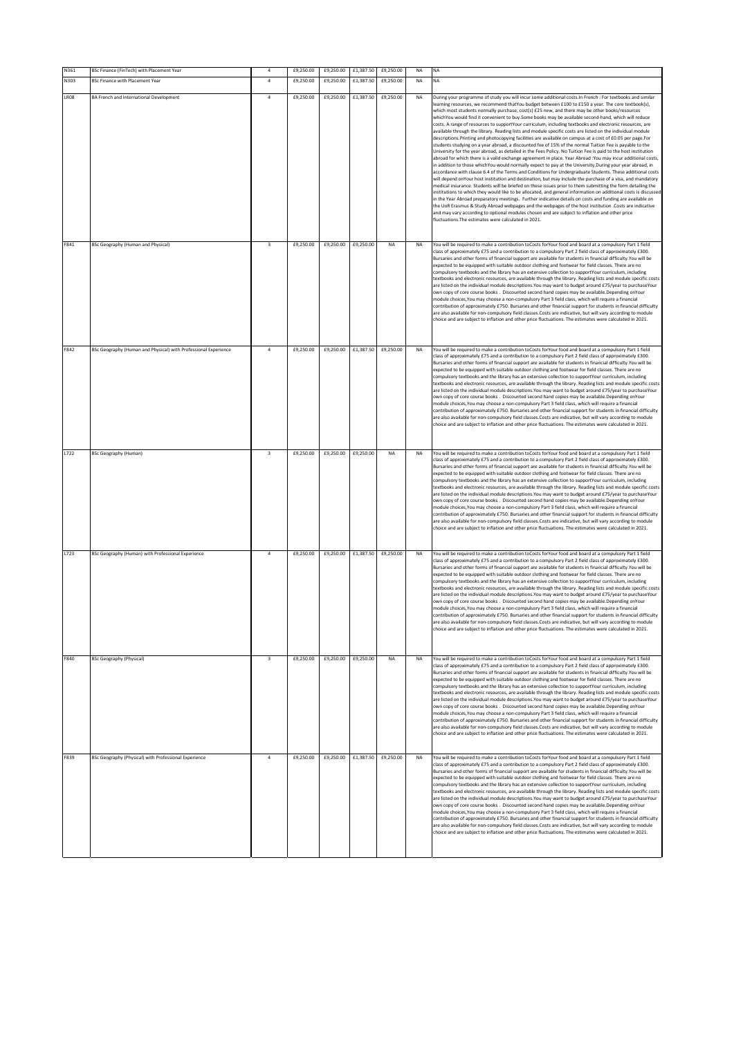| N361        | BSc Finance (FinTech) with Placement Year                       | $\overline{4}$          | £9,250.00 | £9,250.00 | £1,387.50 | £9,250.00 | <b>NA</b> | NA                                                                                                                                                                                                                                                                                                                                                                                                                                                                                                                                                                                                                                                                                                                                                                                                                                                                                                                                                                                                                                                                                                                                                                                                                                                                                                                                                                                                                                                                                                                                                                                                                                                                                                                                                                                                                                                                                                                                                                                                                                                                       |
|-------------|-----------------------------------------------------------------|-------------------------|-----------|-----------|-----------|-----------|-----------|--------------------------------------------------------------------------------------------------------------------------------------------------------------------------------------------------------------------------------------------------------------------------------------------------------------------------------------------------------------------------------------------------------------------------------------------------------------------------------------------------------------------------------------------------------------------------------------------------------------------------------------------------------------------------------------------------------------------------------------------------------------------------------------------------------------------------------------------------------------------------------------------------------------------------------------------------------------------------------------------------------------------------------------------------------------------------------------------------------------------------------------------------------------------------------------------------------------------------------------------------------------------------------------------------------------------------------------------------------------------------------------------------------------------------------------------------------------------------------------------------------------------------------------------------------------------------------------------------------------------------------------------------------------------------------------------------------------------------------------------------------------------------------------------------------------------------------------------------------------------------------------------------------------------------------------------------------------------------------------------------------------------------------------------------------------------------|
| N303        | <b>BSc Finance with Placement Year</b>                          | $\overline{a}$          | £9,250.00 | £9,250.00 | £1,387.50 | £9,250.00 | NA        | NA                                                                                                                                                                                                                                                                                                                                                                                                                                                                                                                                                                                                                                                                                                                                                                                                                                                                                                                                                                                                                                                                                                                                                                                                                                                                                                                                                                                                                                                                                                                                                                                                                                                                                                                                                                                                                                                                                                                                                                                                                                                                       |
| <b>LR08</b> | BA French and International Development                         | $\overline{a}$          | £9,250.00 | £9,250.00 | £1,387.50 | £9,250.00 | NA        | During your programme of study you will incur some additional costs. In French : For textbooks and similar<br>learning resources, we recommend thatYou budget between £100 to £150 a year. The core textbook(s),<br>which most students normally purchase, cost(s) £25 new, and there may be other books/resources<br>whichYou would find it convenient to buy.Some books may be available second-hand, which will reduce<br>costs. A range of resources to supportYour curriculum, including textbooks and electronic resources, are<br>available through the library. Reading lists and module specific costs are listed on the individual module<br>descriptions. Printing and photocopying facilities are available on campus at a cost of £0.05 per page. For<br>students studying on a year abroad, a discounted fee of 15% of the normal Tuition Fee is payable to the<br>University for the year abroad, as detailed in the Fees Policy. No Tuition Fee is paid to the host institution<br>abroad for which there is a valid exchange agreement in place. Year Abroad :You may incur additional costs<br>in addition to those whichYou would normally expect to pay at the University, During your year abroad, in<br>accordance with clause 6.4 of the Terms and Conditions for Undergraduate Students. These additional cost:<br>will depend onYour host institution and destination, but may include the purchase of a visa, and mandatory<br>medical insurance. Students will be briefed on these issues prior to them submitting the form detailing the<br>institutions to which they would like to be allocated, and general information on additional costs is discussed<br>in the Year Abroad preparatory meetings. Further indicative details on costs and funding are available on<br>the UoR Erasmus & Study Abroad webpages and the webpages of the host institution .Costs are indicative<br>and may vary according to optional modules chosen and are subject to inflation and other price<br>fluctuations. The estimates were calculated in 2021. |
| F841        | BSc Geography (Human and Physical)                              | $\overline{\mathbf{3}}$ | £9,250.00 | £9,250.00 | £9,250.00 | NA        | NA        | You will be required to make a contribution toCosts forYour food and board at a compulsory Part 1 field<br>class of approximately £75 and a contribution to a compulsory Part 2 field class of approximately £300.<br>Bursaries and other forms of financial support are available for students in financial difficulty. You will be<br>expected to be equipped with suitable outdoor clothing and footwear for field classes. There are no<br>compulsory textbooks and the library has an extensive collection to supportYour curriculum, including<br>textbooks and electronic resources, are available through the library. Reading lists and module specific cost<br>are listed on the individual module descriptions.You may want to budget around £75/year to purchaseYour<br>own copy of core course books . Discounted second hand copies may be available.Depending onYour<br>module choices. You may choose a non-compulsory Part 3 field class, which will require a financial<br>contribution of approximately £750. Bursaries and other financial support for students in financial difficulty<br>are also available for non-compulsory field classes.Costs are indicative, but will vary according to module<br>choice and are subject to inflation and other price fluctuations. The estimates were calculated in 2021                                                                                                                                                                                                                                                                                                                                                                                                                                                                                                                                                                                                                                                                                                                                    |
| F842        | BSc Geography (Human and Physical) with Professional Experience | $\overline{4}$          | £9,250.00 | £9,250.00 | £1,387.50 | £9,250.00 | <b>NA</b> | You will be required to make a contribution toCosts forYour food and board at a compulsory Part 1 field<br>class of approximately £75 and a contribution to a compulsory Part 2 field class of approximately £300.<br>Bursaries and other forms of financial support are available for students in financial difficulty. You will be<br>expected to be equipped with suitable outdoor clothing and footwear for field classes. There are no<br>compulsory textbooks and the library has an extensive collection to supportYour curriculum, including<br>textbooks and electronic resources, are available through the library. Reading lists and module specific costs<br>are listed on the individual module descriptions. You may want to budget around £75/year to purchaseYour<br>own copy of core course books. Discounted second hand copies may be available.Depending onYour<br>module choices,You may choose a non-compulsory Part 3 field class, which will require a financia<br>contribution of approximately £750. Bursaries and other financial support for students in financial difficulty<br>are also available for non-compulsory field classes Costs are indicative, but will vary according to module<br>choice and are subject to inflation and other price fluctuations. The estimates were calculated in 2021.                                                                                                                                                                                                                                                                                                                                                                                                                                                                                                                                                                                                                                                                                                                                    |
| L722        | <b>BSc Geography (Human)</b>                                    | $\overline{\mathbf{3}}$ | £9,250.00 | £9,250.00 | £9,250.00 | <b>NA</b> | NA        | You will be required to make a contribution toCosts forYour food and board at a compulsory Part 1 field<br>class of approximately £75 and a contribution to a compulsory Part 2 field class of approximately £300.<br>Bursaries and other forms of financial support are available for students in financial difficulty. You will be<br>expected to be equipped with suitable outdoor clothing and footwear for field classes. There are no<br>compulsory textbooks and the library has an extensive collection to supportYour curriculum, including<br>textbooks and electronic resources, are available through the library. Reading lists and module specific costs<br>are listed on the individual module descriptions. You may want to budget around £75/year to purchaseYour<br>own copy of core course books . Discounted second hand copies may be available.Depending onYour<br>module choices, You may choose a non-compulsory Part 3 field class, which will require a financia<br>contribution of approximately £750. Bursaries and other financial support for students in financial difficulty<br>are also available for non-compulsory field classes.Costs are indicative, but will vary according to module<br>choice and are subject to inflation and other price fluctuations. The estimates were calculated in 2021                                                                                                                                                                                                                                                                                                                                                                                                                                                                                                                                                                                                                                                                                                                                   |
| L723        | BSc Geography (Human) with Professional Experience              | $\ddot{4}$              | £9,250.00 | £9,250.00 | £1,387.50 | £9,250.00 | <b>NA</b> | You will be required to make a contribution toCosts forYour food and board at a compulsory Part 1 field<br>class of approximately £75 and a contribution to a compulsory Part 2 field class of approximately £300.<br>Bursaries and other forms of financial support are available for students in financial difficulty. You will be<br>expected to be equipped with suitable outdoor clothing and footwear for field classes. There are no<br>compulsory textbooks and the library has an extensive collection to supportYour curriculum, including<br>textbooks and electronic resources, are available through the library. Reading lists and module specific costs<br>are listed on the individual module descriptions. You may want to budget around £75/year to purchaseYour<br>own copy of core course books . Discounted second hand copies may be available.Depending onYour<br>module choices, You may choose a non-compulsory Part 3 field class, which will require a financial<br>contribution of approximately £750. Bursaries and other financial support for students in financial difficulty<br>are also available for non-compulsory field classes.Costs are indicative, but will vary according to module<br>choice and are subject to inflation and other price fluctuations. The estimates were calculated in 2021.                                                                                                                                                                                                                                                                                                                                                                                                                                                                                                                                                                                                                                                                                                                                 |
| F840        | <b>BSc Geography (Physical)</b>                                 | $\overline{\mathbf{3}}$ | £9,250.00 | £9,250.00 | £9,250.00 | <b>NA</b> | <b>NA</b> | You will be required to make a contribution toCosts forYour food and board at a compulsory Part 1 field<br>class of approximately £75 and a contribution to a compulsory Part 2 field class of approximately £300.<br>Bursaries and other forms of financial support are available for students in financial difficulty You will be<br>expected to be equipped with suitable outdoor clothing and footwear for field classes. There are no<br>compulsory textbooks and the library has an extensive collection to supportYour curriculum, including<br>textbooks and electronic resources, are available through the library. Reading lists and module specific costs<br>are listed on the individual module descriptions. You may want to budget around £75/year to purchaseYour<br>own copy of core course books . Discounted second hand copies may be available.Depending onYour<br>module choices. You may choose a non-compulsory Part 3 field class, which will require a financial<br>contribution of approximately £750. Bursaries and other financial support for students in financial difficulty<br>are also available for non-compulsory field classes.Costs are indicative, but will vary according to module<br>choice and are subject to inflation and other price fluctuations. The estimates were calculated in 2021.                                                                                                                                                                                                                                                                                                                                                                                                                                                                                                                                                                                                                                                                                                                                  |
| F839        | BSc Geography (Physical) with Professional Experience           | $\overline{a}$          | £9,250.00 | £9,250.00 | £1,387.50 | £9,250.00 | NA        | You will be required to make a contribution toCosts forYour food and board at a compulsory Part 1 field<br>class of approximately £75 and a contribution to a compulsory Part 2 field class of approximately £300.<br>Bursaries and other forms of financial support are available for students in financial difficulty. You will be<br>expected to be equipped with suitable outdoor clothing and footwear for field classes. There are no<br>compulsory textbooks and the library has an extensive collection to supportYour curriculum, including<br>textbooks and electronic resources, are available through the library. Reading lists and module specific costs<br>are listed on the individual module descriptions. You may want to budget around £75/year to purchaseYour<br>own copy of core course books . Discounted second hand copies may be available.Depending onYour<br>module choices, You may choose a non-compulsory Part 3 field class, which will require a financial<br>contribution of approximately £750. Bursaries and other financial support for students in financial difficulty<br>are also available for non-compulsory field classes.Costs are indicative, but will vary according to module<br>choice and are subject to inflation and other price fluctuations. The estimates were calculated in 2021.                                                                                                                                                                                                                                                                                                                                                                                                                                                                                                                                                                                                                                                                                                                                 |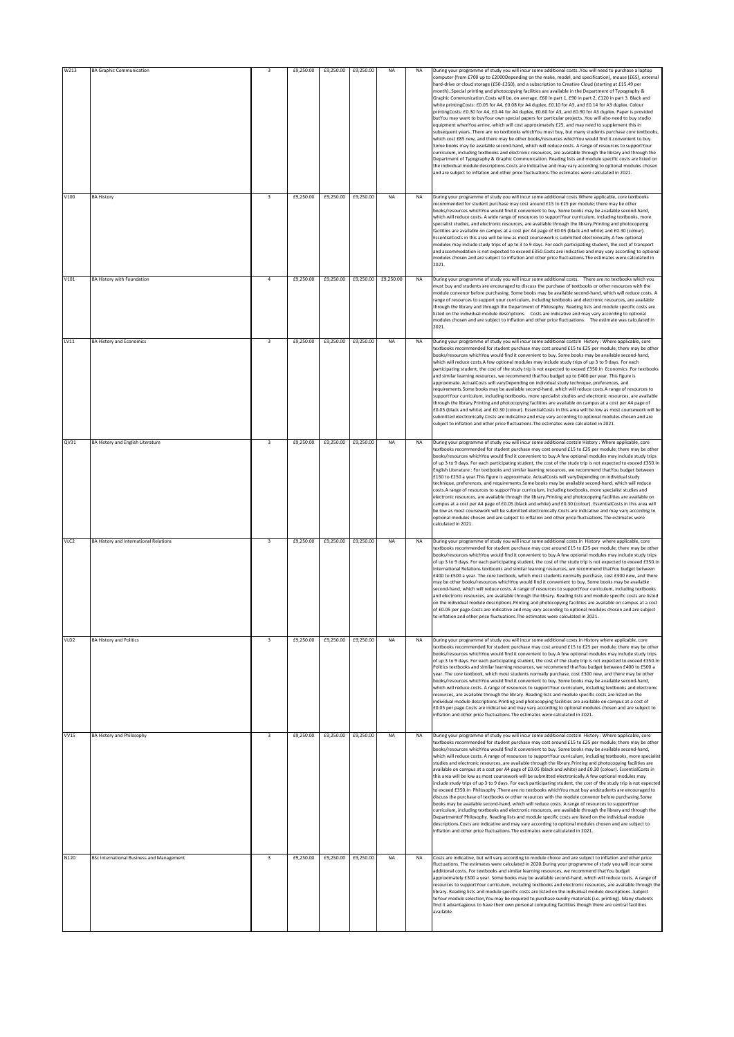| W213             | <b>BA Graphic Communication</b>                  | $\overline{\mathbf{3}}$ | £9,250.00 | £9,250.00 | £9,250.00 | NA        | NA        | During your programme of study you will incur some additional costs. You will need to purchase a laptop<br>computer (from £700 up to £2000Depending on the make, model, and specification), mouse (£65), external<br>hard-drive or cloud storage (£50-£250), and a subscription to Creative Cloud (starting at £15.49 per<br>month). Special printing and photocopying facilities are available in the Department of Typography &<br>Graphic Communication.Costs will be, on average, £60 in part 1, £90 in part 2, £120 in part 3. Black and<br>white printingCosts: £0.05 for A4, £0.08 for A4 duplex, £0.10 for A3, and £0.14 for A3 duplex. Colour<br>printingCosts: £0.30 for A4, £0.44 for A4 duplex, £0.60 for A3, and £0.90 for A3 duplex. Paper is provided<br>butYou may want to buyYour own special papers for particular projects. You will also need to buy studio<br>equipment whenYou arrive, which will cost approximately £25, and may need to supplement this in<br>subsequent years. There are no textbooks whichYou must buy, but many students purchase core textbooks,<br>which cost £85 new, and there may be other books/resources whichYou would find it convenient to buy.<br>Some books may be available second-hand, which will reduce costs. A range of resources to supportYour<br>curriculum, including textbooks and electronic resources, are available through the library and through the<br>Department of Typography & Graphic Communication. Reading lists and module specific costs are listed on<br>the individual module descriptions.Costs are indicative and may vary according to optional modules chosen<br>and are subject to inflation and other price fluctuations. The estimates were calculated in 2021. |
|------------------|--------------------------------------------------|-------------------------|-----------|-----------|-----------|-----------|-----------|-----------------------------------------------------------------------------------------------------------------------------------------------------------------------------------------------------------------------------------------------------------------------------------------------------------------------------------------------------------------------------------------------------------------------------------------------------------------------------------------------------------------------------------------------------------------------------------------------------------------------------------------------------------------------------------------------------------------------------------------------------------------------------------------------------------------------------------------------------------------------------------------------------------------------------------------------------------------------------------------------------------------------------------------------------------------------------------------------------------------------------------------------------------------------------------------------------------------------------------------------------------------------------------------------------------------------------------------------------------------------------------------------------------------------------------------------------------------------------------------------------------------------------------------------------------------------------------------------------------------------------------------------------------------------------------------------------------------------------------------------------------|
| V100             | <b>BA History</b>                                | $\overline{\mathbf{3}}$ | £9,250.00 | £9,250.00 | £9,250.00 | <b>NA</b> | <b>NA</b> | During your programme of study you will incur some additional costs. Where applicable, core textbooks<br>ecommended for student purchase may cost around £15 to £25 per module; there may be other<br>books/resources whichYou would find it convenient to buy. Some books may be available second-hand,<br>which will reduce costs. A wide range of resources to supportYour curriculum, including textbooks, more<br>specialist studies, and electronic resources, are available through the library. Printing and photocopying<br>facilities are available on campus at a cost per A4 page of £0.05 (black and white) and £0.30 (colour).<br>EssentialCosts in this area will be low as most coursework is submitted electronically.A few optional<br>modules may include study trips of up to 3 to 9 days. For each participating student, the cost of transport<br>and accommodation is not expected to exceed £350.Costs are indicative and may vary according to optional<br>modules chosen and are subject to inflation and other price fluctuations. The estimates were calculated in<br>2021.                                                                                                                                                                                                                                                                                                                                                                                                                                                                                                                                                                                                                                                   |
| V101             | <b>BA History with Foundation</b>                | $\overline{4}$          | £9,250.00 | £9,250.00 | £9,250.00 | £9,250.00 | <b>NA</b> | During your programme of study you will incur some additional costs.  There are no textbooks which you<br>must buy and students are encouraged to discuss the purchase of textbooks or other resources with the<br>module convenor before purchasing. Some books may be available second-hand, which will reduce costs. A<br>ange of resources to support your curriculum, including textbooks and electronic resources, are available<br>through the library and through the Department of Philosophy. Reading lists and module specific costs are<br>listed on the individual module descriptions. Costs are indicative and may vary according to optional<br>modules chosen and are subject to inflation and other price fluctuations.  The estimate was calculated in<br>2021.                                                                                                                                                                                                                                                                                                                                                                                                                                                                                                                                                                                                                                                                                                                                                                                                                                                                                                                                                                        |
| LV11             | <b>BA History and Economics</b>                  | 3                       | £9,250.00 | £9,250.00 | £9,250.00 | <b>NA</b> | <b>NA</b> | During your programme of study you will incur some additional costsIn History : Where applicable, core<br>textbooks recommended for student purchase may cost around £15 to £25 per module; there may be other<br>books/resources whichYou would find it convenient to buy. Some books may be available second-hand,<br>which will reduce costs.A few optional modules may include study trips of up 3 to 9 days. For each<br>participating student, the cost of the study trip is not expected to exceed £350.In. Economics: Eor textbooks<br>and similar learning resources, we recommend thatYou budget up to £400 per year. This figure is<br>approximate. ActualCosts will varyDepending on individual study technique, preferences, and<br>requirements. Some books may be available second-hand, which will reduce costs. A range of resources to<br>supportYour curriculum, including textbooks, more specialist studies and electronic resources, are available<br>through the library. Printing and photocopying facilities are available on campus at a cost per A4 page of<br>£0.05 (black and white) and £0.30 (colour). EssentialCosts in this area will be low as most coursework will be<br>submitted electronically.Costs are indicative and may vary according to optional modules chosen and are<br>subject to inflation and other price fluctuations. The estimates were calculated in 2021.                                                                                                                                                                                                                                                                                                                                          |
| QV31             | BA History and English Literature                | $\overline{\mathbf{3}}$ | £9,250.00 | £9,250.00 | £9,250.00 | <b>NA</b> | <b>NA</b> | During your programme of study you will incur some additional costsIn History : Where applicable, core<br>textbooks recommended for student purchase may cost around £15 to £25 per module; there may be other<br>books/resources whichYou would find it convenient to buy.A few optional modules may include study trips<br>of up 3 to 9 days. For each participating student, the cost of the study trip is not expected to exceed £350.In<br>English Literature : For textbooks and similar learning resources, we recommend thatYou budget between<br>£150 to £250 a year. This figure is approximate. ActualCosts will varyDepending on individual study<br>technique, preferences, and requirements. Some books may be available second-hand, which will reduce<br>costs.A range of resources to supportYour curriculum, including textbooks, more specialist studies and<br>electronic resources, are available through the library. Printing and photocopying facilities are available on<br>campus at a cost per A4 page of £0.05 (black and white) and £0.30 (colour). EssentialCosts in this area will<br>be low as most coursework will be submitted electronically.Costs are indicative and may vary according to<br>optional modules chosen and are subject to inflation and other price fluctuations. The estimates were<br>calculated in 2021.                                                                                                                                                                                                                                                                                                                                                                                            |
| VLC2             | BA History and International Relations           | $\overline{\mathbf{3}}$ | £9,250.00 | £9,250.00 | £9,250.00 | <b>NA</b> | <b>NA</b> | During your programme of study you will incur some additional costs. In History where applicable, core<br>textbooks recommended for student purchase may cost around £15 to £25 per module; there may be other<br>books/resources whichYou would find it convenient to buy.A few optional modules may include study trips<br>of up 3 to 9 days. For each participating student, the cost of the study trip is not expected to exceed £350.In<br>International Relations textbooks and similar learning resources, we recommend thatYou budget between<br>£400 to £500 a year. The core textbook, which most students normally purchase, cost £300 new, and there<br>may be other books/resources whichYou would find it convenient to buy. Some books may be available<br>second-hand, which will reduce costs. A range of resources to supportYour curriculum, including textbooks<br>and electronic resources, are available through the library. Reading lists and module specific costs are listed<br>on the individual module descriptions. Printing and photocopying facilities are available on campus at a cost<br>of £0.05 per page.Costs are indicative and may vary according to optional modules chosen and are subject<br>o inflation and other price fluctuations. The estimates were calculated in 2021.                                                                                                                                                                                                                                                                                                                                                                                                                                   |
| VLD <sub>2</sub> | <b>BA History and Politics</b>                   | $\overline{\mathbf{3}}$ | £9,250.00 | £9,250.00 | £9,250.00 | <b>NA</b> | <b>NA</b> | During your programme of study you will incur some additional costs. In History where applicable, core<br>textbooks recommended for student purchase may cost around £15 to £25 per module; there may be other<br>books/resources whichYou would find it convenient to buy.A few optional modules may include study trips<br>of up 3 to 9 days. For each participating student, the cost of the study trip is not expected to exceed £350.In<br>Politics textbooks and similar learning resources, we recommend thatYou budget between £400 to £500 a<br>year. The core textbook, which most students normally purchase, cost £300 new, and there may be other<br>books/resources whichYou would find it convenient to buy. Some books may be available second-hand,<br>which will reduce costs. A range of resources to supportYour curriculum, including textbooks and electronic<br>resources, are available through the library. Reading lists and module specific costs are listed on the<br>individual module descriptions. Printing and photocopying facilities are available on campus at a cost of<br>£0.05 per page.Costs are indicative and may vary according to optional modules chosen and are subject to<br>inflation and other price fluctuations. The estimates were calculated in 2021.                                                                                                                                                                                                                                                                                                                                                                                                                                                 |
| <b>VV15</b>      | <b>BA History and Philosophy</b>                 | 3                       | £9,250.00 | £9,250.00 | £9,250.00 | NA        | NA        | During your programme of study you will incur some additional costsIn History : Where applicable, core<br>textbooks recommended for student purchase may cost around £15 to £25 per module; there may be other<br>books/resources whichYou would find it convenient to buy. Some books may be available second-hand,<br>which will reduce costs. A range of resources to supportYour curriculum, including textbooks, more specialist<br>studies and electronic resources, are available through the library. Printing and photocopying facilities are<br>available on campus at a cost per A4 page of £0.05 (black and white) and £0.30 (colour). EssentialCosts in<br>this area will be low as most coursework will be submitted electronically.A few optional modules may<br>include study trips of up 3 to 9 days. For each participating student, the cost of the study trip is not expected<br>to exceed £350.In Philosophy : There are no textbooks whichYou must buy andstudents are encouraged to<br>discuss the purchase of textbooks or other resources with the module convenor before purchasing. Some<br>books may be available second-hand, which will reduce costs. A range of resources to supportYour<br>curriculum, including textbooks and electronic resources, are available through the library and through the<br>Departmentof Philosophy. Reading lists and module specific costs are listed on the individual module<br>descriptions. Costs are indicative and may vary according to optional modules chosen and are subject to<br>inflation and other price fluctuations. The estimates were calculated in 2021.                                                                                                               |
| N120             | <b>BSc International Business and Management</b> | $\overline{\mathbf{3}}$ | £9,250.00 | £9,250.00 | £9,250.00 | <b>NA</b> | <b>NA</b> | Costs are indicative, but will vary according to module choice and are subject to inflation and other price<br>fluctuations. The estimates were calculated in 2020.During your programme of study you will incur some<br>additional costsFor textbooks and similar learning resources, we recommend thatYou budget<br>approximately £300 a year. Some books may be available second-hand, which will reduce costs. A range of<br>resources to supportYour curriculum, including textbooks and electronic resources, are available through the<br>library. Reading lists and module specific costs are listed on the individual module descriptionsSubject<br>oYour module selection,You may be required to purchase sundry materials (i.e. printing). Many students:<br>find it advantageous to have their own personal computing facilities though there are central facilities<br>available.                                                                                                                                                                                                                                                                                                                                                                                                                                                                                                                                                                                                                                                                                                                                                                                                                                                            |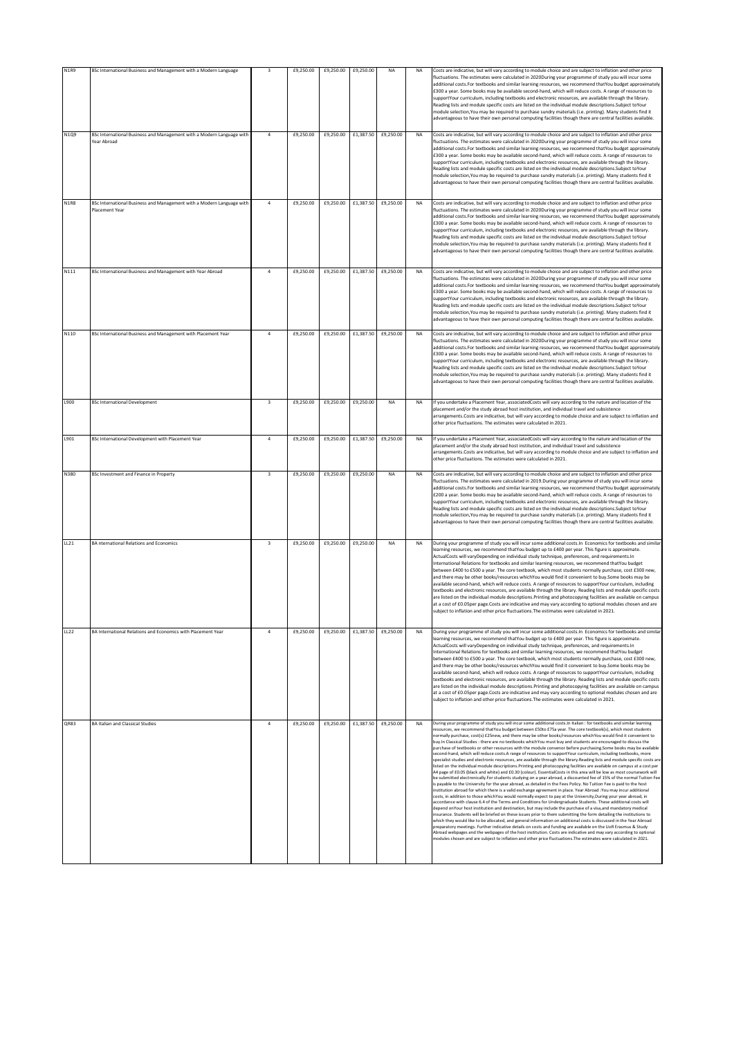|             |                                                                                                |                         | £9,250.00 |           | £9,250.00 |           |           |                                                                                                                                                                                                                                                                                                                                                                                                                                                                                                                                                                                                                                                                                                                                                                                                                                                                                                                                                                                                                                                                                                                                                                                                                                                                                                                                                                                                                                                                                                                                                                                                                                                                                                                                                                                                                                                                                                                                                                                                                                                                                                                                                                                             |
|-------------|------------------------------------------------------------------------------------------------|-------------------------|-----------|-----------|-----------|-----------|-----------|---------------------------------------------------------------------------------------------------------------------------------------------------------------------------------------------------------------------------------------------------------------------------------------------------------------------------------------------------------------------------------------------------------------------------------------------------------------------------------------------------------------------------------------------------------------------------------------------------------------------------------------------------------------------------------------------------------------------------------------------------------------------------------------------------------------------------------------------------------------------------------------------------------------------------------------------------------------------------------------------------------------------------------------------------------------------------------------------------------------------------------------------------------------------------------------------------------------------------------------------------------------------------------------------------------------------------------------------------------------------------------------------------------------------------------------------------------------------------------------------------------------------------------------------------------------------------------------------------------------------------------------------------------------------------------------------------------------------------------------------------------------------------------------------------------------------------------------------------------------------------------------------------------------------------------------------------------------------------------------------------------------------------------------------------------------------------------------------------------------------------------------------------------------------------------------------|
| <b>N1R9</b> | BSc International Business and Management with a Modern Language                               | 3                       |           | £9,250.00 |           | NA        | NA        | Costs are indicative, but will vary according to module choice and are subject to inflation and other price<br>fluctuations. The estimates were calculated in 2020During your programme of study you will incur some<br>additional costs. For textbooks and similar learning resources, we recommend thatYou budget approximately<br>£300 a year. Some books may be available second-hand, which will reduce costs. A range of resources to<br>supportYour curriculum, including textbooks and electronic resources, are available through the library.<br>Reading lists and module specific costs are listed on the individual module descriptions Subject toYour<br>module selection, You may be required to purchase sundry materials (i.e. printing). Many students find it<br>advantageous to have their own personal computing facilities though there are central facilities available.                                                                                                                                                                                                                                                                                                                                                                                                                                                                                                                                                                                                                                                                                                                                                                                                                                                                                                                                                                                                                                                                                                                                                                                                                                                                                              |
| N1Q9        | BSc International Business and Management with a Modern Language with<br>Year Abroad           | $\mathbf{4}$            | £9,250.00 | £9,250.00 | £1,387.50 | £9,250.00 | <b>NA</b> | Costs are indicative, but will vary according to module choice and are subject to inflation and other price<br>fluctuations. The estimates were calculated in 2020During your programme of study you will incur some<br>additional costs. For textbooks and similar learning resources, we recommend thatYou budget approximately<br>£300 a year. Some books may be available second-hand, which will reduce costs. A range of resources to<br>supportYour curriculum, including textbooks and electronic resources, are available through the library.<br>Reading lists and module specific costs are listed on the individual module descriptions. Subject toYour<br>module selection, You may be required to purchase sundry materials (i.e. printing). Many students find it<br>advantageous to have their own personal computing facilities though there are central facilities available                                                                                                                                                                                                                                                                                                                                                                                                                                                                                                                                                                                                                                                                                                                                                                                                                                                                                                                                                                                                                                                                                                                                                                                                                                                                                              |
| <b>N1R8</b> | BSc International Business and Management with a Modern Language with<br><b>Placement Year</b> | $\overline{a}$          | £9,250.00 | £9,250.00 | £1,387.50 | £9,250.00 | <b>NA</b> | Costs are indicative, but will vary according to module choice and are subject to inflation and other price<br>fluctuations. The estimates were calculated in 2020During your programme of study you will incur some<br>additional costs. For textbooks and similar learning resources, we recommend thatYou budget approximately<br>£300 a year. Some books may be available second-hand, which will reduce costs. A range of resources to<br>supportYour curriculum, including textbooks and electronic resources, are available through the library.<br>Reading lists and module specific costs are listed on the individual module descriptions. Subject toYour<br>module selection, You may be required to purchase sundry materials (i.e. printing). Many students find it<br>advantageous to have their own personal computing facilities though there are central facilities available.                                                                                                                                                                                                                                                                                                                                                                                                                                                                                                                                                                                                                                                                                                                                                                                                                                                                                                                                                                                                                                                                                                                                                                                                                                                                                             |
| N111        | BSc International Business and Management with Year Abroad                                     | $\overline{a}$          | £9,250.00 | £9,250.00 | £1,387.50 | £9,250.00 | <b>NA</b> | Costs are indicative, but will vary according to module choice and are subject to inflation and other price<br>fluctuations. The estimates were calculated in 2020During your programme of study you will incur some<br>additional costs.For textbooks and similar learning resources, we recommend thatYou budget approximately<br>£300 a year. Some books may be available second-hand, which will reduce costs. A range of resources to<br>supportYour curriculum, including textbooks and electronic resources, are available through the library.<br>Reading lists and module specific costs are listed on the individual module descriptions. Subject toYour<br>module selection, You may be required to purchase sundry materials (i.e. printing). Many students find it<br>advantageous to have their own personal computing facilities though there are central facilities available                                                                                                                                                                                                                                                                                                                                                                                                                                                                                                                                                                                                                                                                                                                                                                                                                                                                                                                                                                                                                                                                                                                                                                                                                                                                                               |
| N110        | BSc International Business and Management with Placement Year                                  | $\overline{a}$          | £9,250.00 | £9,250.00 | £1,387.50 | £9,250.00 | <b>NA</b> | Costs are indicative, but will vary according to module choice and are subject to inflation and other price<br>fluctuations. The estimates were calculated in 2020During your programme of study you will incur some<br>additional costs. For textbooks and similar learning resources, we recommend thatYou budget approximately<br>£300 a year. Some books may be available second-hand, which will reduce costs. A range of resources to<br>supportYour curriculum, including textbooks and electronic resources, are available through the library.<br>Reading lists and module specific costs are listed on the individual module descriptions. Subject toYour<br>module selection, You may be required to purchase sundry materials (i.e. printing). Many students find it<br>advantageous to have their own personal computing facilities though there are central facilities available.                                                                                                                                                                                                                                                                                                                                                                                                                                                                                                                                                                                                                                                                                                                                                                                                                                                                                                                                                                                                                                                                                                                                                                                                                                                                                             |
| L900        | <b>BSc International Development</b>                                                           | $\overline{\mathbf{3}}$ | £9,250.00 | £9,250.00 | £9,250.00 | <b>NA</b> | <b>NA</b> | If you undertake a Placement Year, associatedCosts will yary according to the nature and location of the<br>placement and/or the study abroad host institution, and individual travel and subsistence<br>arrangements.Costs are indicative, but will vary according to module choice and are subject to inflation and<br>other price fluctuations. The estimates were calculated in 2021.                                                                                                                                                                                                                                                                                                                                                                                                                                                                                                                                                                                                                                                                                                                                                                                                                                                                                                                                                                                                                                                                                                                                                                                                                                                                                                                                                                                                                                                                                                                                                                                                                                                                                                                                                                                                   |
| L901        | BSc International Development with Placement Year                                              | $\overline{4}$          | £9,250.00 | £9,250.00 | £1,387.50 | £9,250.00 | NA        | If you undertake a Placement Year, associatedCosts will vary according to the nature and location of the<br>placement and/or the study abroad host institution, and individual travel and subsistence<br>arrangements.Costs are indicative, but will vary according to module choice and are subject to inflation and<br>other price fluctuations. The estimates were calculated in 2021.                                                                                                                                                                                                                                                                                                                                                                                                                                                                                                                                                                                                                                                                                                                                                                                                                                                                                                                                                                                                                                                                                                                                                                                                                                                                                                                                                                                                                                                                                                                                                                                                                                                                                                                                                                                                   |
| N380        | BSc Investment and Finance in Property                                                         | $\overline{\mathbf{3}}$ | £9,250.00 | £9,250.00 | £9,250.00 | NA        | <b>NA</b> | Costs are indicative, but will vary according to module choice and are subject to inflation and other price<br>fluctuations. The estimates were calculated in 2019.During your programme of study you will incur some<br>additional costs. For textbooks and similar learning resources, we recommend thatYou budget approximately<br>£200 a year. Some books may be available second-hand, which will reduce costs. A range of resources to<br>supportYour curriculum, including textbooks and electronic resources, are available through the library.<br>Reading lists and module specific costs are listed on the individual module descriptions. Subject toYour<br>module selection, You may be required to purchase sundry materials (i.e. printing). Many students find it<br>advantageous to have their own personal computing facilities though there are central facilities available.                                                                                                                                                                                                                                                                                                                                                                                                                                                                                                                                                                                                                                                                                                                                                                                                                                                                                                                                                                                                                                                                                                                                                                                                                                                                                            |
| LL21        | <b>BA</b> nternational Relations and Economics                                                 | $\overline{\mathbf{3}}$ | £9,250.00 | £9,250.00 | £9,250.00 | NA        | <b>NA</b> | During your programme of study you will incur some additional costs. In Economics for textbooks and similar<br>learning resources, we recommend thatYou budget up to £400 per year. This figure is approximate.<br>ActualCosts will varyDepending on individual study technique, preferences, and requirements.In<br>International Relations for textbooks and similar learning resources, we recommend thatYou budget<br>between £400 to £500 a year. The core textbook, which most students normally purchase, cost £300 new,<br>and there may be other books/resources whichYou would find it convenient to buy.Some books may be<br>available second-hand, which will reduce costs. A range of resources to supportYour curriculum, including<br>textbooks and electronic resources, are available through the library. Reading lists and module specific costs<br>are listed on the individual module descriptions. Printing and photocopying facilities are available on campus<br>at a cost of £0.05per page.Costs are indicative and may vary according to optional modules chosen and are<br>subject to inflation and other price fluctuations. The estimates were calculated in 2021.                                                                                                                                                                                                                                                                                                                                                                                                                                                                                                                                                                                                                                                                                                                                                                                                                                                                                                                                                                                             |
| LL22        | BA International Relations and Economics with Placement Year                                   | $\overline{a}$          | £9,250.00 | £9,250.00 | £1,387.50 | £9,250.00 | <b>NA</b> | During your programme of study you will incur some additional costs. In Economics for textbooks and similar<br>learning resources, we recommend thatYou budget up to £400 per year. This figure is approximate.<br>ActualCosts will varyDepending on individual study technique, preferences, and requirements.In<br>International Relations for textbooks and similar learning resources, we recommend thatYou budget<br>between £400 to £500 a year. The core textbook, which most students normally purchase, cost £300 new,<br>and there may be other books/resources whichYou would find it convenient to buy.Some books may be<br>available second-hand, which will reduce costs. A range of resources to supportYour curriculum, including<br>textbooks and electronic resources, are available through the library. Reading lists and module specific costs<br>are listed on the individual module descriptions. Printing and photocopying facilities are available on campus<br>at a cost of £0.05per page.Costs are indicative and may vary according to optional modules chosen and are<br>subject to inflation and other price fluctuations. The estimates were calculated in 2021.                                                                                                                                                                                                                                                                                                                                                                                                                                                                                                                                                                                                                                                                                                                                                                                                                                                                                                                                                                                             |
| QR83        | <b>BA Italian and Classical Studies</b>                                                        | $\overline{a}$          | £9,250.00 | £9,250.00 | £1,387.50 | £9,250.00 | <b>NA</b> | During your programme of study you will incur some additional costs. In Italian : for textbooks and similar learning<br>resources, we recommend thatYou budget between £50to £75a year. The core textbook(s), which most students                                                                                                                                                                                                                                                                                                                                                                                                                                                                                                                                                                                                                                                                                                                                                                                                                                                                                                                                                                                                                                                                                                                                                                                                                                                                                                                                                                                                                                                                                                                                                                                                                                                                                                                                                                                                                                                                                                                                                           |
|             |                                                                                                |                         |           |           |           |           |           | normally purchase, cost(s) £25new, and there may be other books/resources whichYou would find it convenient to<br>buy.In Classical Studies : there are no textbooks whichYou must buy and students are encouraged to discuss the<br>purchase of textbooks or other resources with the module convenor before purchasing.Some books may be available<br>second-hand, which will reduce costs.A range of resources to supportYour curriculum, including textbooks, more<br>specialist studies and electronic resources, are available through the library.Reading lists and module specific costs are<br>listed on the individual module descriptions. Printing and photocopying facilities are available on campus at a cost per<br>A4 page of £0.05 (black and white) and £0.30 (colour). EssentialCosts in this area will be low as most coursework will<br>be submitted electronically.For students studying on a year abroad, a discounted fee of 15% of the normal Tuition Fee<br>is payable to the University for the year abroad, as detailed in the Fees Policy. No Tuition Fee is paid to the host<br>institution abroad for which there is a valid exchange agreement in place. Year Abroad :You may incur additional<br>costs, in addition to those whichYou would normally expect to pay at the University,During your year abroad, in<br>accordance with clause 6.4 of the Terms and Conditions for Undergraduate Students. These additional costs will<br>depend onYour host institution and destination, but may include the purchase of a visa,and mandatory medical<br>insurance. Students will be briefed on these issues prior to them submitting the form detailing the institutions to<br>which they would like to be allocated, and general information on additional costs is discussed in the Year Abroad<br>preparatory meetings. Further indicative details on costs and funding are available on the UoR Erasmus & Study<br>Abroad webpages and the webpages of the host institution. Costs are indicative and may vary according to optional<br>modules chosen and are subject to inflation and other price fluctuations. The estimates were calculated in 2021. |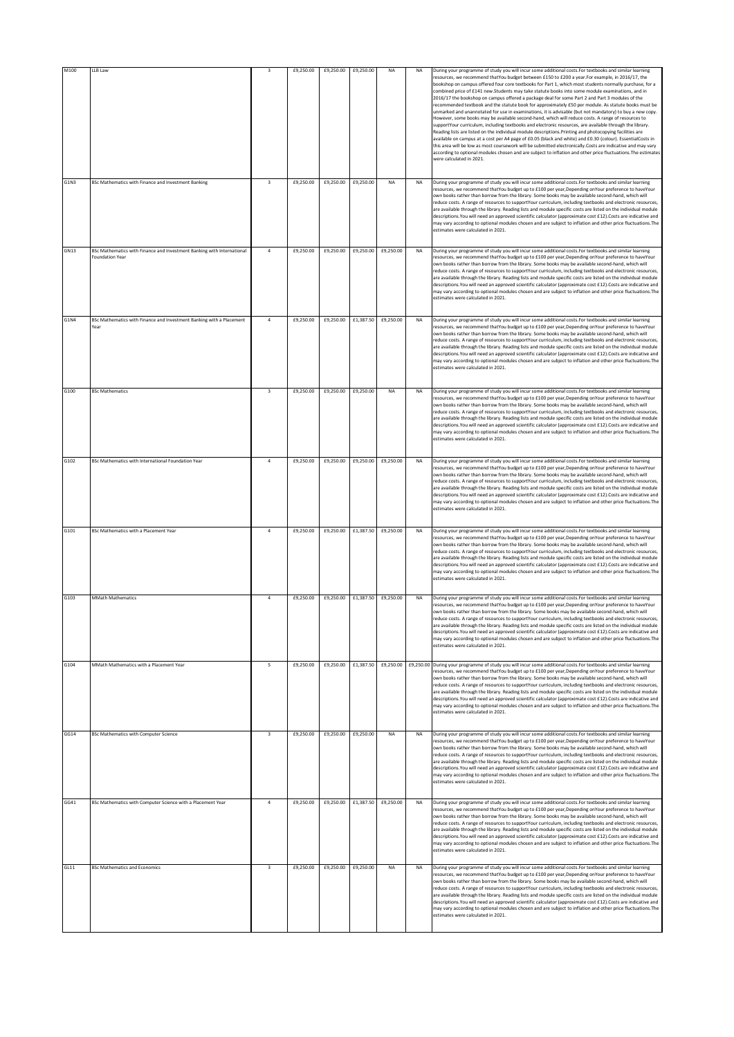| M100        | LLB Law                                                                                          |                         | £9,250.00 | £9,250.00 | £9,250.00           | NA                  | NA        | During your programme of study you will incur some additional costs. For textbooks and similar learning<br>resources, we recommend thatYou budget between £150 to £200 a year.For example, in 2016/17, the<br>bookshop on campus offered four core textbooks for Part 1, which most students normally purchase, for a<br>combined price of £141 new.Students may take statute books into some module examinations, and in<br>2016/17 the bookshop on campus offered a package deal for some Part 2 and Part 3 modules of the<br>recommended textbook and the statute book for approximately £50 per module. As statute books must be<br>unmarked and unannotated for use in examinations, it is advisable (but not mandatory) to buy a new copy.<br>However, some books may be available second-hand, which will reduce costs. A range of resources to<br>supportYour curriculum, including textbooks and electronic resources, are available through the library.<br>Reading lists are listed on the individual module descriptions. Printing and photocopying facilities are<br>available on campus at a cost per A4 page of £0.05 (black and white) and £0.30 (colour). EssentialCosts in<br>this area will be low as most coursework will be submitted electronically.Costs are indicative and may vary<br>according to optional modules chosen and are subject to inflation and other price fluctuations. The estimates<br>were calculated in 2021. |
|-------------|--------------------------------------------------------------------------------------------------|-------------------------|-----------|-----------|---------------------|---------------------|-----------|----------------------------------------------------------------------------------------------------------------------------------------------------------------------------------------------------------------------------------------------------------------------------------------------------------------------------------------------------------------------------------------------------------------------------------------------------------------------------------------------------------------------------------------------------------------------------------------------------------------------------------------------------------------------------------------------------------------------------------------------------------------------------------------------------------------------------------------------------------------------------------------------------------------------------------------------------------------------------------------------------------------------------------------------------------------------------------------------------------------------------------------------------------------------------------------------------------------------------------------------------------------------------------------------------------------------------------------------------------------------------------------------------------------------------------------------------------|
| G1N3        | BSc Mathematics with Finance and Investment Banking                                              | $\overline{\mathbf{3}}$ | £9,250.00 | £9,250.00 | £9,250.00           | <b>NA</b>           | <b>NA</b> | During your programme of study you will incur some additional costs. For textbooks and similar learning<br>resources, we recommend thatYou budget up to £100 per year, Depending onYour preference to haveYour<br>own books rather than borrow from the library. Some books may be available second-hand, which will<br>reduce costs. A range of resources to supportYour curriculum, including textbooks and electronic resources.<br>are available through the library. Reading lists and module specific costs are listed on the individual module<br>descriptions. You will need an approved scientific calculator (approximate cost £12). Costs are indicative and<br>may vary according to optional modules chosen and are subject to inflation and other price fluctuations. The<br>estimates were calculated in 2021.                                                                                                                                                                                                                                                                                                                                                                                                                                                                                                                                                                                                                            |
| GN13        | BSc Mathematics with Finance and Investment Banking with International<br><b>Foundation Year</b> | $\overline{4}$          | £9,250.00 | £9,250.00 |                     | £9,250.00 £9,250.00 | <b>NA</b> | During your programme of study you will incur some additional costs. For textbooks and similar learning<br>resources, we recommend thatYou budget up to £100 per year, Depending onYour preference to haveYour<br>own books rather than borrow from the library. Some books may be available second-hand, which will<br>reduce costs. A range of resources to supportYour curriculum, including textbooks and electronic resources,<br>are available through the library. Reading lists and module specific costs are listed on the individual module<br>descriptions. You will need an approved scientific calculator (approximate cost £12). Costs are indicative and<br>may vary according to optional modules chosen and are subject to inflation and other price fluctuations. The<br>estimates were calculated in 2021.                                                                                                                                                                                                                                                                                                                                                                                                                                                                                                                                                                                                                            |
| <b>G1N4</b> | BSc Mathematics with Finance and Investment Banking with a Placement<br>Year                     | $\overline{a}$          | £9,250.00 | £9,250.00 |                     | £1,387.50 £9,250.00 | <b>NA</b> | During your programme of study you will incur some additional costs. For textbooks and similar learning<br>resources, we recommend thatYou budget up to £100 per year, Depending onYour preference to haveYour<br>own books rather than borrow from the library. Some books may be available second-hand, which will<br>reduce costs. A range of resources to supportYour curriculum, including textbooks and electronic resources,<br>are available through the library. Reading lists and module specific costs are listed on the individual module<br>descriptions. You will need an approved scientific calculator (approximate cost £12). Costs are indicative and<br>may vary according to optional modules chosen and are subject to inflation and other price fluctuations. The<br>estimates were calculated in 2021.                                                                                                                                                                                                                                                                                                                                                                                                                                                                                                                                                                                                                            |
| G100        | <b>BSc Mathematics</b>                                                                           | $\overline{\mathbf{3}}$ | £9,250.00 | £9,250.00 | £9,250.00           | NA                  | <b>NA</b> | During your programme of study you will incur some additional costs. For textbooks and similar learning<br>resources, we recommend thatYou budget up to £100 per year, Depending onYour preference to haveYour<br>own books rather than borrow from the library. Some books may be available second-hand, which will<br>reduce costs. A range of resources to supportYour curriculum, including textbooks and electronic resources,<br>are available through the library. Reading lists and module specific costs are listed on the individual module<br>descriptions. You will need an approved scientific calculator (approximate cost £12). Costs are indicative and<br>may vary according to optional modules chosen and are subject to inflation and other price fluctuations. The<br>estimates were calculated in 2021.                                                                                                                                                                                                                                                                                                                                                                                                                                                                                                                                                                                                                            |
| G102        | BSc Mathematics with International Foundation Year                                               | $\overline{4}$          | £9,250.00 | £9,250.00 |                     | £9,250.00 £9,250.00 | <b>NA</b> | During your programme of study you will incur some additional costs. For textbooks and similar learning<br>resources, we recommend thatYou budget up to £100 per year, Depending onYour preference to haveYour<br>own books rather than borrow from the library. Some books may be available second-hand, which will<br>reduce costs. A range of resources to supportYour curriculum, including textbooks and electronic resources,<br>are available through the library. Reading lists and module specific costs are listed on the individual module<br>descriptions. You will need an approved scientific calculator (approximate cost £12). Costs are indicative and<br>may vary according to optional modules chosen and are subject to inflation and other price fluctuations. The<br>estimates were calculated in 2021.                                                                                                                                                                                                                                                                                                                                                                                                                                                                                                                                                                                                                            |
| G101        | BSc Mathematics with a Placement Year                                                            | $\overline{4}$          | £9,250.00 | £9,250.00 |                     | £1,387.50 £9,250.00 | <b>NA</b> | During your programme of study you will incur some additional costs. For textbooks and similar learning<br>resources, we recommend thatYou budget up to £100 per year, Depending onYour preference to haveYour<br>own books rather than borrow from the library. Some books may be available second-hand, which will<br>reduce costs. A range of resources to supportYour curriculum, including textbooks and electronic resources,<br>are available through the library. Reading lists and module specific costs are listed on the individual module<br>descriptions. You will need an approved scientific calculator (approximate cost £12). Costs are indicative and<br>may vary according to optional modules chosen and are subject to inflation and other price fluctuations. The<br>estimates were calculated in 2021.                                                                                                                                                                                                                                                                                                                                                                                                                                                                                                                                                                                                                            |
| G103        | <b>MMath Mathematics</b>                                                                         | $\overline{a}$          | £9,250.00 | £9,250.00 | £1,387.50           | £9.250.00           | <b>NA</b> | During your programme of study you will incur some additional costs. For textbooks and similar learning<br>resources, we recommend thatYou budget up to £100 per year, Depending onYour preference to haveYour<br>own books rather than borrow from the library. Some books may be available second-hand, which will<br>educe costs. A range of resources to supportYour curriculum, including textbooks and electronic resources<br>are available through the library. Reading lists and module specific costs are listed on the individual module<br>descriptions. You will need an approved scientific calculator (approximate cost £12). Costs are indicative and<br>may vary according to optional modules chosen and are subject to inflation and other price fluctuations. The<br>estimates were calculated in 2021.                                                                                                                                                                                                                                                                                                                                                                                                                                                                                                                                                                                                                              |
| G104        | MMath Mathematics with a Placement Year                                                          | 5                       | £9,250.00 | £9,250.00 |                     | £1,387.50 £9,250.00 |           | £9,250.00 During your programme of study you will incur some additional costs. For textbooks and similar learning<br>resources, we recommend thatYou budget up to £100 per year, Depending onYour preference to haveYour<br>own books rather than borrow from the library. Some books may be available second-hand, which will<br>reduce costs. A range of resources to supportYour curriculum, including textbooks and electronic resources.<br>are available through the library. Reading lists and module specific costs are listed on the individual module<br>descriptions. You will need an approved scientific calculator (approximate cost £12). Costs are indicative and<br>may vary according to optional modules chosen and are subject to inflation and other price fluctuations. The<br>estimates were calculated in 2021.                                                                                                                                                                                                                                                                                                                                                                                                                                                                                                                                                                                                                  |
| GG14        | <b>BSc Mathematics with Computer Science</b>                                                     | $\overline{\mathbf{3}}$ | £9,250.00 | £9,250.00 | £9,250.00           | <b>NA</b>           | <b>NA</b> | During your programme of study you will incur some additional costs. For textbooks and similar learning<br>resources, we recommend thatYou budget up to £100 per year, Depending onYour preference to haveYour<br>own books rather than borrow from the library. Some books may be available second-hand, which will<br>reduce costs. A range of resources to supportYour curriculum, including textbooks and electronic resources,<br>are available through the library. Reading lists and module specific costs are listed on the individual module<br>descriptions. You will need an approved scientific calculator (approximate cost £12). Costs are indicative and<br>may vary according to optional modules chosen and are subject to inflation and other price fluctuations. The<br>estimates were calculated in 2021.                                                                                                                                                                                                                                                                                                                                                                                                                                                                                                                                                                                                                            |
| GG41        | BSc Mathematics with Computer Science with a Placement Year                                      | $\overline{4}$          | £9,250.00 | £9,250.00 | £1,387.50 £9,250.00 |                     | NA        | During your programme of study you will incur some additional costs. For textbooks and similar learning<br>resources, we recommend thatYou budget up to £100 per year, Depending onYour preference to haveYour<br>own books rather than borrow from the library. Some books may be available second-hand, which will<br>reduce costs. A range of resources to supportYour curriculum, including textbooks and electronic resources,<br>are available through the library. Reading lists and module specific costs are listed on the individual module<br>descriptions. You will need an approved scientific calculator (approximate cost £12). Costs are indicative and<br>may vary according to optional modules chosen and are subject to inflation and other price fluctuations. The<br>estimates were calculated in 2021.                                                                                                                                                                                                                                                                                                                                                                                                                                                                                                                                                                                                                            |
| GL11        | <b>BSc Mathematics and Economics</b>                                                             | $\mathsf 3$             | £9,250.00 | £9,250.00 | £9,250.00           | <b>NA</b>           | <b>NA</b> | During your programme of study you will incur some additional costs. For textbooks and similar learning<br>resources, we recommend thatYou budget up to £100 per year, Depending onYour preference to haveYour<br>own books rather than borrow from the library. Some books may be available second-hand, which will<br>reduce costs. A range of resources to supportYour curriculum, including textbooks and electronic resources,<br>are available through the library. Reading lists and module specific costs are listed on the individual module<br>descriptions. You will need an approved scientific calculator (approximate cost £12). Costs are indicative and<br>may vary according to optional modules chosen and are subject to inflation and other price fluctuations. The<br>estimates were calculated in 2021.                                                                                                                                                                                                                                                                                                                                                                                                                                                                                                                                                                                                                            |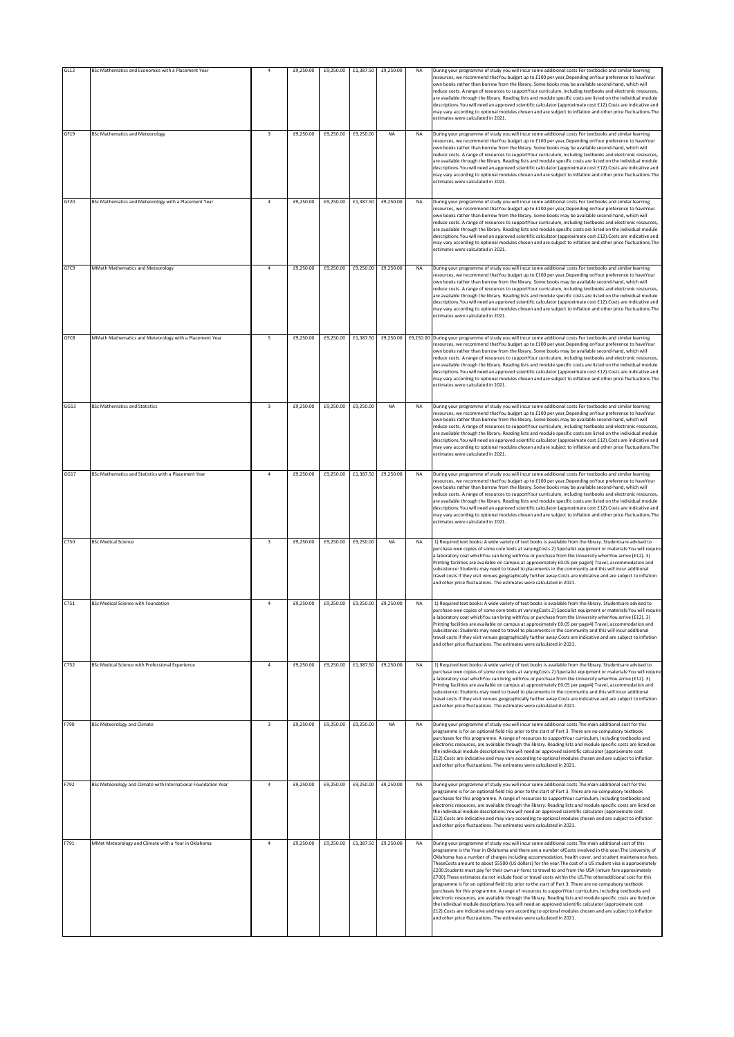| GL12             | BSc Mathematics and Economics with a Placement Year            |                         | £9,250.00 | £9,250.00           | £1,387.50 | £9,250.00           | <b>NA</b> | During your programme of study you will incur some additional costs. For textbooks and similar learning                                                                                                                                                                                                                                                                                                                                                                                                                                                                                                                                                                                                                                                                                                                                                                                                                                                                                                                                                                                                                                                                                                                                                                                                 |
|------------------|----------------------------------------------------------------|-------------------------|-----------|---------------------|-----------|---------------------|-----------|---------------------------------------------------------------------------------------------------------------------------------------------------------------------------------------------------------------------------------------------------------------------------------------------------------------------------------------------------------------------------------------------------------------------------------------------------------------------------------------------------------------------------------------------------------------------------------------------------------------------------------------------------------------------------------------------------------------------------------------------------------------------------------------------------------------------------------------------------------------------------------------------------------------------------------------------------------------------------------------------------------------------------------------------------------------------------------------------------------------------------------------------------------------------------------------------------------------------------------------------------------------------------------------------------------|
|                  |                                                                |                         |           |                     |           |                     |           | resources, we recommend thatYou budget up to £100 per year,Depending onYour preference to haveYour<br>own books rather than borrow from the library. Some books may be available second-hand, which will<br>reduce costs. A range of resources to supportYour curriculum, including textbooks and electronic resources,<br>are available through the library. Reading lists and module specific costs are listed on the individual module<br>descriptions. You will need an approved scientific calculator (approximate cost £12). Costs are indicative and<br>may vary according to optional modules chosen and are subject to inflation and other price fluctuations. The<br>estimates were calculated in 2021.                                                                                                                                                                                                                                                                                                                                                                                                                                                                                                                                                                                       |
| GF19             | <b>BSc Mathematics and Meteorology</b>                         | $\overline{\mathbf{3}}$ | £9,250.00 | £9,250.00           | £9,250.00 | NA                  | <b>NA</b> | During your programme of study you will incur some additional costs. For textbooks and similar learning<br>resources, we recommend thatYou budget up to £100 per year, Depending onYour preference to haveYour<br>own books rather than borrow from the library. Some books may be available second-hand, which will<br>reduce costs. A range of resources to supportYour curriculum, including textbooks and electronic resources,<br>are available through the library. Reading lists and module specific costs are listed on the individual module<br>descriptions. You will need an approved scientific calculator (approximate cost £12). Costs are indicative and<br>may vary according to optional modules chosen and are subject to inflation and other price fluctuations. The<br>estimates were calculated in 2021.                                                                                                                                                                                                                                                                                                                                                                                                                                                                           |
| GF <sub>20</sub> | BSc Mathematics and Meteorology with a Placement Year          | $\ddot{4}$              | £9,250.00 | £9,250.00           | £1,387.50 | £9,250.00           | <b>NA</b> | During your programme of study you will incur some additional costs. For textbooks and similar learning<br>resources, we recommend thatYou budget up to £100 per year, Depending onYour preference to haveYour<br>own books rather than borrow from the library. Some books may be available second-hand, which will<br>reduce costs. A range of resources to supportYour curriculum, including textbooks and electronic resources.<br>are available through the library. Reading lists and module specific costs are listed on the individual module<br>descriptions. You will need an approved scientific calculator (approximate cost £12). Costs are indicative and<br>may vary according to optional modules chosen and are subject to inflation and other price fluctuations. The<br>estimates were calculated in 2021.                                                                                                                                                                                                                                                                                                                                                                                                                                                                           |
| GFC9             | MMath Mathematics and Meteorology                              | $\ddot{4}$              | £9,250.00 | £9,250.00           |           | £9,250.00 £9,250.00 | <b>NA</b> | During your programme of study you will incur some additional costs. For textbooks and similar learning<br>resources, we recommend thatYou budget up to £100 per year, Depending onYour preference to haveYour<br>own books rather than borrow from the library. Some books may be available second-hand, which will<br>reduce costs. A range of resources to supportYour curriculum, including textbooks and electronic resources,<br>are available through the library. Reading lists and module specific costs are listed on the individual module<br>descriptions. You will need an approved scientific calculator (approximate cost £12). Costs are indicative and<br>may vary according to optional modules chosen and are subject to inflation and other price fluctuations. The<br>estimates were calculated in 2021.                                                                                                                                                                                                                                                                                                                                                                                                                                                                           |
| GFC8             | MMath Mathematics and Meteorology with a Placement Year        | 5                       | £9,250.00 | £9,250.00           |           | £1,387.50 £9,250.00 | £9,250.00 | During your programme of study you will incur some additional costs. For textbooks and similar learning<br>resources, we recommend thatYou budget up to £100 per year. Depending onYour preference to haveYour<br>own books rather than borrow from the library. Some books may be available second-hand, which will<br>reduce costs. A range of resources to supportYour curriculum, including textbooks and electronic resources,<br>are available through the library. Reading lists and module specific costs are listed on the individual module<br>descriptions. You will need an approved scientific calculator (approximate cost £12). Costs are indicative and<br>may vary according to optional modules chosen and are subject to inflation and other price fluctuations. The<br>estimates were calculated in 2021.                                                                                                                                                                                                                                                                                                                                                                                                                                                                           |
| GG13             | <b>BSc Mathematics and Statistics</b>                          | $\overline{3}$          | £9,250.00 | £9,250.00 £9,250.00 |           | NA                  | <b>NA</b> | During your programme of study you will incur some additional costs. For textbooks and similar learning<br>resources, we recommend thatYou budget up to £100 per year, Depending onYour preference to haveYour<br>own books rather than borrow from the library. Some books may be available second-hand, which will<br>reduce costs. A range of resources to supportYour curriculum, including textbooks and electronic resources,<br>are available through the library. Reading lists and module specific costs are listed on the individual module<br>descriptions. You will need an approved scientific calculator (approximate cost £12). Costs are indicative and<br>may vary according to optional modules chosen and are subject to inflation and other price fluctuations.The<br>estimates were calculated in 2021.                                                                                                                                                                                                                                                                                                                                                                                                                                                                            |
| GG17             | BSc Mathematics and Statistics with a Placement Year           | $\overline{a}$          | £9,250.00 | £9,250.00           | £1,387.50 | £9,250.00           | <b>NA</b> | During your programme of study you will incur some additional costs. For textbooks and similar learning<br>resources, we recommend thatYou budget up to £100 per year, Depending onYour preference to haveYour<br>own books rather than borrow from the library. Some books may be available second-hand, which will<br>reduce costs. A range of resources to supportYour curriculum, including textbooks and electronic resources,<br>are available through the library. Reading lists and module specific costs are listed on the individual module<br>descriptions. You will need an approved scientific calculator (approximate cost £12). Costs are indicative and<br>may vary according to optional modules chosen and are subject to inflation and other price fluctuations. The<br>estimates were calculated in 2021.                                                                                                                                                                                                                                                                                                                                                                                                                                                                           |
| C750             | <b>BSc Medical Science</b>                                     | $\overline{\mathbf{3}}$ | £9,250.00 | £9,250.00           | £9,250.00 | <b>NA</b>           | <b>NA</b> | 1) Required text books: A wide variety of text books is available from the library. Studentsare advised to<br>purchase own copies of some core texts at varyingCosts.2) Specialist equipment or materials: You will require<br>a laboratory coat whichYou can bring withYou or purchase from the University whenYou arrive (£12)3)<br>Printing facilities are available on campus at approximately £0.05 per page4) Travel, accommodation and<br>subsistence: Students may need to travel to placements in the community and this will incur additional<br>travel costs if they visit venues geographically further away.Costs are indicative and are subject to inflation<br>and other price fluctuations. The estimates were calculated in 2021.                                                                                                                                                                                                                                                                                                                                                                                                                                                                                                                                                      |
| C751             | <b>BSc Medical Science with Foundation</b>                     | $\overline{4}$          | £9,250.00 | £9,250.00           | £9,250.00 | £9,250.00           | <b>NA</b> | 1) Required text books: A wide variety of text books is available from the library. Studentsare advised to<br>purchase own copies of some core texts at varyingCosts.2) Specialist equipment or materials: You will require<br>laboratory coat whichYou can bring withYou or purchase from the University whenYou arrive (£12)3)<br>Printing facilities are available on campus at approximately £0.05 per page4) Travel, accommodation and<br>subsistence: Students may need to travel to placements in the community and this will incur additional<br>travel costs if they visit venues geographically further away.Costs are indicative and are subject to inflation<br>and other price fluctuations. The estimates were calculated in 2021.                                                                                                                                                                                                                                                                                                                                                                                                                                                                                                                                                        |
| C752             | BSc Medical Science with Professional Experience               | $\overline{4}$          | £9,250.00 | £9,250.00           |           | £1,387.50 £9,250.00 | <b>NA</b> | 1) Required text books: A wide variety of text books is available from the library. Studentsare advised to<br>purchase own copies of some core texts at varyingCosts.2) Specialist equipment or materials:You will require<br>a laboratory coat whichYou can bring withYou or purchase from the University whenYou arrive (£12)3)<br>Printing facilities are available on campus at approximately £0.05 per page4) Travel, accommodation and<br>subsistence: Students may need to travel to placements in the community and this will incur additional<br>travel costs if they visit venues geographically further away.Costs are indicative and are subject to inflation<br>and other price fluctuations. The estimates were calculated in 2021.                                                                                                                                                                                                                                                                                                                                                                                                                                                                                                                                                       |
| F790             | <b>BSc Meteorology and Climate</b>                             | $\overline{\mathbf{3}}$ | £9,250.00 | £9,250.00           | £9,250.00 | <b>NA</b>           | <b>NA</b> | During your programme of study you will incur some additional costs. The main additional cost for this<br>programme is for an optional field trip prior to the start of Part 3. There are no compulsory textbook<br>purchases for this programme. A range of resources to supportYour curriculum, including textbooks and<br>electronic resources, are available through the library. Reading lists and module specific costs are listed on<br>the individual module descriptions. You will need an approved scientific calculator (approximate cost<br>£12). Costs are indicative and may vary according to optional modules chosen and are subject to inflation<br>and other price fluctuations. The estimates were calculated in 2021.                                                                                                                                                                                                                                                                                                                                                                                                                                                                                                                                                               |
| F792             | BSc Meteorology and Climate with International Foundation Year | $\overline{4}$          | £9,250.00 | £9,250.00           | £9,250.00 | £9,250.00           | <b>NA</b> | During your programme of study you will incur some additional costs. The main additional cost for this<br>programme is for an optional field trip prior to the start of Part 3. There are no compulsory textbook<br>purchases for this programme. A range of resources to supportYour curriculum, including textbooks and<br>electronic resources, are available through the library. Reading lists and module specific costs are listed on<br>the individual module descriptions. You will need an approved scientific calculator (approximate cost<br>£12). Costs are indicative and may vary according to optional modules chosen and are subject to inflation<br>and other price fluctuations. The estimates were calculated in 2021.                                                                                                                                                                                                                                                                                                                                                                                                                                                                                                                                                               |
| F791             | MMet Meteorology and Climate with a Year in Oklahoma           | $\boldsymbol{4}$        | £9,250.00 | £9,250.00           | £1,387.50 | £9,250.00           | <b>NA</b> | During your programme of study you will incur some additional costs. The main additional cost of this<br>programme is the Year in Oklahoma and there are a number ofCosts involved in this year. The University of<br>Oklahoma has a number of charges including accommodation, health cover, and student maintenance fees.<br>TheseCosts amount to about \$5500 (US dollars) for the year. The cost of a US student visa is approximately<br>£200.Students must pay for their own air-fares to travel to and from the USA (return fare approximately<br>£700). These estimates do not include food or travel costs within the US. The otheradditional cost for this<br>programme is for an optional field trip prior to the start of Part 3. There are no compulsory textbook<br>purchases for this programme. A range of resources to supportYour curriculum, including textbooks and<br>electronic resources, are available through the library. Reading lists and module specific costs are listed on<br>the individual module descriptions. You will need an approved scientific calculator (approximate cost<br>£12). Costs are indicative and may vary according to optional modules chosen and are subject to inflation<br>and other price fluctuations. The estimates were calculated in 2021. |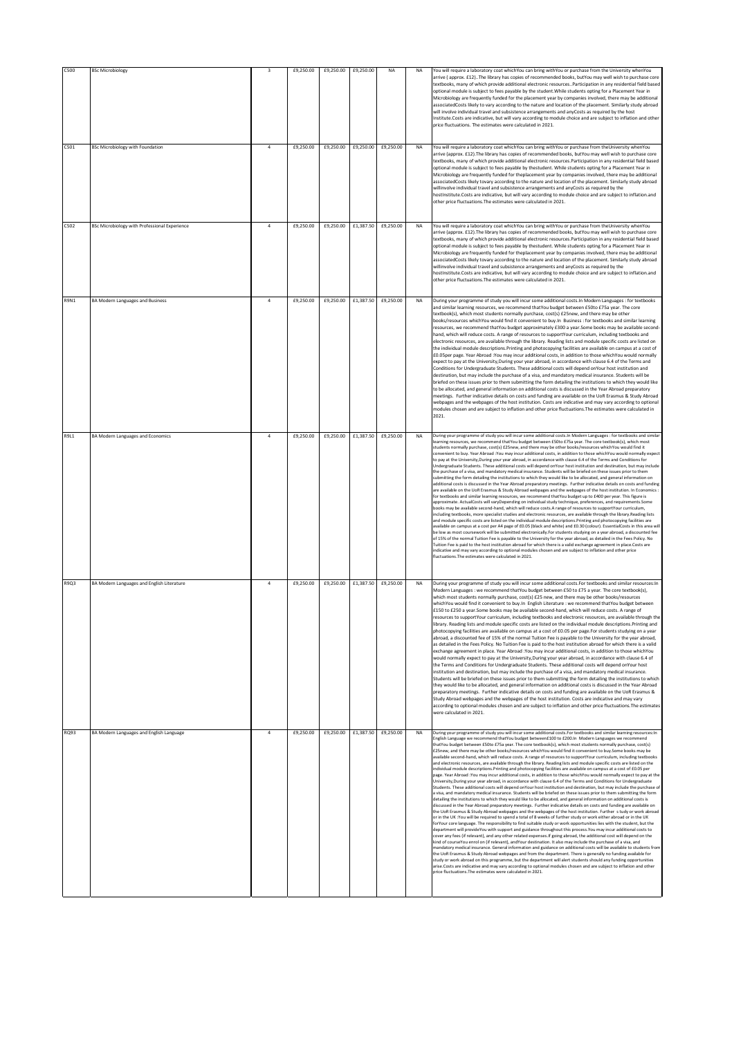| <b>C500</b> | <b>BSc Microbiology</b>                       | $\overline{\mathbf{3}}$ | £9,250.00 | £9,250.00 | £9,250.00 | NA                  | NA        | You will require a laboratory coat whichYou can bring withYou or purchase from the University whenYou                                                                                                                                                                                                                                                                                                                                                                                                                                                                                                                                                                                                                                                                                                                                                                                                                                                                                                                                                                                                                                                                                                                                                                                                                                                                                                                                                                                                                                                                                                                                                                                                                                                                                                                                                                                                                                                                                                                                                                                                                                                                                                                                                                                                                                                                                                                                                                                                                                                                                                                                                                                                                                                                                                                                                   |
|-------------|-----------------------------------------------|-------------------------|-----------|-----------|-----------|---------------------|-----------|---------------------------------------------------------------------------------------------------------------------------------------------------------------------------------------------------------------------------------------------------------------------------------------------------------------------------------------------------------------------------------------------------------------------------------------------------------------------------------------------------------------------------------------------------------------------------------------------------------------------------------------------------------------------------------------------------------------------------------------------------------------------------------------------------------------------------------------------------------------------------------------------------------------------------------------------------------------------------------------------------------------------------------------------------------------------------------------------------------------------------------------------------------------------------------------------------------------------------------------------------------------------------------------------------------------------------------------------------------------------------------------------------------------------------------------------------------------------------------------------------------------------------------------------------------------------------------------------------------------------------------------------------------------------------------------------------------------------------------------------------------------------------------------------------------------------------------------------------------------------------------------------------------------------------------------------------------------------------------------------------------------------------------------------------------------------------------------------------------------------------------------------------------------------------------------------------------------------------------------------------------------------------------------------------------------------------------------------------------------------------------------------------------------------------------------------------------------------------------------------------------------------------------------------------------------------------------------------------------------------------------------------------------------------------------------------------------------------------------------------------------------------------------------------------------------------------------------------------------|
|             |                                               |                         |           |           |           |                     |           | arrive (approx. £12). The library has copies of recommended books, butYou may well wish to purchase core<br>textbooks, many of which provide additional electronic resources. Participation in any residential field based<br>optional module is subject to fees payable by the student. While students opting for a Placement Year in<br>Microbiology are frequently funded for the placement year by companies involved, there may be additional<br>associatedCosts likely to vary according to the nature and location of the placement. Similarly study abroad<br>will involve individual travel and subsistence arrangements and anyCosts as required by the host<br>Institute.Costs are indicative, but will vary according to module choice and are subject to inflation and other<br>price fluctuations. The estimates were calculated in 2021.                                                                                                                                                                                                                                                                                                                                                                                                                                                                                                                                                                                                                                                                                                                                                                                                                                                                                                                                                                                                                                                                                                                                                                                                                                                                                                                                                                                                                                                                                                                                                                                                                                                                                                                                                                                                                                                                                                                                                                                                 |
| C501        | <b>BSc Microbiology with Foundation</b>       | $\overline{a}$          | £9,250.00 | £9,250.00 | £9,250.00 | £9,250.00           | <b>NA</b> | You will require a laboratory coat whichYou can bring withYou or purchase from theUniversity whenYou<br>arrive (approx. £12). The library has copies of recommended books, butYou may well wish to purchase core<br>textbooks, many of which provide additional electronic resources.Participation in any residential field based<br>optional module is subject to fees payable by thestudent. While students opting for a Placement Year in<br>Microbiology are frequently funded for theplacement year by companies involved, there may be additional<br>associatedCosts likely tovary according to the nature and location of the placement. Similarly study abroad<br>willinvolve individual travel and subsistence arrangements and anyCosts as required by the<br>hostInstitute.Costs are indicative, but will vary according to module choice and are subject to inflation.and<br>other price fluctuations. The estimates were calculated in 2021.                                                                                                                                                                                                                                                                                                                                                                                                                                                                                                                                                                                                                                                                                                                                                                                                                                                                                                                                                                                                                                                                                                                                                                                                                                                                                                                                                                                                                                                                                                                                                                                                                                                                                                                                                                                                                                                                                               |
| C502        | BSc Microbiology with Professional Experience | $\overline{4}$          | £9,250.00 | £9,250.00 |           | £1,387.50 £9,250.00 | <b>NA</b> | You will require a laboratory coat whichYou can bring withYou or purchase from theUniversity whenYou<br>arrive (approx. £12). The library has copies of recommended books, butYou may well wish to purchase core<br>textbooks, many of which provide additional electronic resources.Participation in any residential field based<br>optional module is subject to fees payable by thestudent. While students opting for a Placement Year in<br>Microbiology are frequently funded for theplacement year by companies involved, there may be additional<br>associatedCosts likely tovary according to the nature and location of the placement. Similarly study abroad<br>willinvolve individual travel and subsistence arrangements and anyCosts as required by the<br>hostInstitute.Costs are indicative, but will vary according to module choice and are subject to inflation.and<br>other price fluctuations. The estimates were calculated in 2021.                                                                                                                                                                                                                                                                                                                                                                                                                                                                                                                                                                                                                                                                                                                                                                                                                                                                                                                                                                                                                                                                                                                                                                                                                                                                                                                                                                                                                                                                                                                                                                                                                                                                                                                                                                                                                                                                                               |
| <b>R9N1</b> | BA Modern Languages and Business              | $\ddot{4}$              | £9,250.00 | £9,250.00 | £1,387.50 | £9,250.00           | <b>NA</b> | During your programme of study you will incur some additional costs. In Modern Languages : for textbooks<br>and similar learning resources, we recommend thatYou budget between £50to £75a year. The core<br>textbook(s), which most students normally purchase, cost(s) £25new, and there may be other<br>hooks/resources whichYou would find it convenient to buy In Business : for textbooks and similar learning<br>resources, we recommend thatYou budget approximately £300 a year.Some books may be available second-<br>hand, which will reduce costs. A range of resources to supportYour curriculum, including textbooks and<br>electronic resources, are available through the library. Reading lists and module specific costs are listed on<br>the individual module descriptions. Printing and photocopying facilities are available on campus at a cost of<br>£0.05per page. Year Abroad :You may incur additional costs, in addition to those whichYou would normally<br>expect to pay at the University, During your year abroad, in accordance with clause 6.4 of the Terms and<br>Conditions for Undergraduate Students. These additional costs will depend onYour host institution and<br>destination, but may include the purchase of a visa, and mandatory medical insurance. Students will be<br>briefed on these issues prior to them submitting the form detailing the institutions to which they would like<br>to be allocated, and general information on additional costs is discussed in the Year Abroad preparatory<br>meetings. Further indicative details on costs and funding are available on the UoR Erasmus & Study Abroad<br>webpages and the webpages of the host institution. Costs are indicative and may vary according to optional<br>modules chosen and are subject to inflation and other price fluctuations. The estimates were calculated in<br>2021.                                                                                                                                                                                                                                                                                                                                                                                                                                                                                                                                                                                                                                                                                                                                                                                                                                                                                                                                                     |
| <b>R9L1</b> | BA Modern Languages and Economics             | $\overline{a}$          | £9,250.00 | £9,250.00 | £1,387.50 | £9,250.00           | <b>NA</b> | During your programme of study you will incur some additional costs. In Modern Languages : for textbooks and similar<br>learning resources, we recommend thatYou budget between £50to £75a year. The core textbook(s), which most<br>students normally purchase, cost(s) £25new, and there may be other books/resources whichYou would find it<br>convenient to buy. Year Abroad : You may incur additional costs, in addition to those which You would normally expect<br>to pay at the University,During your year abroad, in accordance with clause 6.4 of the Terms and Conditions for<br>Undergraduate Students. These additional costs will depend onYour host institution and destination, but may include<br>the purchase of a visa, and mandatory medical insurance. Students will be briefed on these issues prior to them<br>submitting the form detailing the institutions to which they would like to be allocated, and general information on<br>additional costs is discussed in the Year Abroad preparatory meetings. Further indicative details on costs and funding<br>are available on the UoR Erasmus & Study Abroad webpages and the webpages of the host institution. In Economics:<br>for textbooks and similar learning resources, we recommend thatYou budget up to £400 per year. This figure is<br>approximate. ActualCosts will varyDepending on individual study technique, preferences, and requirements.Some<br>books may be available second-hand, which will reduce costs.A range of resources to supportYour curriculum,<br>including textbooks, more specialist studies and electronic resources, are available through the library.Reading lists<br>and module specific costs are listed on the individual module descriptions.Printing and photocopying facilities are<br>available on campus at a cost per A4 page of £0.05 (black and white) and £0.30 (colour). EssentialCosts in this area will<br>be low as most coursework will be submitted electronically.For students studying on a year abroad, a discounted fee<br>of 15% of the normal Tuition Fee is payable to the University for the year abroad, as detailed in the Fees Policy. No<br>Tuition Fee is paid to the host institution abroad for which there is a valid exchange agreement in place.Costs are<br>ndicative and may vary according to optional modules chosen and are subject to inflation and other price<br>fluctuations. The estimates were calculated in 2021.                                                                                                                                                                                                                                                                                                                                                                     |
| R9Q3        | BA Modern Languages and English Literature    | $\overline{a}$          | £9,250.00 | £9,250.00 | £1,387.50 | £9,250.00           | <b>NA</b> | During your programme of study you will incur some additional costs. For textbooks and similar resources: In<br>Modern Languages : we recommend thatYou budget between £50 to £75 a year. The core textbook(s),<br>which most students normally purchase, cost(s) £25 new, and there may be other books/resources<br>whichYou would find it convenient to buy.In English Literature : we recommend thatYou budget between<br>£150 to £250 a year. Some books may be available second-hand, which will reduce costs. A range of<br>es to supportYour curriculum, including textbooks and electronic resources, are available thi<br>library. Reading lists and module specific costs are listed on the individual module descriptions.Printing and<br>photocopying facilities are available on campus at a cost of £0.05 per page.For students studying on a year<br>abroad, a discounted fee of 15% of the normal Tuition Fee is payable to the University for the year abroad,<br>as detailed in the Fees Policy. No Tuition Fee is paid to the host institution abroad for which there is a valid<br>exchange agreement in place. Year Abroad : You may incur additional costs, in addition to those which You<br>would normally expect to pay at the University, During your year abroad, in accordance with clause 6.4 of<br>the Terms and Conditions for Undergraduate Students. These additional costs will depend onYour host<br>institution and destination, but may include the purchase of a visa, and mandatory medical insurance.<br>Students will be briefed on these issues prior to them submitting the form detailing the institutions to which<br>they would like to be allocated, and general information on additional costs is discussed in the Year Abroad<br>preparatory meetings. Further indicative details on costs and funding are available on the UoR Erasmus &<br>Study Abroad webpages and the webpages of the host institution. Costs are indicative and may vary<br>according to optional modules chosen and are subject to inflation and other price fluctuations. The estimates<br>were calculated in 2021.                                                                                                                                                                                                                                                                                                                                                                                                                                                                                                                                                                                                                                                                                                           |
| RQ93        | BA Modern Languages and English Language      | $\overline{4}$          | £9,250.00 | £9,250.00 | £1,387.50 | £9,250.00           | <b>NA</b> | During your programme of study you will incur some additional costs. For textbooks and similar learning resources: In<br>English Language we recommend thatYou budget between£100 to £200.In Modern Languages we recommend<br>thatYou budget between £50to £75a year. The core textbook(s), which most students normally purchase, cost(s)<br>£25new, and there may be other books/resources whichYou would find it convenient to buy.Some books may be<br>available second-hand, which will reduce costs. A range of resources to supportYour curriculum, including textbooks<br>and electronic resources, are available through the library. Reading lists and module specific costs are listed on the<br>individual module descriptions.Printing and photocopying facilities are available on campus at a cost of £0.05 per<br>page. Year Abroad : You may incur additional costs, in addition to those which You would normally expect to pay at the<br>University, During your year abroad, in accordance with clause 6.4 of the Terms and Conditions for Undergraduate<br>Students. These additional costs will depend onYour host institution and destination, but may include the purchase of<br>a visa, and mandatory medical insurance. Students will be briefed on these issues prior to them submitting the form<br>detailing the institutions to which they would like to be allocated, and general information on additional costs is<br>discussed in the Year Abroad preparatory meetings. Further indicative details on costs and funding are available on<br>the UoR Erasmus & Study Abroad webpages and the webpages of the host institution. Further study or work abroad<br>or in the UK :You will be required to spend a total of 8 weeks of further study or work either abroad or in the UK<br>forYour core language. The responsibility to find suitable study or work opportunities lies with the student, but the<br>department will provideYou with support and guidance throughout this process.You may incur additional costs to<br>cover any fees (if relevant), and any other related expenses.If going abroad, the additional cost will depend on the<br>kind of courseYou enrol on (if relevant), andYour destination. It also may include the purchase of a visa, and<br>mandatory medical insurance. General information and guidance on additional costs will be available to students from<br>the UoR Erasmus & Study Abroad webpages and from the department. There is generally no funding available for<br>study or work abroad on this programme, but the department will alert students should any funding opportunities<br>arise.Costs are indicative and may vary according to optional modules chosen and are subject to inflation and other<br>price fluctuations. The estimates were calculated in 2021. |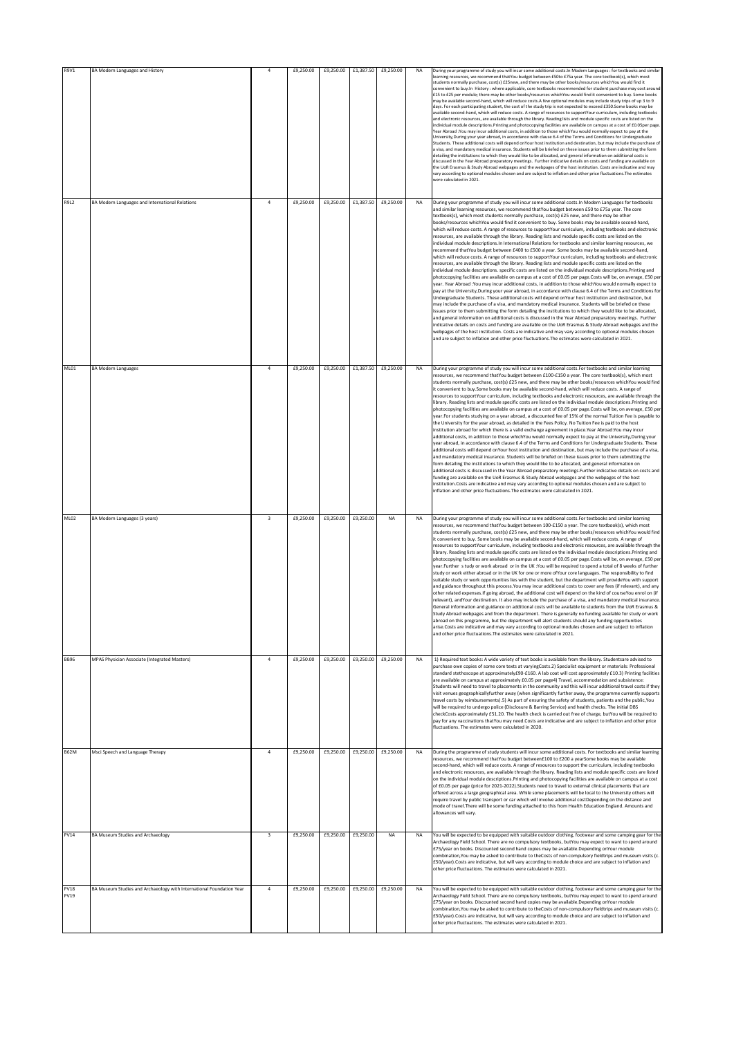| R9V1                       | BA Modern Languages and History                                      | $\overline{4}$          | £9,250.00 | £9,250.00           | £1,387.50 | £9,250.00 | NA        | During your programme of study you will incur some additional costs.In Modern Languages : for textbooks and similar<br>learning resources, we recommend thatYou budget between £50to £75a year. The core textbook(s), which most<br>students normally purchase, cost(s) £25new, and there may be other books/resources whichYou would find it<br>convenient to buy.In History : where applicable, core textbooks recommended for student purchase may cost around<br>£15 to £25 per module; there may be other books/resources whichYou would find it convenient to buy. Some books<br>may be available second-hand, which will reduce costs.A few optional modules may include study trips of up 3 to 9<br>days. For each participating student, the cost of the study trip is not expected to exceed £350.Some books may be<br>available second-hand, which will reduce costs. A range of resources to supportYour curriculum, including textbooks<br>and electronic resources, are available through the library. Reading lists and module specific costs are listed on the<br>individual module descriptions. Printing and photocopying facilities are available on campus at a cost of £0.05per page<br>Year Abroad : You may incur additional costs, in addition to those which You would normally expect to pay at the<br>University, During your year abroad, in accordance with clause 6.4 of the Terms and Conditions for Undergraduate<br>Students. These additional costs will depend onYour host institution and destination, but may include the purchase of<br>a visa, and mandatory medical insurance. Students will be briefed on these issues prior to them submitting the form<br>detailing the institutions to which they would like to be allocated, and general information on additional costs is<br>discussed in the Year Abroad preparatory meetings. Further indicative details on costs and funding are available on<br>the UoR Erasmus & Study Abroad webpages and the webpages of the host institution. Costs are indicative and may<br>vary according to optional modules chosen and are subject to inflation and other price fluctuations. The estimates<br>were calculated in 2021.                                                                                                                 |
|----------------------------|----------------------------------------------------------------------|-------------------------|-----------|---------------------|-----------|-----------|-----------|-------------------------------------------------------------------------------------------------------------------------------------------------------------------------------------------------------------------------------------------------------------------------------------------------------------------------------------------------------------------------------------------------------------------------------------------------------------------------------------------------------------------------------------------------------------------------------------------------------------------------------------------------------------------------------------------------------------------------------------------------------------------------------------------------------------------------------------------------------------------------------------------------------------------------------------------------------------------------------------------------------------------------------------------------------------------------------------------------------------------------------------------------------------------------------------------------------------------------------------------------------------------------------------------------------------------------------------------------------------------------------------------------------------------------------------------------------------------------------------------------------------------------------------------------------------------------------------------------------------------------------------------------------------------------------------------------------------------------------------------------------------------------------------------------------------------------------------------------------------------------------------------------------------------------------------------------------------------------------------------------------------------------------------------------------------------------------------------------------------------------------------------------------------------------------------------------------------------------------------------------------------------------------------------------------------------------------------|
| R9L2                       | BA Modern Languages and International Relations                      | $\overline{a}$          | £9,250.00 | £9,250.00           | £1,387.50 | £9,250.00 | <b>NA</b> | During your programme of study you will incur some additional costs. In Modern Languages for textbooks<br>and similar learning resources, we recommend thatYou budget between £50 to £75a year. The core<br>textbook(s), which most students normally purchase, cost(s) £25 new, and there may be other<br>books/resources whichYou would find it convenient to buy. Some books may be available second-hand,<br>which will reduce costs. A range of resources to supportYour curriculum, including textbooks and electronic<br>resources, are available through the library. Reading lists and module specific costs are listed on the<br>individual module descriptions.In International Relations for textbooks and similar learning resources, we<br>recommend thatYou budget between £400 to £500 a year. Some books may be available second-hand,<br>which will reduce costs. A range of resources to supportYour curriculum, including textbooks and electronic<br>resources, are available through the library. Reading lists and module specific costs are listed on the<br>individual module descriptions. specific costs are listed on the individual module descriptions.Printing and<br>photocopying facilities are available on campus at a cost of £0.05 per page.Costs will be, on average, £50 per<br>year. Year Abroad : You may incur additional costs, in addition to those which You would normally expect to<br>pay at the University, During your year abroad, in accordance with clause 6.4 of the Terms and Conditions for<br>Undergraduate Students. These additional costs will depend onYour host institution and destination, but<br>may include the purchase of a visa, and mandatory medical insurance. Students will be briefed on these<br>issues prior to them submitting the form detailing the institutions to which they would like to be allocated,<br>and general information on additional costs is discussed in the Year Abroad preparatory meetings. Further<br>indicative details on costs and funding are available on the UoR Erasmus & Study Abroad webpages and the<br>webpages of the host institution. Costs are indicative and may vary according to optional modules chosen<br>and are subject to inflation and other price fluctuations. The estimates were calculated in 2021. |
| ML01                       | <b>BA Modern Languages</b>                                           | $\overline{4}$          | £9.250.00 | £9,250.00           | £1,387.50 | £9.250.00 | <b>NA</b> | During your programme of study you will incur some additional costs. For textbooks and similar learning<br>resources, we recommend thatYou budget between £100-£150 a year. The core textbook(s), which most<br>students normally purchase, cost(s) £25 new, and there may be other books/resources whichYou would find<br>it convenient to buy.Some books may be available second-hand, which will reduce costs. A range of<br>resources to supportYour curriculum, including textbooks and electronic resources, are available through the<br>library. Reading lists and module specific costs are listed on the individual module descriptions. Printing and<br>photocopying facilities are available on campus at a cost of £0.05 per page.Costs will be, on average, £50 per<br>year. For students studying on a year abroad, a discounted fee of 15% of the normal Tuition Fee is payable to<br>the University for the year abroad, as detailed in the Fees Policy. No Tuition Fee is paid to the host<br>institution abroad for which there is a valid exchange agreement in place.Year Abroad:You may incur<br>additional costs, in addition to those whichYou would normally expect to pay at the University, During your<br>year abroad, in accordance with clause 6.4 of the Terms and Conditions for Undergraduate Students. These<br>additional costs will depend onYour host institution and destination, but may include the purchase of a visa,<br>and mandatory medical insurance. Students will be briefed on these issues prior to them submitting the<br>form detailing the institutions to which they would like to be allocated, and general information on<br>additional costs is discussed in the Year Abroad preparatory meetings. Further indicative details on costs and<br>funding are available on the UoR Erasmus & Study Abroad webpages and the webpages of the host<br>institution.Costs are indicative and may vary according to optional modules chosen and are subject to<br>inflation and other price fluctuations. The estimates were calculated in 2021.                                                                                                                                                                                                                                     |
| ML02                       | BA Modern Languages (3 years)                                        | $\overline{\mathbf{3}}$ | £9,250.00 | £9,250.00           | £9,250.00 | <b>NA</b> |           | During your programme of study you will incur some additional costs. For textbooks and similar learning<br>resources, we recommend thatYou budget between 100-£150 a year. The core textbook(s), which most<br>students normally purchase, cost(s) £25 new, and there may be other books/resources whichYou would find<br>it convenient to buy. Some books may be available second-hand, which will reduce costs. A range of<br>resources to supportYour curriculum, including textbooks and electronic resources, are available through the<br>library. Reading lists and module specific costs are listed on the individual module descriptions. Printing and<br>photocopying facilities are available on campus at a cost of £0.05 per page.Costs will be, on average, £50 per<br>year.Further study or work abroad or in the UK:You will be required to spend a total of 8 weeks of further<br>study or work either abroad or in the UK for one or more ofYour core languages. The responsibility to find<br>suitable study or work opportunities lies with the student, but the department will provideYou with support<br>and guidance throughout this process. You may incur additional costs to cover any fees (if relevant), and any<br>other related expenses.If going abroad, the additional cost will depend on the kind of courseYou enrol on (if<br>relevant), andYour destination. It also may include the purchase of a visa, and mandatory medical insurance.<br>General information and guidance on additional costs will be available to students from the UoR Erasmus &<br>Study Abroad webpages and from the department. There is generally no funding available for study or work<br>abroad on this programme, but the department will alert students should any funding opportunities<br>arise.Costs are indicative and may vary according to optional modules chosen and are subject to inflation<br>and other price fluctuations. The estimates were calculated in 2021.                                                                                                                                                                                                                                                                                                                                   |
| <b>BB96</b>                | MPAS Physician Associate (Integrated Masters)                        | $\overline{a}$          | £9,250.00 | £9,250.00           | £9,250.00 | £9,250.00 | <b>NA</b> | 1) Required text books: A wide variety of text books is available from the library. Studentsare advised to<br>purchase own copies of some core texts at varyingCosts.2) Specialist equipment or materials: Professional<br>standard stethoscope at approximately£90-£160. A lab coat will cost approximately £10.3) Printing facilities<br>are available on campus at approximately £0.05 per page4) Travel, accommodation and subsistence:<br>Students will need to travel to placements in the community and this will incur additional travel costs if they<br>visit venues geographicallyfurther away (when significantly further away, the programme currently supports<br>travel costs by reimbursements).5) As part of ensuring the safety of students, patients and the public, You<br>will be required to undergo police (Disclosure & Barring Service) and health checks. The initial DBS<br>checkCosts approximately £51.20. The health check is carried out free of charge, butYou will be required to<br>pay for any vaccinations thatYou may need.Costs are indicative and are subject to inflation and other price<br>fluctuations. The estimates were calculated in 2020.                                                                                                                                                                                                                                                                                                                                                                                                                                                                                                                                                                                                                                                                                                                                                                                                                                                                                                                                                                                                                                                                                                                                           |
| <b>B62M</b>                | Msci Speech and Language Therapy                                     | $\overline{4}$          | £9,250.00 | £9,250.00           | £9,250.00 | £9,250.00 | <b>NA</b> | During the programme of study students will incur some additional costs. For textbooks and similar learning<br>resources, we recommend thatYou budget between£100 to £200 a yearSome books may be available<br>second-hand, which will reduce costs. A range of resources to support the curriculum, including textbooks<br>and electronic resources, are available through the library. Reading lists and module specific costs are listed<br>on the individual module descriptions. Printing and photocopying facilities are available on campus at a cost<br>of £0.05 per page (price for 2021-2022).Students need to travel to external clinical placements that are<br>offered across a large geographical area. While some placements will be local to the University others will<br>require travel by public transport or car which will involve additional costDepending on the distance and<br>mode of travel. There will be some funding attached to this from Health Education England. Amounts and<br>allowances will vary.                                                                                                                                                                                                                                                                                                                                                                                                                                                                                                                                                                                                                                                                                                                                                                                                                                                                                                                                                                                                                                                                                                                                                                                                                                                                                             |
| PV14                       | BA Museum Studies and Archaeology                                    | $\overline{3}$          | £9,250.00 | £9,250.00 £9,250.00 |           | <b>NA</b> | <b>NA</b> | You will be expected to be equipped with suitable outdoor clothing, footwear and some camping gear for the<br>Archaeology Field School. There are no compulsory textbooks, butYou may expect to want to spend around<br>£75/year on books. Discounted second hand copies may be available. Depending onYour module<br>combination, You may be asked to contribute to the Costs of non-compulsory fieldtrips and museum visits (c.<br>£50/year).Costs are indicative, but will vary according to module choice and are subject to inflation and<br>other price fluctuations. The estimates were calculated in 2021.                                                                                                                                                                                                                                                                                                                                                                                                                                                                                                                                                                                                                                                                                                                                                                                                                                                                                                                                                                                                                                                                                                                                                                                                                                                                                                                                                                                                                                                                                                                                                                                                                                                                                                                  |
| <b>PV18</b><br><b>PV19</b> | BA Museum Studies and Archaeology with International Foundation Year | $\overline{a}$          | £9,250.00 | £9,250.00           | £9,250.00 | £9,250.00 | <b>NA</b> | You will be expected to be equipped with suitable outdoor clothing, footwear and some camping gear for the<br>Archaeology Field School. There are no compulsory textbooks, butYou may expect to want to spend around<br>£75/year on books. Discounted second hand copies may be available.Depending onYour module<br>combination, You may be asked to contribute to the Costs of non-compulsory fieldtrips and museum visits (c.                                                                                                                                                                                                                                                                                                                                                                                                                                                                                                                                                                                                                                                                                                                                                                                                                                                                                                                                                                                                                                                                                                                                                                                                                                                                                                                                                                                                                                                                                                                                                                                                                                                                                                                                                                                                                                                                                                    |
|                            |                                                                      |                         |           |                     |           |           |           | £50/year).Costs are indicative, but will vary according to module choice and are subject to inflation and<br>other price fluctuations. The estimates were calculated in 2021.                                                                                                                                                                                                                                                                                                                                                                                                                                                                                                                                                                                                                                                                                                                                                                                                                                                                                                                                                                                                                                                                                                                                                                                                                                                                                                                                                                                                                                                                                                                                                                                                                                                                                                                                                                                                                                                                                                                                                                                                                                                                                                                                                       |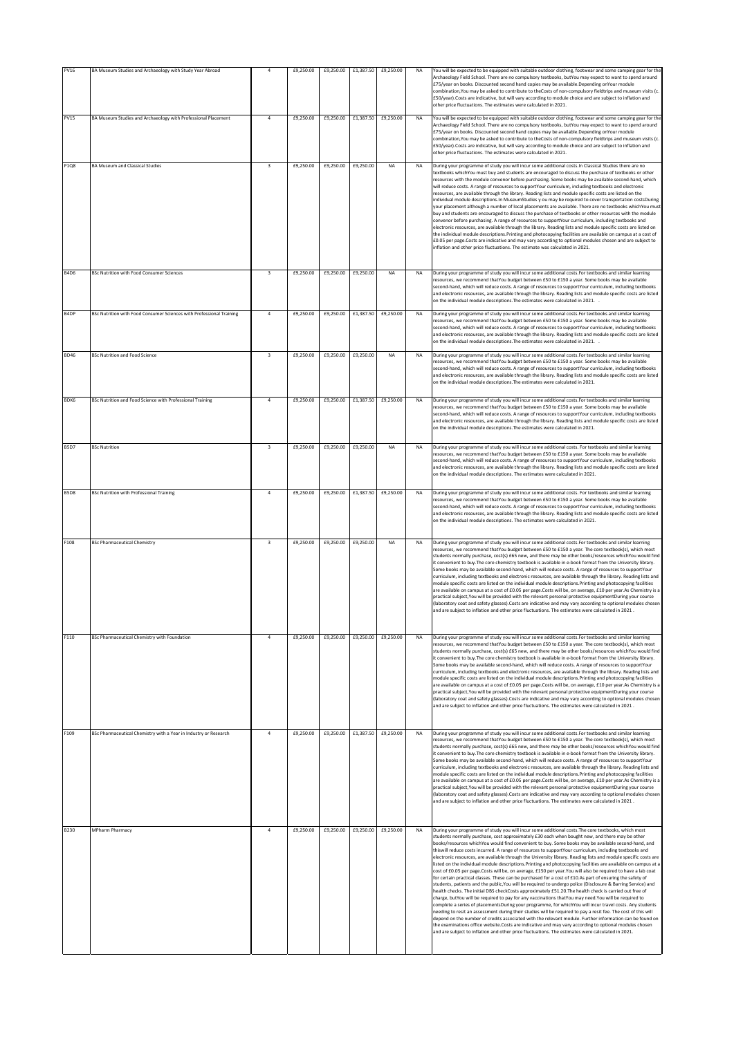| PV16        | BA Museum Studies and Archaeology with Study Year Abroad             | $\overline{a}$          | £9,250.00 | £9,250.00 | £1,387.50 | £9,250.00 | <b>NA</b> | You will be expected to be equipped with suitable outdoor clothing, footwear and some camping gear for the<br>Archaeology Field School. There are no compulsory textbooks, butYou may expect to want to spend around<br>£75/year on books. Discounted second hand copies may be available. Depending on Your module<br>combination, You may be asked to contribute to the Costs of non-compulsory fieldtrips and museum visits (c.<br>E50/year).Costs are indicative, but will vary according to module choice and are subject to inflation and<br>other price fluctuations. The estimates were calculated in 2021.                                                                                                                                                                                                                                                                                                                                                                                                                                                                                                                                                                                                                                                                                                                                                                                                                                                                                                                                                                                                                                                                                                                                                                     |
|-------------|----------------------------------------------------------------------|-------------------------|-----------|-----------|-----------|-----------|-----------|-----------------------------------------------------------------------------------------------------------------------------------------------------------------------------------------------------------------------------------------------------------------------------------------------------------------------------------------------------------------------------------------------------------------------------------------------------------------------------------------------------------------------------------------------------------------------------------------------------------------------------------------------------------------------------------------------------------------------------------------------------------------------------------------------------------------------------------------------------------------------------------------------------------------------------------------------------------------------------------------------------------------------------------------------------------------------------------------------------------------------------------------------------------------------------------------------------------------------------------------------------------------------------------------------------------------------------------------------------------------------------------------------------------------------------------------------------------------------------------------------------------------------------------------------------------------------------------------------------------------------------------------------------------------------------------------------------------------------------------------------------------------------------------------|
| PV15        | BA Museum Studies and Archaeology with Professional Placement        | $\overline{4}$          | £9,250.00 | £9,250.00 | £1,387.50 | £9,250.00 | <b>NA</b> | You will be expected to be equipped with suitable outdoor clothing, footwear and some camping gear for the<br>Archaeology Field School. There are no compulsory textbooks, butYou may expect to want to spend around<br>£75/year on books. Discounted second hand copies may be available. Depending on Your module<br>combination, You may be asked to contribute to the Costs of non-compulsory fieldtrips and museum visits (c.<br>E50/year).Costs are indicative, but will vary according to module choice and are subject to inflation and<br>other price fluctuations. The estimates were calculated in 2021.                                                                                                                                                                                                                                                                                                                                                                                                                                                                                                                                                                                                                                                                                                                                                                                                                                                                                                                                                                                                                                                                                                                                                                     |
| <b>P1Q8</b> | <b>BA Museum and Classical Studies</b>                               | $\overline{\mathbf{3}}$ | £9,250.00 | £9,250.00 | £9,250.00 | <b>NA</b> | <b>NA</b> | During your programme of study you will incur some additional costs. In Classical Studies there are no<br>textbooks whichYou must buy and students are encouraged to discuss the purchase of textbooks or other<br>resources with the module convenor before purchasing. Some books may be available second-hand, which<br>will reduce costs. A range of resources to supportYour curriculum, including textbooks and electronic<br>resources, are available through the library. Reading lists and module specific costs are listed on the<br>individual module descriptions.In MuseumStudies y ou may be required to cover transportation costsDuring<br>your placement although a number of local placements are available. There are no textbooks whichYou must<br>buy and students are encouraged to discuss the purchase of textbooks or other resources with the module<br>convenor before purchasing. A range of resources to supportYour curriculum, including textbooks and<br>electronic resources, are available through the library. Reading lists and module specific costs are listed on<br>the individual module descriptions.Printing and photocopying facilities are available on campus at a cost of<br>£0.05 per page.Costs are indicative and may vary according to optional modules chosen and are subject to<br>inflation and other price fluctuations. The estimate was calculated in 2021.                                                                                                                                                                                                                                                                                                                                                                     |
| <b>B4D6</b> | BSc Nutrition with Food Consumer Sciences                            | $\overline{\mathbf{3}}$ | £9,250.00 | £9,250.00 | £9,250.00 | ΝA        | <b>NA</b> | During your programme of study you will incur some additional costs.For textbooks and similar learning<br>resources, we recommend thatYou budget between £50 to £150 a year. Some books may be available<br>second-hand, which will reduce costs. A range of resources to supportYour curriculum, including textbooks<br>and electronic resources, are available through the library. Reading lists and module specific costs are listed<br>on the individual module descriptions. The estimates were calculated in 2021. .                                                                                                                                                                                                                                                                                                                                                                                                                                                                                                                                                                                                                                                                                                                                                                                                                                                                                                                                                                                                                                                                                                                                                                                                                                                             |
| B4DP        | BSc Nutrition with Food Consumer Sciences with Professional Training | $\overline{4}$          | £9,250.00 | £9,250.00 | £1,387.50 | £9,250.00 | <b>NA</b> | During your programme of study you will incur some additional costs. For textbooks and similar learning<br>resources, we recommend thatYou budget between £50 to £150 a year. Some books may be available<br>second-hand, which will reduce costs. A range of resources to supportYour curriculum, including textbooks<br>and electronic resources, are available through the library. Reading lists and module specific costs are listed<br>on the individual module descriptions. The estimates were calculated in 2021. .                                                                                                                                                                                                                                                                                                                                                                                                                                                                                                                                                                                                                                                                                                                                                                                                                                                                                                                                                                                                                                                                                                                                                                                                                                                            |
| <b>BD46</b> | <b>BSc Nutrition and Food Science</b>                                | $\overline{\mathbf{3}}$ | £9,250.00 | £9,250.00 | £9,250.00 | NA        | <b>NA</b> | During your programme of study you will incur some additional costs.For textbooks and similar learning<br>resources, we recommend thatYou budget between £50 to £150 a year. Some books may be available<br>second-hand, which will reduce costs. A range of resources to supportYour curriculum, including textbooks<br>and electronic resources, are available through the library. Reading lists and module specific costs are listed<br>on the individual module descriptions. The estimates were calculated in 2021.                                                                                                                                                                                                                                                                                                                                                                                                                                                                                                                                                                                                                                                                                                                                                                                                                                                                                                                                                                                                                                                                                                                                                                                                                                                               |
| BDK6        | BSc Nutrition and Food Science with Professional Training            | 4                       | £9,250.00 | £9,250.00 | £1,387.50 | £9,250.00 | NA        | During your programme of study you will incur some additional costs. For textbooks and similar learning<br>resources, we recommend thatYou budget between £50 to £150 a year. Some books may be available<br>second-hand, which will reduce costs. A range of resources to supportYour curriculum, including textbooks<br>and electronic resources, are available through the library. Reading lists and module specific costs are listed<br>on the individual module descriptions. The estimates were calculated in 2021.                                                                                                                                                                                                                                                                                                                                                                                                                                                                                                                                                                                                                                                                                                                                                                                                                                                                                                                                                                                                                                                                                                                                                                                                                                                              |
| <b>B5D7</b> | <b>BSc Nutrition</b>                                                 | $\overline{\mathbf{3}}$ | £9,250.00 | £9,250.00 | £9,250.00 | <b>NA</b> | <b>NA</b> | During your programme of study you will incur some additional costs. For textbooks and similar learning<br>resources, we recommend thatYou budget between £50 to £150 a year. Some books may be available<br>second-hand, which will reduce costs. A range of resources to supportYour curriculum, including textbooks<br>and electronic resources, are available through the library. Reading lists and module specific costs are listed<br>on the individual module descriptions. The estimates were calculated in 2021.                                                                                                                                                                                                                                                                                                                                                                                                                                                                                                                                                                                                                                                                                                                                                                                                                                                                                                                                                                                                                                                                                                                                                                                                                                                              |
| <b>B5D8</b> | <b>BSc Nutrition with Professional Training</b>                      | $\overline{4}$          | £9,250.00 | £9,250.00 | £1,387.50 | £9,250.00 | <b>NA</b> | During your programme of study you will incur some additional costs. For textbooks and similar learning<br>resources, we recommend thatYou budget between £50 to £150 a year. Some books may be available<br>second-hand, which will reduce costs. A range of resources to supportYour curriculum, including textbooks<br>and electronic resources, are available through the library. Reading lists and module specific costs are listed<br>on the individual module descriptions. The estimates were calculated in 2021.                                                                                                                                                                                                                                                                                                                                                                                                                                                                                                                                                                                                                                                                                                                                                                                                                                                                                                                                                                                                                                                                                                                                                                                                                                                              |
| F108        | <b>BSc Pharmaceutical Chemistry</b>                                  | 3                       | £9,250.00 | £9,250.00 | £9,250.00 | <b>NA</b> | <b>NA</b> | During your programme of study you will incur some additional costs. For textbooks and similar learning<br>resources, we recommend thatYou budget between £50 to £150 a year. The core textbook(s), which most<br>students normally purchase, cost(s) £65 new, and there may be other books/resources whichYou would find<br>it convenient to buy.The core chemistry textbook is available in e-book format from the University library.<br>Some books may be available second-hand, which will reduce costs. A range of resources to supportYour<br>curriculum, including textbooks and electronic resources, are available through the library. Reading lists and<br>module specific costs are listed on the individual module descriptions. Printing and photocopying facilities<br>are available on campus at a cost of £0.05 per page.Costs will be, on average, £10 per year.As Chemistry is a<br>oractical subject, You will be provided with the relevant personal protective equipmentDuring your course<br>(laboratory coat and safety glasses).Costs are indicative and may vary according to optional modules chosen<br>and are subject to inflation and other price fluctuations. The estimates were calculated in 2021.                                                                                                                                                                                                                                                                                                                                                                                                                                                                                                                                                   |
| F110        | BSc Pharmaceutical Chemistry with Foundation                         | $\overline{4}$          | £9,250.00 | £9,250.00 | £9,250.00 | £9,250.00 | <b>NA</b> | During your programme of study you will incur some additional costs. For textbooks and similar learning<br>esources, we recommend thatYou budget between £50 to £150 a year. The core textbook(s), which most<br>students normally purchase, cost(s) £65 new, and there may be other books/resources whichYou would find<br>it convenient to buy. The core chemistry textbook is available in e-book format from the University library.<br>Some books may be available second-hand, which will reduce costs. A range of resources to supportYour<br>curriculum, including textbooks and electronic resources, are available through the library. Reading lists and<br>module specific costs are listed on the individual module descriptions Printing and photocopying facilities<br>are available on campus at a cost of £0.05 per page.Costs will be, on average, £10 per year.As Chemistry is a<br>practical subject, You will be provided with the relevant personal protective equipmentDuring your course<br>(laboratory coat and safety glasses). Costs are indicative and may vary according to optional modules chosen<br>and are subject to inflation and other price fluctuations. The estimates were calculated in 2021.                                                                                                                                                                                                                                                                                                                                                                                                                                                                                                                                                   |
| F109        | BSc Pharmaceutical Chemistry with a Year in Industry or Research     | 4                       | £9,250.00 | £9,250.00 | £1,387.50 | £9,250.00 | <b>NA</b> | During your programme of study you will incur some additional costs. For textbooks and similar learning<br>resources, we recommend thatYou budget between £50 to £150 a year. The core textbook(s), which most<br>students normally purchase, cost(s) £65 new, and there may be other books/resources whichYou would find<br>it convenient to buy. The core chemistry textbook is available in e-book format from the University library.<br>Some books may be available second-hand, which will reduce costs. A range of resources to supportYour<br>curriculum, including textbooks and electronic resources, are available through the library. Reading lists and<br>module specific costs are listed on the individual module descriptions.Printing and photocopying facilities<br>are available on campus at a cost of £0.05 per page.Costs will be, on average, £10 per year.As Chemistry is a<br>practical subject, You will be provided with the relevant personal protective equipmentDuring your course<br>(laboratory coat and safety glasses).Costs are indicative and may vary according to optional modules chosen<br>and are subject to inflation and other price fluctuations. The estimates were calculated in 2021.                                                                                                                                                                                                                                                                                                                                                                                                                                                                                                                                                   |
| B230        | <b>MPharm Pharmacy</b>                                               | $\overline{4}$          | £9,250.00 | £9,250.00 | £9,250.00 | £9,250.00 | <b>NA</b> | During your programme of study you will incur some additional costs. The core textbooks, which most<br>students normally purchase, cost approximately £30 each when bought new, and there may be other<br>books/resources whichYou would find convenient to buy. Some books may be available second-hand, and<br>this will reduce costs incurred. A range of resources to supportYour curriculum, including textbooks and<br>electronic resources, are available through the University library. Reading lists and module specific costs are<br>listed on the individual module descriptions. Printing and photocopying facilities are available on campus at a<br>cost of £0.05 per page.Costs will be, on average, £150 per year.You will also be required to have a lab coat<br>for certain practical classes. These can be purchased for a cost of £10.As part of ensuring the safety of<br>students, patients and the public, You will be required to undergo police (Disclosure & Barring Service) and<br>health checks. The initial DBS checkCosts approximately £51.20.The health check is carried out free of<br>charge, butYou will be required to pay for any vaccinations thatYou may need.You will be required to<br>complete a series of placementsDuring your programme, for whichYou will incur travel costs. Any students<br>needing to resit an assessment during their studies will be required to pay a resit fee. The cost of this will<br>depend on the number of credits associated with the relevant module. Further information can be found on<br>the examinations office website.Costs are indicative and may vary according to optional modules chosen<br>and are subject to inflation and other price fluctuations. The estimates were calculated in 2021. |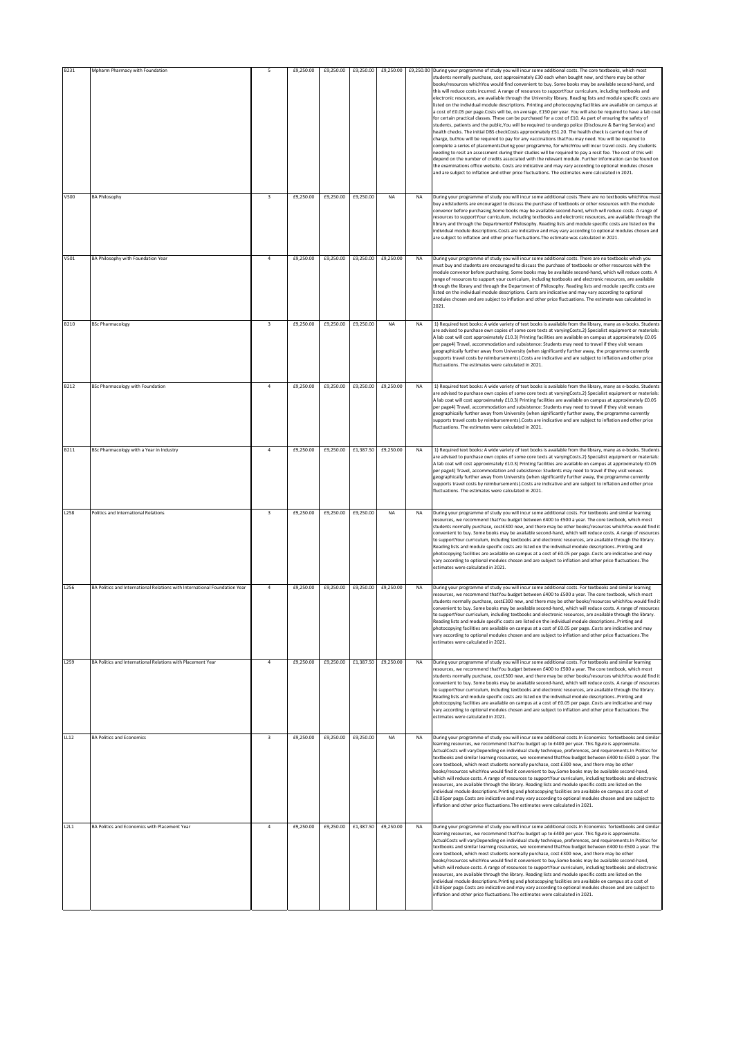| B231        | Mpharm Pharmacy with Foundation                                            | 5                       | £9,250.00 | £9,250.00 | £9,250.00 | £9,250.00                     |           | £9,250.00 During your programme of study you will incur some additional costs. The core textbooks, which most<br>students normally purchase, cost approximately £30 each when bought new, and there may be other<br>books/resources whichYou would find convenient to buy. Some books may be available second-hand, and<br>this will reduce costs incurred. A range of resources to supportYour curriculum, including textbooks and<br>electronic resources, are available through the University library. Reading lists and module specific costs are<br>listed on the individual module descriptions. Printing and photocopying facilities are available on campus at<br>a cost of £0.05 per page.Costs will be, on average, £150 per year. You will also be required to have a lab coat<br>for certain practical classes. These can be purchased for a cost of £10. As part of ensuring the safety of<br>students, patients and the public, You will be required to undergo police (Disclosure & Barring Service) and<br>health checks. The initial DBS checkCosts approximately £51.20. The health check is carried out free of<br>charge, butYou will be required to pay for any vaccinations thatYou may need. You will be required to<br>complete a series of placementsDuring your programme, for whichYou will incur travel costs. Any students<br>leeding to resit an assessment during their studies will be required to pay a resit fee. The cost of this will<br>depend on the number of credits associated with the relevant module. Further information can be found on<br>the examinations office website. Costs are indicative and may vary according to optional modules chosen<br>and are subject to inflation and other price fluctuations. The estimates were calculated in 2021. |
|-------------|----------------------------------------------------------------------------|-------------------------|-----------|-----------|-----------|-------------------------------|-----------|--------------------------------------------------------------------------------------------------------------------------------------------------------------------------------------------------------------------------------------------------------------------------------------------------------------------------------------------------------------------------------------------------------------------------------------------------------------------------------------------------------------------------------------------------------------------------------------------------------------------------------------------------------------------------------------------------------------------------------------------------------------------------------------------------------------------------------------------------------------------------------------------------------------------------------------------------------------------------------------------------------------------------------------------------------------------------------------------------------------------------------------------------------------------------------------------------------------------------------------------------------------------------------------------------------------------------------------------------------------------------------------------------------------------------------------------------------------------------------------------------------------------------------------------------------------------------------------------------------------------------------------------------------------------------------------------------------------------------------------------------------------------------------------------------------|
| V500        | <b>BA Philosophy</b>                                                       | $\overline{\mathbf{3}}$ | £9,250.00 | £9,250.00 | £9,250.00 | NA                            | <b>NA</b> | During your programme of study you will incur some additional costs. There are no textbooks whichYou must<br>buy andstudents are encouraged to discuss the purchase of textbooks or other resources with the module<br>convenor before purchasing Some books may be available second-hand, which will reduce costs. A range of<br>resources to supportYour curriculum, including textbooks and electronic resources, are available through the<br>library and through the Departmentof Philosophy. Reading lists and module specific costs are listed on the<br>individual module descriptions.Costs are indicative and may vary according to optional modules chosen and<br>are subject to inflation and other price fluctuations. The estimate was calculated in 2021.                                                                                                                                                                                                                                                                                                                                                                                                                                                                                                                                                                                                                                                                                                                                                                                                                                                                                                                                                                                                                               |
| V501        | BA Philosophy with Foundation Year                                         | $\overline{a}$          | £9,250.00 | £9,250.00 | £9,250.00 | £9,250.00                     | <b>NA</b> | During your programme of study you will incur some additional costs. There are no textbooks which you<br>must buy and students are encouraged to discuss the purchase of textbooks or other resources with the<br>module convenor before purchasing. Some books may be available second-hand, which will reduce costs. A<br>range of resources to support your curriculum, including textbooks and electronic resources, are available<br>through the library and through the Department of Philosophy. Reading lists and module specific costs are<br>listed on the individual module descriptions. Costs are indicative and may vary according to optional<br>modules chosen and are subject to inflation and other price fluctuations. The estimate was calculated in<br>2021.                                                                                                                                                                                                                                                                                                                                                                                                                                                                                                                                                                                                                                                                                                                                                                                                                                                                                                                                                                                                                      |
| B210        | <b>BSc Pharmacology</b>                                                    | $\overline{\mathbf{3}}$ | £9,250.00 | £9,250.00 | £9,250.00 | <b>NA</b>                     | <b>NA</b> | 1) Required text books: A wide variety of text books is available from the library, many as e-books. Students<br>are advised to purchase own copies of some core texts at varyingCosts.2) Specialist equipment or materials:<br>A lab coat will cost approximately £10.3) Printing facilities are available on campus at approximately £0.05<br>ber page4) Travel, accommodation and subsistence: Students may need to travel if they visit venues<br>geographically further away from University (when significantly further away, the programme currently<br>supports travel costs by reimbursements).Costs are indicative and are subject to inflation and other price<br>fluctuations. The estimates were calculated in 2021.                                                                                                                                                                                                                                                                                                                                                                                                                                                                                                                                                                                                                                                                                                                                                                                                                                                                                                                                                                                                                                                                      |
| <b>B212</b> | <b>BSc Pharmacology with Foundation</b>                                    | $\ddot{4}$              | £9,250.00 | £9,250.00 | £9,250.00 | £9,250.00                     | <b>NA</b> | 1) Required text books: A wide variety of text books is available from the library, many as e-books. Students<br>are advised to purchase own copies of some core texts at varyingCosts.2) Specialist equipment or materials:<br>A lab coat will cost approximately £10.3) Printing facilities are available on campus at approximately £0.05<br>per page4) Travel, accommodation and subsistence: Students may need to travel if they visit venues<br>geographically further away from University (when significantly further away, the programme currently<br>supports travel costs by reimbursements). Costs are indicative and are subject to inflation and other price<br>fluctuations. The estimates were calculated in 2021.                                                                                                                                                                                                                                                                                                                                                                                                                                                                                                                                                                                                                                                                                                                                                                                                                                                                                                                                                                                                                                                                     |
| B211        | BSc Pharmacology with a Year in Industry                                   | $\overline{4}$          | £9,250.00 | £9,250.00 | £1,387.50 | £9,250.00                     | <b>NA</b> | 1) Required text books: A wide variety of text books is available from the library, many as e-books. Students<br>are advised to purchase own copies of some core texts at varyingCosts.2) Specialist equipment or materials:<br>A lab coat will cost approximately £10.3) Printing facilities are available on campus at approximately £0.05<br>oer page4) Travel, accommodation and subsistence: Students may need to travel if they visit venues<br>geographically further away from University (when significantly further away, the programme currently<br>supports travel costs by reimbursements).Costs are indicative and are subject to inflation and other price<br>fluctuations. The estimates were calculated in 2021.                                                                                                                                                                                                                                                                                                                                                                                                                                                                                                                                                                                                                                                                                                                                                                                                                                                                                                                                                                                                                                                                      |
| L258        | Politics and International Relations                                       | $\overline{\mathbf{3}}$ | £9,250.00 | £9,250.00 | £9,250.00 | <b>NA</b>                     | <b>NA</b> | During your programme of study you will incur some additional costs. For textbooks and similar learning<br>resources, we recommend thatYou budget between £400 to £500 a year. The core textbook, which most<br>students normally purchase, cost£300 new, and there may be other books/resources whichYou would find it<br>convenient to buy. Some books may be available second-hand, which will reduce costs. A range of resources<br>to supportYour curriculum, including textbooks and electronic resources, are available through the library.<br>Reading lists and module specific costs are listed on the individual module descriptions. Printing and<br>photocopying facilities are available on campus at a cost of £0.05 per page. Costs are indicative and may<br>vary according to optional modules chosen and are subject to inflation and other price fluctuations. The<br>estimates were calculated in 2021.                                                                                                                                                                                                                                                                                                                                                                                                                                                                                                                                                                                                                                                                                                                                                                                                                                                                           |
| L256        | BA Politics and International Relations with International Foundation Year | $\ddot{4}$              | £9,250.00 | £9,250.00 | £9,250.00 | £9,250.00                     | <b>NA</b> | During your programme of study you will incur some additional costs. For textbooks and similar learning<br>resources, we recommend thatYou budget between £400 to £500 a year. The core textbook, which most<br>students normally purchase, cost£300 new, and there may be other books/resources whichYou would find it<br>convenient to buy. Some books may be available second-hand, which will reduce costs. A range of resources<br>to supportYour curriculum, including textbooks and electronic resources, are available through the library.<br>Reading lists and module specific costs are listed on the individual module descriptionsPrinting and<br>photocopying facilities are available on campus at a cost of £0.05 per page. Costs are indicative and may<br>vary according to optional modules chosen and are subject to inflation and other price fluctuations. The<br>estimates were calculated in 2021.                                                                                                                                                                                                                                                                                                                                                                                                                                                                                                                                                                                                                                                                                                                                                                                                                                                                             |
| L259        | BA Politics and International Relations with Placement Year                | $\overline{4}$          | £9,250.00 |           |           | £9,250.00 £1,387.50 £9,250.00 | <b>NA</b> | During your programme of study you will incur some additional costs. For textbooks and similar learning<br>resources, we recommend thatYou budget between £400 to £500 a year. The core textbook, which most<br>students normally purchase, cost£300 new, and there may be other books/resources whichYou would find it<br>convenient to buy. Some books may be available second-hand, which will reduce costs. A range of resources<br>to supportYour curriculum, including textbooks and electronic resources, are available through the library.<br>Reading lists and module specific costs are listed on the individual module descriptions. Printing and<br>photocopying facilities are available on campus at a cost of £0.05 per pageCosts are indicative and may<br>vary according to optional modules chosen and are subject to inflation and other price fluctuations. The<br>estimates were calculated in 2021.                                                                                                                                                                                                                                                                                                                                                                                                                                                                                                                                                                                                                                                                                                                                                                                                                                                                             |
| LL12        | <b>BA Politics and Economics</b>                                           | $\overline{\mathbf{3}}$ | £9,250.00 | £9,250.00 | £9,250.00 | NA                            | <b>NA</b> | During your programme of study you will incur some additional costs. In Economics fortextbooks and similar<br>learning resources, we recommend thatYou budget up to £400 per year. This figure is approximate.<br>ActualCosts will varyDepending on individual study technique, preferences, and requirements.In Politics for<br>textbooks and similar learning resources, we recommend thatYou budget between £400 to £500 a year. The<br>core textbook, which most students normally purchase, cost £300 new, and there may be other<br>books/resources whichYou would find it convenient to buy.Some books may be available second-hand,<br>which will reduce costs. A range of resources to supportYour curriculum, including textbooks and electronic<br>resources, are available through the library. Reading lists and module specific costs are listed on the<br>individual module descriptions. Printing and photocopying facilities are available on campus at a cost of<br>£0.05per page.Costs are indicative and may vary according to optional modules chosen and are subject to<br>inflation and other price fluctuations. The estimates were calculated in 2021.                                                                                                                                                                                                                                                                                                                                                                                                                                                                                                                                                                                                                        |
| L2L1        | BA Politics and Economics with Placement Year                              | $\overline{4}$          | £9,250.00 | £9,250.00 | £1,387.50 | £9,250.00                     | <b>NA</b> | During your programme of study you will incur some additional costs. In Economics fortextbooks and similar<br>learning resources, we recommend thatYou budget up to £400 per year. This figure is approximate.<br>ActualCosts will varyDepending on individual study technique, preferences, and requirements.In Politics for<br>textbooks and similar learning resources, we recommend thatYou budget between £400 to £500 a year. The<br>core textbook, which most students normally purchase, cost £300 new, and there may be other<br>books/resources whichYou would find it convenient to buy.Some books may be available second-hand,<br>which will reduce costs. A range of resources to supportYour curriculum, including textbooks and electronic<br>resources, are available through the library. Reading lists and module specific costs are listed on the<br>individual module descriptions. Printing and photocopying facilities are available on campus at a cost of<br>£0.05per page.Costs are indicative and may vary according to optional modules chosen and are subject to<br>inflation and other price fluctuations. The estimates were calculated in 2021.                                                                                                                                                                                                                                                                                                                                                                                                                                                                                                                                                                                                                        |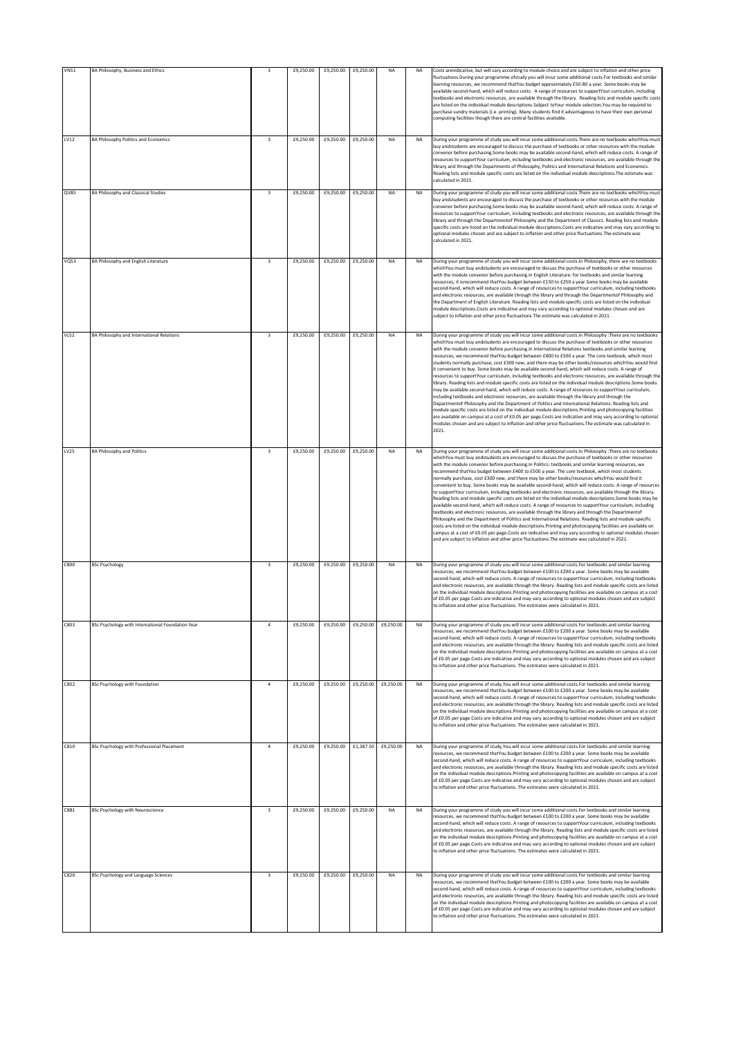| <b>VN51</b> | BA Philosophy, Business and Ethics                | 3                       | £9,250.00 | £9,250.00 | £9,250.00 | NA        | NA        | Costs areindicative, but will vary according to module choice and are subject to inflation and other price                                                                                                                                                                                                                                                                                                                                                                                                                                                                                                                                                                                                                                                                                                                                                                                                                                                                                                                                                                                                                                                                                                                                                                                                                                                                                                                                                                                                                                                 |
|-------------|---------------------------------------------------|-------------------------|-----------|-----------|-----------|-----------|-----------|------------------------------------------------------------------------------------------------------------------------------------------------------------------------------------------------------------------------------------------------------------------------------------------------------------------------------------------------------------------------------------------------------------------------------------------------------------------------------------------------------------------------------------------------------------------------------------------------------------------------------------------------------------------------------------------------------------------------------------------------------------------------------------------------------------------------------------------------------------------------------------------------------------------------------------------------------------------------------------------------------------------------------------------------------------------------------------------------------------------------------------------------------------------------------------------------------------------------------------------------------------------------------------------------------------------------------------------------------------------------------------------------------------------------------------------------------------------------------------------------------------------------------------------------------------|
|             |                                                   |                         |           |           |           |           |           | fluctuations. During your programme ofstudy you will incur some additional costs. For textbooks and similar<br>learning resources, we recommend thatYou budget approximately £50-80 a year. Some books may be<br>available second-hand, which will reduce costs. A range of resources to supportYour curriculum, including<br>textbooks and electronic resources, are available through the library. Reading lists and module specific costs<br>are listed on the individual module descriptions. Subject toYour module selection, You may be required to<br>purchase sundry materials (i.e. printing). Many students find it advantageous to have their own personal<br>computing facilities though there are central facilities available.                                                                                                                                                                                                                                                                                                                                                                                                                                                                                                                                                                                                                                                                                                                                                                                                               |
| LV12        | <b>BA Philosophy Politics and Economics</b>       | $\overline{\mathbf{3}}$ | £9,250.00 | £9,250.00 | £9,250.00 | NA        | NA        | During your programme of study you will incur some additional costs. There are no textbooks whichYou must<br>buy andstudents are encouraged to discuss the purchase of textbooks or other resources with the module<br>convenor before purchasing.Some books may be available second-hand, which will reduce costs. A range of<br>esources to supportYour curriculum, including textbooks and electronic resources, are available through the<br>library and through the Departments of Philosophy, Politics and International Relations and Economics.<br>Reading lists and module specific costs are listed on the individual module descriptions. The estimate was<br>calculated in 2021.                                                                                                                                                                                                                                                                                                                                                                                                                                                                                                                                                                                                                                                                                                                                                                                                                                                               |
| QV85        | <b>BA Philosophy and Classical Studies</b>        | $\overline{\mathbf{3}}$ | £9,250.00 | £9,250.00 | £9,250.00 | <b>NA</b> | <b>NA</b> | During your programme of study you will incur some additional costs. There are no textbooks whichYou must<br>buy andstudents are encouraged to discuss the purchase of textbooks or other resources with the module<br>convenor before purchasing.Some books may be available second-hand, which will reduce costs. A range of<br>resources to supportYour curriculum, including textbooks and electronic resources, are available through the<br>library and through the Departmentof Philosophy and the Department of Classics. Reading lists and module<br>specific costs are listed on the individual module descriptions.Costs are indicative and may vary according to<br>optional modules chosen and are subject to inflation and other price fluctuations. The estimate was<br>calculated in 2021.                                                                                                                                                                                                                                                                                                                                                                                                                                                                                                                                                                                                                                                                                                                                                 |
| <b>VQ53</b> | BA Philosophy and English Literature              | $\overline{\mathbf{3}}$ | £9,250.00 | £9,250.00 | £9,250.00 | <b>NA</b> | <b>NA</b> | During your programme of study you will incur some additional costs. In Philosophy, there are no textbooks<br>whichYou must buy andstudents are encouraged to discuss the purchase of textbooks or other resources<br>with the module convenor before purchasing. In English Literature: for textbooks and similar learning<br>resources, it isrecommend thatYou budget between £150 to £250 a year.Some books may be available<br>second-hand, which will reduce costs. A range of resources to supportYour curriculum, including textbooks<br>and electronic resources, are available through the library and through the Departmentof Philosophy and<br>the Department of English Literature. Reading lists and module specific costs are listed on the individual<br>module descriptions.Costs are indicative and may vary according to optional modules chosen and are<br>subject to inflation and other price fluctuations. The estimate was calculated in 2021.                                                                                                                                                                                                                                                                                                                                                                                                                                                                                                                                                                                     |
| <b>VL52</b> | BA Philosophy and International Relations         | $\overline{\mathbf{3}}$ | £9,250.00 | £9,250.00 | £9,250.00 | <b>NA</b> | <b>NA</b> | During your programme of study you will incur some additional costs. In Philosophy : There are no textbooks<br>whichYou must buy andstudents are encouraged to discuss the purchase of textbooks or other resources<br>with the module convenor before purchasing. In International Relations textbooks and similar learning<br>resources, we recommend thatYou budget between £400 to £500 a year. The core textbook, which most<br>students normally purchase, cost £300 new, and there may be other books/resources whichYou would find<br>it convenient to buy. Some books may be available second-hand, which will reduce costs. A range of<br>resources to supportYour curriculum, including textbooks and electronic resources, are available through the<br>library. Reading lists and module specific costs are listed on the individual module descriptions.Some books<br>may be available second-hand, which will reduce costs. A range of resources to supportYour curriculum,<br>including textbooks and electronic resources, are available through the library and through the<br>Departmentof Philosophy and the Department of Politics and International Relations. Reading lists and<br>module specific costs are listed on the individual module descriptions. Printing and photocopying facilities<br>are available on campus at a cost of £0.05 per page.Costs are indicative and may vary according to optional<br>modules chosen and are subject to inflation and other price fluctuations. The estimate was calculated in<br>2021. |
| <b>LV25</b> | <b>BA Philosophy and Politics</b>                 | $\overline{3}$          | £9,250.00 | £9,250.00 | £9,250.00 | NA        | <b>NA</b> | During your programme of study you will incur some additional costs. In Philosophy : There are no textbooks<br>whichYou must buy andstudents are encouraged to discuss the purchase of textbooks or other resources<br>with the module convenor before purchasing. In Politics: textbooks and similar learning resources, we<br>recommend thatYou budget between £400 to £500 a year. The core textbook, which most students<br>normally purchase, cost £300 new, and there may be other books/resources whichYou would find it<br>convenient to buy. Some books may be available second-hand, which will reduce costs. A range of resources<br>to supportYour curriculum, including textbooks and electronic resources, are available through the library.<br>Reading lists and module specific costs are listed on the individual module descriptions. Some books may be<br>available second-hand, which will reduce costs. A range of resources to supportYour curriculum, including<br>textbooks and electronic resources, are available through the library and through the Departmentof<br>Philosophy and the Department of Politics and International Relations. Reading lists and module specific<br>costs are listed on the individual module descriptions. Printing and photocopying facilities are available on<br>campus at a cost of £0.05 per page.Costs are indicative and may vary according to optional modules chosen<br>and are subject to inflation and other price fluctuations. The estimate was calculated in 2021.                 |
| C800        | <b>BSc Psychology</b>                             | $\overline{\mathbf{3}}$ | £9,250.00 | £9,250.00 | £9,250.00 | <b>NA</b> | <b>NA</b> | During your programme of study you will incur some additional costs. For textbooks and similar learning<br>resources, we recommend thatYou budget between £100 to £200 a year. Some books may be available<br>second-hand, which will reduce costs. A range of resources to supportYour curriculum, including textbooks<br>and electronic resources, are available through the library. Reading lists and module specific costs are listed<br>on the individual module descriptions. Printing and photocopying facilities are available on campus at a cost<br>of £0.05 per page.Costs are indicative and may vary according to optional modules chosen and are subject<br>to inflation and other price fluctuations. The estimates were calculated in 2021.                                                                                                                                                                                                                                                                                                                                                                                                                                                                                                                                                                                                                                                                                                                                                                                               |
| C803        | BSc Psychology with International Foundation Year |                         | £9,250.00 | £9,250.00 | £9,250.00 | £9,250.00 | <b>NA</b> | During your programme of study you will incur some additional costs. For textbooks and similar learning<br>resources, we recommend thatYou budget between £100 to £200 a year. Some books may be available<br>second-hand, which will reduce costs. A range of resources to supportYour curriculum, including textbooks<br>and electronic resources, are available through the library. Reading lists and module specific costs are listed<br>on the individual module descriptions. Printing and photocopying facilities are available on campus at a cost<br>of £0.05 per page.Costs are indicative and may vary according to optional modules chosen and are subject<br>to inflation and other price fluctuations. The estimates were calculated in 2021.                                                                                                                                                                                                                                                                                                                                                                                                                                                                                                                                                                                                                                                                                                                                                                                               |
| C802        | <b>BSc Psychology with Foundation</b>             | $\overline{a}$          | £9,250.00 | £9,250.00 | £9,250.00 | £9,250.00 | <b>NA</b> | During your programme of study, You will incur some additional costs. For textbooks and similar learning<br>resources, we recommend thatYou budget between £100 to £200 a year. Some books may be available<br>second-hand, which will reduce costs. A range of resources to supportYour curriculum, including textbooks<br>and electronic resources, are available through the library. Reading lists and module specific costs are listed<br>on the individual module descriptions. Printing and photocopying facilities are available on campus at a cost<br>of £0.05 per page.Costs are indicative and may vary according to optional modules chosen and are subject<br>to inflation and other price fluctuations. The estimates were calculated in 2021.                                                                                                                                                                                                                                                                                                                                                                                                                                                                                                                                                                                                                                                                                                                                                                                              |
| C810        | BSc Psychology with Professional Placement        | $\overline{a}$          | £9,250.00 | £9,250.00 | £1,387.50 | £9,250.00 | NA        | During your programme of study You will incur some additional costs. For textbooks and similar learning<br>resources, we recommend thatYou budget between £100 to £200 a year. Some books may be available<br>second-hand, which will reduce costs. A range of resources to supportYour curriculum, including textbooks<br>and electronic resources, are available through the library. Reading lists and module specific costs are listed<br>on the individual module descriptions. Printing and photocopying facilities are available on campus at a cost<br>of £0.05 per page.Costs are indicative and may vary according to optional modules chosen and are subject<br>to inflation and other price fluctuations. The estimates were calculated in 2021.                                                                                                                                                                                                                                                                                                                                                                                                                                                                                                                                                                                                                                                                                                                                                                                               |
| C8B1        | <b>BSc Psychology with Neuroscience</b>           | $\overline{\mathbf{3}}$ | £9,250.00 | £9,250.00 | £9,250.00 | <b>NA</b> | NA        | During your programme of study you will incur some additional costs. For textbooks and similar learning<br>resources, we recommend thatYou budget between £100 to £200 a year. Some books may be available<br>second-hand, which will reduce costs. A range of resources to supportYour curriculum, including textbooks<br>and electronic resources, are available through the library. Reading lists and module specific costs are listed<br>on the individual module descriptions. Printing and photocopying facilities are available on campus at a cost<br>of £0.05 per page.Costs are indicative and may vary according to optional modules chosen and are subject<br>to inflation and other price fluctuations. The estimates were calculated in 2021.                                                                                                                                                                                                                                                                                                                                                                                                                                                                                                                                                                                                                                                                                                                                                                                               |
| C820        | <b>BSc Psychology and Language Sciences</b>       | $\overline{\mathbf{3}}$ | £9,250.00 | £9,250.00 | £9,250.00 | <b>NA</b> | <b>NA</b> | During your programme of study you will incur some additional costs. For textbooks and similar learning<br>resources, we recommend thatYou budget between £100 to £200 a year. Some books may be available<br>second-hand, which will reduce costs. A range of resources to supportYour curriculum, including textbooks<br>and electronic resources, are available through the library. Reading lists and module specific costs are listed<br>on the individual module descriptions. Printing and photocopying facilities are available on campus at a cost<br>of £0.05 per page.Costs are indicative and may vary according to optional modules chosen and are subject<br>to inflation and other price fluctuations. The estimates were calculated in 2021.                                                                                                                                                                                                                                                                                                                                                                                                                                                                                                                                                                                                                                                                                                                                                                                               |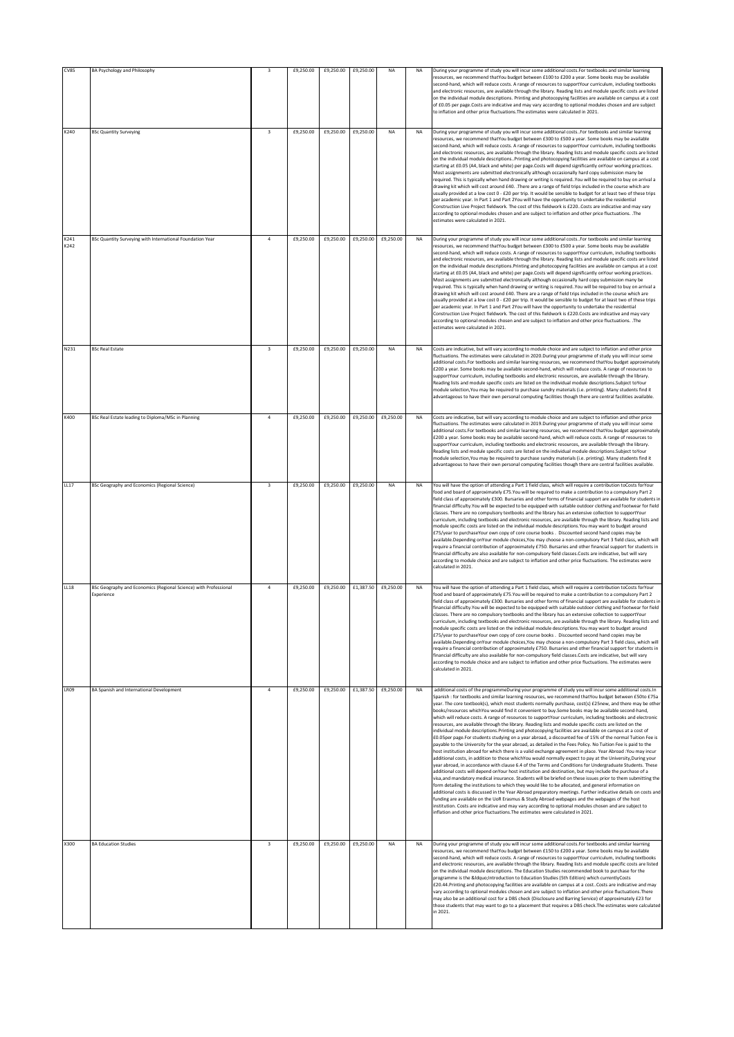| <b>CV85</b>  | <b>BA Psychology and Philosophy</b>                                            | $\overline{\mathbf{3}}$ | £9,250.00 | £9,250.00 | £9,250.00                     | NA                            | NA        | During your programme of study you will incur some additional costs. For textbooks and similar learning<br>resources, we recommend thatYou budget between £100 to £200 a year. Some books may be available<br>second-hand, which will reduce costs. A range of resources to supportYour curriculum, including textbooks<br>and electronic resources, are available through the library. Reading lists and module specific costs are listed<br>on the individual module descriptions. Printing and photocopying facilities are available on campus at a cost<br>of £0.05 per page.Costs are indicative and may vary according to optional modules chosen and are subject<br>to inflation and other price fluctuations. The estimates were calculated in 2021.                                                                                                                                                                                                                                                                                                                                                                                                                                                                                                                                                                                                                                                                                                                                                                                                                                                                                                                                                                                                                                                                                                                                                                                                                                                                                                                                        |
|--------------|--------------------------------------------------------------------------------|-------------------------|-----------|-----------|-------------------------------|-------------------------------|-----------|-----------------------------------------------------------------------------------------------------------------------------------------------------------------------------------------------------------------------------------------------------------------------------------------------------------------------------------------------------------------------------------------------------------------------------------------------------------------------------------------------------------------------------------------------------------------------------------------------------------------------------------------------------------------------------------------------------------------------------------------------------------------------------------------------------------------------------------------------------------------------------------------------------------------------------------------------------------------------------------------------------------------------------------------------------------------------------------------------------------------------------------------------------------------------------------------------------------------------------------------------------------------------------------------------------------------------------------------------------------------------------------------------------------------------------------------------------------------------------------------------------------------------------------------------------------------------------------------------------------------------------------------------------------------------------------------------------------------------------------------------------------------------------------------------------------------------------------------------------------------------------------------------------------------------------------------------------------------------------------------------------------------------------------------------------------------------------------------------------|
| K240         | <b>BSc Quantity Surveying</b>                                                  | $\overline{\mathbf{3}}$ | £9,250.00 | £9,250.00 | £9,250.00                     | <b>NA</b>                     | <b>NA</b> | During your programme of study you will incur some additional costs. For textbooks and similar learning<br>resources, we recommend thatYou budget between £300 to £500 a year. Some books may be available<br>second-hand, which will reduce costs. A range of resources to supportYour curriculum, including textbooks<br>and electronic resources, are available through the library. Reading lists and module specific costs are listed<br>on the individual module descriptionsPrinting and photocopying facilities are available on campus at a cost<br>starting at £0.05 (A4, black and white) per page.Costs will depend significantly onYour working practices.<br>Most assignments are submitted electronically although occasionally hard copy submission many be<br>required. This is typically when hand drawing or writing is required. You will be required to buy on arrival a<br>drawing kit which will cost around £40. .There are a range of field trips included in the course which are<br>usually provided at a low cost 0 - £20 per trip. It would be sensible to budget for at least two of these trips<br>per academic year. In Part 1 and Part 2You will have the opportunity to undertake the residential<br>Construction Live Project fieldwork. The cost of this fieldwork is £220. Costs are indicative and may vary<br>according to optional modules chosen and are subject to inflation and other price fluctuations. . The<br>estimates were calculated in 2021.                                                                                                                                                                                                                                                                                                                                                                                                                                                                                                                                                                                                    |
| K241<br>K242 | BSc Quantity Surveying with International Foundation Year                      | $\overline{4}$          | £9,250.00 | £9,250.00 |                               | £9,250.00 £9,250.00           | <b>NA</b> | During your programme of study you will incur some additional costs. For textbooks and similar learning<br>resources, we recommend thatYou budget between £300 to £500 a year. Some books may be available<br>second-hand, which will reduce costs. A range of resources to supportYour curriculum, including textbooks<br>and electronic resources, are available through the library. Reading lists and module specific costs are listed<br>on the individual module descriptions. Printing and photocopying facilities are available on campus at a cost<br>starting at £0.05 (A4, black and white) per page.Costs will depend significantly onYour working practices.<br>Most assignments are submitted electronically although occasionally hard copy submission many be<br>required. This is typically when hand drawing or writing is required. You will be required to buy on arrival a<br>drawing kit which will cost around £40. There are a range of field trips included in the course which are<br>usually provided at a low cost 0 - £20 per trip. It would be sensible to budget for at least two of these trips<br>ber academic year. In Part 1 and Part 2You will have the opportunity to undertake the residential<br>Construction Live Project fieldwork. The cost of this fieldwork is £220.Costs are indicative and may vary<br>according to optional modules chosen and are subject to inflation and other price fluctuations. . The<br>estimates were calculated in 2021.                                                                                                                                                                                                                                                                                                                                                                                                                                                                                                                                                                                                    |
| N231         | <b>BSc Real Estate</b>                                                         | $\overline{\mathbf{3}}$ | £9,250.00 | £9,250.00 | £9,250.00                     | NA                            | <b>NA</b> | Costs are indicative, but will vary according to module choice and are subject to inflation and other price<br>fluctuations. The estimates were calculated in 2020.During your programme of study you will incur some<br>additional costs.For textbooks and similar learning resources, we recommend thatYou budget approximately<br>£200 a year. Some books may be available second-hand, which will reduce costs. A range of resources to<br>supportYour curriculum, including textbooks and electronic resources, are available through the library.<br>Reading lists and module specific costs are listed on the individual module descriptions. Subject toYour<br>module selection, You may be required to purchase sundry materials (i.e. printing). Many students find it<br>advantageous to have their own personal computing facilities though there are central facilities available.                                                                                                                                                                                                                                                                                                                                                                                                                                                                                                                                                                                                                                                                                                                                                                                                                                                                                                                                                                                                                                                                                                                                                                                                     |
| K400         | BSc Real Estate leading to Diploma/MSc in Planning                             | $\overline{a}$          | £9,250.00 | £9,250.00 |                               | £9,250.00 £9,250.00           | <b>NA</b> | Costs are indicative, but will vary according to module choice and are subject to inflation and other price<br>fluctuations. The estimates were calculated in 2019.During your programme of study you will incur some<br>additional costs.For textbooks and similar learning resources, we recommend thatYou budget approximately<br>£200 a year. Some books may be available second-hand, which will reduce costs. A range of resources to<br>supportYour curriculum, including textbooks and electronic resources, are available through the library.<br>Reading lists and module specific costs are listed on the individual module descriptions. Subject toYour<br>module selection, You may be required to purchase sundry materials (i.e. printing). Many students find it<br>advantageous to have their own personal computing facilities though there are central facilities available.                                                                                                                                                                                                                                                                                                                                                                                                                                                                                                                                                                                                                                                                                                                                                                                                                                                                                                                                                                                                                                                                                                                                                                                                     |
| LL17         | BSc Geography and Economics (Regional Science)                                 | $\overline{\mathbf{3}}$ | £9,250.00 | £9,250.00 | £9,250.00                     | NA                            | <b>NA</b> | You will have the option of attending a Part 1 field class, which will require a contribution toCosts forYour<br>food and board of approximately £75.You will be required to make a contribution to a compulsory Part 2<br>field class of approximately £300. Bursaries and other forms of financial support are available for students in<br>financial difficulty. You will be expected to be equipped with suitable outdoor clothing and footwear for field<br>classes. There are no compulsory textbooks and the library has an extensive collection to supportYour<br>curriculum, including textbooks and electronic resources, are available through the library. Reading lists and<br>module specific costs are listed on the individual module descriptions. You may want to budget around<br>£75/year to purchaseYour own copy of core course books . Discounted second hand copies may be<br>available.Depending onYour module choices,You may choose a non-compulsory Part 3 field class, which will<br>require a financial contribution of approximately £750. Bursaries and other financial support for students in<br>financial difficulty are also available for non-compulsory field classes.Costs are indicative, but will vary<br>according to module choice and are subject to inflation and other price fluctuations. The estimates were<br>calculated in 2021.                                                                                                                                                                                                                                                                                                                                                                                                                                                                                                                                                                                                                                                                                                                  |
| LL18         | BSc Geography and Economics (Regional Science) with Professional<br>Experience | $\overline{a}$          | £9,250.00 |           |                               | £9,250.00 £1,387.50 £9,250.00 | NA        | You will have the option of attending a Part 1 field class, which will require a contribution toCosts forYour<br>food and board of approximately £75. You will be required to make a contribution to a compulsory Part 2<br>field class of approximately £300. Bursaries and other forms of financial support are available for students in<br>financial difficulty.You will be expected to be equipped with suitable outdoor clothing and footwear for field<br>classes. There are no compulsory textbooks and the library has an extensive collection to supportYour<br>curriculum, including textbooks and electronic resources, are available through the library. Reading lists and<br>module specific costs are listed on the individual module descriptions. You may want to budget around<br>£75/year to purchaseYour own copy of core course books . Discounted second hand copies may be<br>available.Depending onYour module choices, You may choose a non-compulsory Part 3 field class, which will<br>require a financial contribution of approximately £750. Bursaries and other financial support for students in<br>financial difficulty are also available for non-compulsory field classes.Costs are indicative, but will vary<br>according to module choice and are subject to inflation and other price fluctuations. The estimates were<br>calculated in 2021.                                                                                                                                                                                                                                                                                                                                                                                                                                                                                                                                                                                                                                                                                                                 |
| <b>LR09</b>  | BA Spanish and International Development                                       | $\overline{4}$          | £9,250.00 |           | £9,250.00 £1,387.50 £9,250.00 |                               | <b>NA</b> | additional costs of the programmeDuring your programme of study you will incur some additional costs. In<br>Spanish : for textbooks and similar learning resources, we recommend thatYou budget between £50to £75a<br>year. The core textbook(s), which most students normally purchase, cost(s) £25new, and there may be other<br>books/resources whichYou would find it convenient to buy.Some books may be available second-hand,<br>which will reduce costs. A range of resources to supportYour curriculum, including textbooks and electronic<br>resources, are available through the library. Reading lists and module specific costs are listed on the<br>individual module descriptions. Printing and photocopying facilities are available on campus at a cost of<br>£0.05per page.For students studying on a year abroad, a discounted fee of 15% of the normal Tuition Fee is<br>payable to the University for the year abroad, as detailed in the Fees Policy. No Tuition Fee is paid to the<br>host institution abroad for which there is a valid exchange agreement in place. Year Abroad :You may incur<br>additional costs, in addition to those whichYou would normally expect to pay at the University,During your<br>year abroad, in accordance with clause 6.4 of the Terms and Conditions for Undergraduate Students. These<br>additional costs will depend onYour host institution and destination, but may include the purchase of a<br>visa, and mandatory medical insurance. Students will be briefed on these issues prior to them submitting the<br>form detailing the institutions to which they would like to be allocated, and general information on<br>additional costs is discussed in the Year Abroad preparatory meetings. Further indicative details on costs and<br>funding are available on the UoR Erasmus & Study Abroad webpages and the webpages of the host<br>institution. Costs are indicative and may vary according to optional modules chosen and are subject to<br>inflation and other price fluctuations. The estimates were calculated in 2021. |
| X300         | <b>BA Education Studies</b>                                                    | $\mathsf 3$             | £9,250.00 | £9,250.00 | £9,250.00                     | NA                            | <b>NA</b> | During your programme of study you will incur some additional costs. For textbooks and similar learning<br>resources, we recommend thatYou budget between £150 to £200 a year. Some books may be available<br>second-hand, which will reduce costs. A range of resources to supportYour curriculum, including textbooks<br>and electronic resources, are available through the library. Reading lists and module specific costs are listed<br>on the individual module descriptions. The Education Studies recommended book to purchase for the<br>programme is the &IdquoIntroduction to Education Studies (5th Edition) which currentlyCosts<br>£20.44.Printing and photocopying facilities are available on campus at a costCosts are indicative and may<br>vary according to optional modules chosen and are subject to inflation and other price fluctuations. There<br>may also be an additional cost for a DBS check (Disclosure and Barring Service) of approximately £23 for<br>those students that may want to go to a placement that requires a DBS check. The estimates were calculated<br>in 2021.                                                                                                                                                                                                                                                                                                                                                                                                                                                                                                                                                                                                                                                                                                                                                                                                                                                                                                                                                                                     |